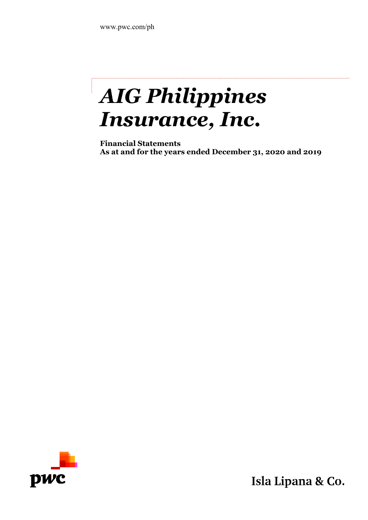**Financial Statements As at and for the years ended December 31, 2020 and 2019**



Isla Lipana & Co.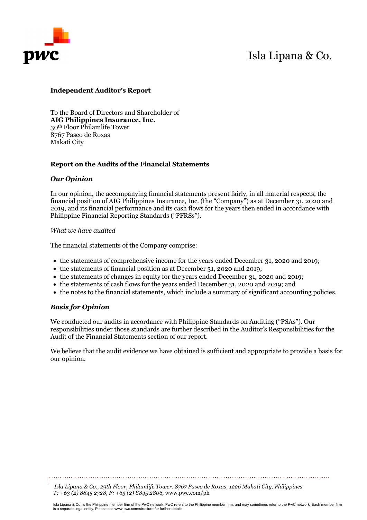

#### **Independent Auditor's Report**

To the Board of Directors and Shareholder of **AIG Philippines Insurance, Inc.**  30th Floor Philamlife Tower 8767 Paseo de Roxas Makati City

#### **Report on the Audits of the Financial Statements**

#### *Our Opinion*

In our opinion, the accompanying financial statements present fairly, in all material respects, the financial position of AIG Philippines Insurance, Inc. (the "Company") as at December 31, 2020 and 2019, and its financial performance and its cash flows for the years then ended in accordance with Philippine Financial Reporting Standards ("PFRSs").

#### *What we have audited*

The financial statements of the Company comprise:

- the statements of comprehensive income for the years ended December 31, 2020 and 2019;
- the statements of financial position as at December 31, 2020 and 2019;
- the statements of changes in equity for the years ended December 31, 2020 and 2019;
- the statements of cash flows for the years ended December 31, 2020 and 2019; and
- the notes to the financial statements, which include a summary of significant accounting policies.

#### *Basis for Opinion*

We conducted our audits in accordance with Philippine Standards on Auditing ("PSAs"). Our responsibilities under those standards are further described in the Auditor's Responsibilities for the Audit of the Financial Statements section of our report.

We believe that the audit evidence we have obtained is sufficient and appropriate to provide a basis for our opinion.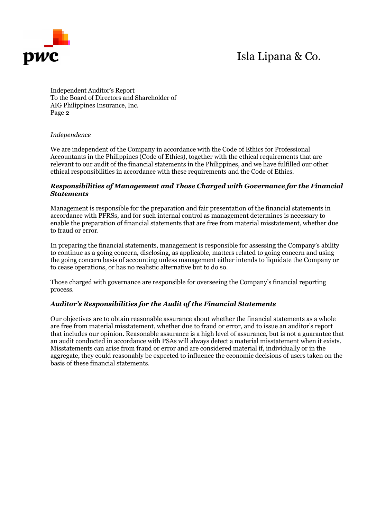

Independent Auditor's Report To the Board of Directors and Shareholder of AIG Philippines Insurance, Inc. Page 2

#### *Independence*

We are independent of the Company in accordance with the Code of Ethics for Professional Accountants in the Philippines (Code of Ethics), together with the ethical requirements that are relevant to our audit of the financial statements in the Philippines, and we have fulfilled our other ethical responsibilities in accordance with these requirements and the Code of Ethics.

#### *Responsibilities of Management and Those Charged with Governance for the Financial Statements*

Management is responsible for the preparation and fair presentation of the financial statements in accordance with PFRSs, and for such internal control as management determines is necessary to enable the preparation of financial statements that are free from material misstatement, whether due to fraud or error.

In preparing the financial statements, management is responsible for assessing the Company's ability to continue as a going concern, disclosing, as applicable, matters related to going concern and using the going concern basis of accounting unless management either intends to liquidate the Company or to cease operations, or has no realistic alternative but to do so.

Those charged with governance are responsible for overseeing the Company's financial reporting process.

#### *Auditor's Responsibilities for the Audit of the Financial Statements*

Our objectives are to obtain reasonable assurance about whether the financial statements as a whole are free from material misstatement, whether due to fraud or error, and to issue an auditor's report that includes our opinion. Reasonable assurance is a high level of assurance, but is not a guarantee that an audit conducted in accordance with PSAs will always detect a material misstatement when it exists. Misstatements can arise from fraud or error and are considered material if, individually or in the aggregate, they could reasonably be expected to influence the economic decisions of users taken on the basis of these financial statements.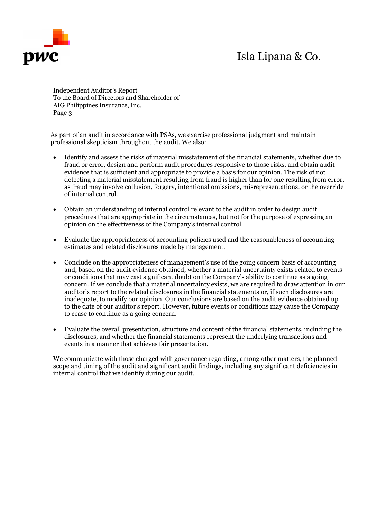

Independent Auditor's Report To the Board of Directors and Shareholder of AIG Philippines Insurance, Inc. Page 3

As part of an audit in accordance with PSAs, we exercise professional judgment and maintain professional skepticism throughout the audit. We also:

- Identify and assess the risks of material misstatement of the financial statements, whether due to fraud or error, design and perform audit procedures responsive to those risks, and obtain audit evidence that is sufficient and appropriate to provide a basis for our opinion. The risk of not detecting a material misstatement resulting from fraud is higher than for one resulting from error, as fraud may involve collusion, forgery, intentional omissions, misrepresentations, or the override of internal control.
- Obtain an understanding of internal control relevant to the audit in order to design audit procedures that are appropriate in the circumstances, but not for the purpose of expressing an opinion on the effectiveness of the Company's internal control.
- Evaluate the appropriateness of accounting policies used and the reasonableness of accounting estimates and related disclosures made by management.
- Conclude on the appropriateness of management's use of the going concern basis of accounting and, based on the audit evidence obtained, whether a material uncertainty exists related to events or conditions that may cast significant doubt on the Company's ability to continue as a going concern. If we conclude that a material uncertainty exists, we are required to draw attention in our auditor's report to the related disclosures in the financial statements or, if such disclosures are inadequate, to modify our opinion. Our conclusions are based on the audit evidence obtained up to the date of our auditor's report. However, future events or conditions may cause the Company to cease to continue as a going concern.
- Evaluate the overall presentation, structure and content of the financial statements, including the disclosures, and whether the financial statements represent the underlying transactions and events in a manner that achieves fair presentation.

We communicate with those charged with governance regarding, among other matters, the planned scope and timing of the audit and significant audit findings, including any significant deficiencies in internal control that we identify during our audit.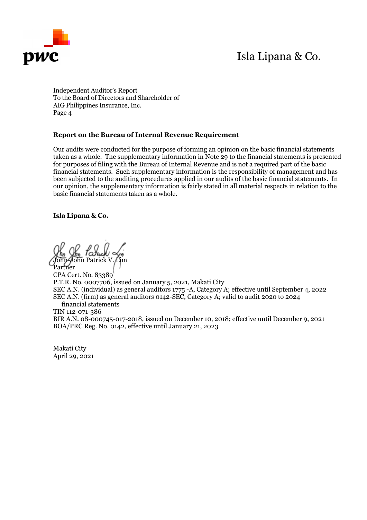

Independent Auditor's Report To the Board of Directors and Shareholder of AIG Philippines Insurance, Inc. Page 4

#### **Report on the Bureau of Internal Revenue Requirement**

Our audits were conducted for the purpose of forming an opinion on the basic financial statements taken as a whole. The supplementary information in Note 29 to the financial statements is presented for purposes of filing with the Bureau of Internal Revenue and is not a required part of the basic financial statements. Such supplementary information is the responsibility of management and has been subjected to the auditing procedures applied in our audits of the basic financial statements. In our opinion, the supplementary information is fairly stated in all material respects in relation to the basic financial statements taken as a whole.

#### **Isla Lipana & Co.**

John-John Patrick V. Lim

Partner CPA Cert. No. 83389 P.T.R. No. 0007706, issued on January 5, 2021, Makati City SEC A.N. (individual) as general auditors 1775 -A, Category A; effective until September 4, 2022 SEC A.N. (firm) as general auditors 0142-SEC, Category A; valid to audit 2020 to 2024 financial statements TIN 112-071-386 BIR A.N. 08-000745-017-2018, issued on December 10, 2018; effective until December 9, 2021 BOA/PRC Reg. No. 0142, effective until January 21, 2023

Makati City April 29, 2021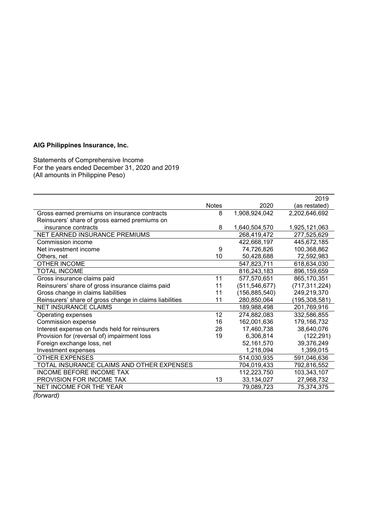Statements of Comprehensive Income For the years ended December 31, 2020 and 2019 (All amounts in Philippine Peso)

|                                                         |              |                 | 2019            |
|---------------------------------------------------------|--------------|-----------------|-----------------|
|                                                         | <b>Notes</b> | 2020            | (as restated)   |
| Gross earned premiums on insurance contracts            | 8            | 1,908,924,042   | 2,202,646,692   |
| Reinsurers' share of gross earned premiums on           |              |                 |                 |
| insurance contracts                                     | 8            | 1,640,504,570   | 1,925,121,063   |
| NET EARNED INSURANCE PREMIUMS                           |              | 268,419,472     | 277,525,629     |
| Commission income                                       |              | 422,668,197     | 445,672,185     |
| Net investment income                                   | 9            | 74,726,826      | 100,368,862     |
| Others, net                                             | 10           | 50,428,688      | 72,592,983      |
| <b>OTHER INCOME</b>                                     |              | 547,823,711     | 618,634,030     |
| TOTAL INCOME                                            |              | 816,243,183     | 896,159,659     |
| Gross insurance claims paid                             | 11           | 577,570,651     | 865,170,351     |
| Reinsurers' share of gross insurance claims paid        | 11           | (511, 546, 677) | (717, 311, 224) |
| Gross change in claims liabilities                      | 11           | (156, 885, 540) | 249,219,370     |
| Reinsurers' share of gross change in claims liabilities | 11           | 280,850,064     | (195,308,581)   |
| <b>NET INSURANCE CLAIMS</b>                             |              | 189,988,498     | 201,769,916     |
| Operating expenses                                      | 12           | 274,882,083     | 332,586,855     |
| Commission expense                                      | 16           | 162,001,636     | 179,166,732     |
| Interest expense on funds held for reinsurers           | 28           | 17,460,738      | 38,640,076      |
| Provision for (reversal of) impairment loss             | 19           | 6,306,814       | (122, 291)      |
| Foreign exchange loss, net                              |              | 52,161,570      | 39,376,249      |
| Investment expenses                                     |              | 1,218,094       | 1,399,015       |
| <b>OTHER EXPENSES</b>                                   |              | 514,030,935     | 591,046,636     |
| TOTAL INSURANCE CLAIMS AND OTHER EXPENSES               |              | 704,019,433     | 792,816,552     |
| <b>INCOME BEFORE INCOME TAX</b>                         |              | 112,223,750     | 103,343,107     |
| PROVISION FOR INCOME TAX                                | 13           | 33,134,027      | 27,968,732      |
| NET INCOME FOR THE YEAR                                 |              | 79,089,723      | 75,374,375      |

*(forward)*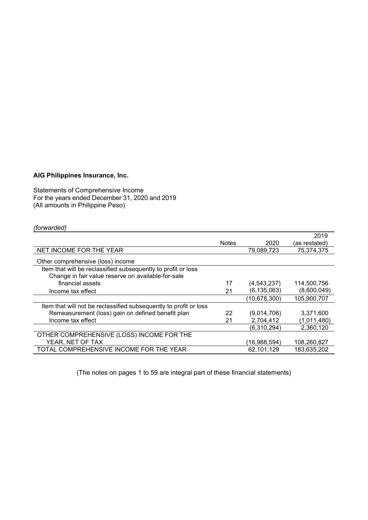Statements of Comprehensive Income For the years ended December 31, 2020 and 2019 (All amounts in Philippine Peso)

#### *(forwarded)*

|                                                                   |              |               | 2019          |
|-------------------------------------------------------------------|--------------|---------------|---------------|
|                                                                   | <b>Notes</b> | 2020          | (as restated) |
| NET INCOME FOR THE YEAR                                           |              | 79,089,723    | 75,374,375    |
| Other comprehensive (loss) income                                 |              |               |               |
| Item that will be reclassified subsequently to profit or loss     |              |               |               |
| Change in fair value reserve on available-for-sale                |              |               |               |
| financial assets                                                  | 17           | (4,543,237)   | 114,500,756   |
| Income tax effect                                                 | 21           | (6, 135, 063) | (8,600,049)   |
|                                                                   |              | (10,678,300)  | 105,900,707   |
| Item that will not be reclassified subsequently to profit or loss |              |               |               |
| Remeasurement (loss) gain on defined benefit plan                 | 22           | (9,014,706)   | 3,371,600     |
| Income tax effect                                                 | 21           | 2,704,412     | (1,011,480)   |
|                                                                   |              | (6,310,294)   | 2,360,120     |
| OTHER COMPREHENSIVE (LOSS) INCOME FOR THE                         |              |               |               |
| YEAR, NET OF TAX                                                  |              | (16,988,594)  | 108,260,827   |
| TOTAL COMPREHENSIVE INCOME FOR THE YEAR                           |              | 62,101,129    | 183,635,202   |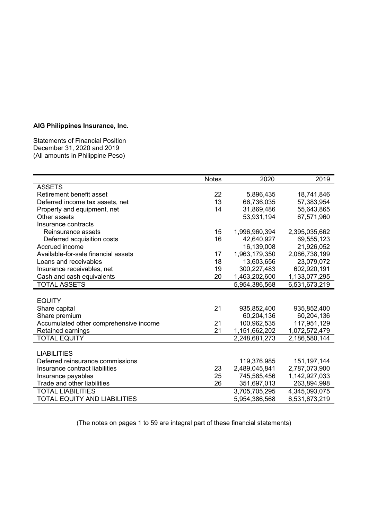Statements of Financial Position December 31, 2020 and 2019 (All amounts in Philippine Peso)

|                                        | <b>Notes</b> | 2020          | 2019          |
|----------------------------------------|--------------|---------------|---------------|
| <b>ASSETS</b>                          |              |               |               |
| Retirement benefit asset               | 22           | 5,896,435     | 18,741,846    |
| Deferred income tax assets, net        | 13           | 66.736,035    | 57,383,954    |
| Property and equipment, net            | 14           | 31,869,486    | 55,643,865    |
| Other assets                           |              | 53,931,194    | 67,571,960    |
| Insurance contracts                    |              |               |               |
| Reinsurance assets                     | 15           | 1,996,960,394 | 2,395,035,662 |
| Deferred acquisition costs             | 16           | 42,640,927    | 69,555,123    |
| Accrued income                         |              | 16,139,008    | 21,926,052    |
| Available-for-sale financial assets    | 17           | 1,963,179,350 | 2,086,738,199 |
| Loans and receivables                  | 18           | 13,603,656    | 23,079,072    |
| Insurance receivables, net             | 19           | 300,227,483   | 602,920,191   |
| Cash and cash equivalents              | 20           | 1,463,202,600 | 1,133,077,295 |
| <b>TOTAL ASSETS</b>                    |              | 5,954,386,568 | 6,531,673,219 |
|                                        |              |               |               |
| <b>EQUITY</b>                          |              |               |               |
| Share capital                          | 21           | 935,852,400   | 935,852,400   |
| Share premium                          |              | 60,204,136    | 60,204,136    |
| Accumulated other comprehensive income | 21           | 100,962,535   | 117,951,129   |
| Retained earnings                      | 21           | 1,151,662,202 | 1,072,572,479 |
| <b>TOTAL EQUITY</b>                    |              | 2,248,681,273 | 2,186,580,144 |
|                                        |              |               |               |
| <b>LIABILITIES</b>                     |              |               |               |
| Deferred reinsurance commissions       |              | 119,376,985   | 151, 197, 144 |
| Insurance contract liabilities         | 23           | 2,489,045,841 | 2,787,073,900 |
| Insurance payables                     | 25           | 745,585,456   | 1,142,927,033 |
| Trade and other liabilities            | 26           | 351,697,013   | 263,894,998   |
| <b>TOTAL LIABILITIES</b>               |              | 3,705,705,295 | 4,345,093,075 |
| <b>TOTAL EQUITY AND LIABILITIES</b>    |              | 5,954,386,568 | 6,531,673,219 |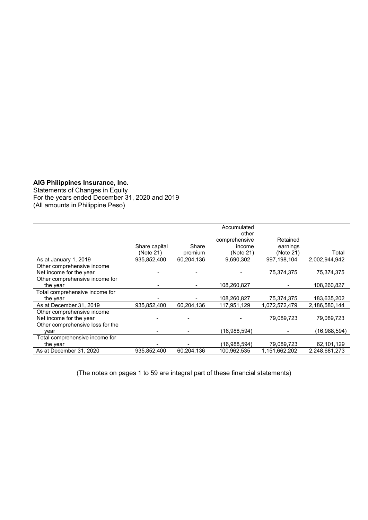Statements of Changes in Equity For the years ended December 31, 2020 and 2019 (All amounts in Philippine Peso)

|                                  |               |            | Accumulated   |               |               |
|----------------------------------|---------------|------------|---------------|---------------|---------------|
|                                  |               |            | other         |               |               |
|                                  |               |            | comprehensive | Retained      |               |
|                                  | Share capital | Share      | income        | earnings      |               |
|                                  | (Note 21)     | premium    | (Note 21)     | (Note 21)     | Total         |
| As at January 1, 2019            | 935,852,400   | 60,204,136 | 9,690,302     | 997,198,104   | 2,002,944,942 |
| Other comprehensive income       |               |            |               |               |               |
| Net income for the year          |               |            |               | 75,374,375    | 75,374,375    |
| Other comprehensive income for   |               |            |               |               |               |
| the year                         |               |            | 108,260,827   |               | 108,260,827   |
| Total comprehensive income for   |               |            |               |               |               |
| the year                         |               |            | 108,260,827   | 75,374,375    | 183,635,202   |
| As at December 31, 2019          | 935,852,400   | 60,204,136 | 117,951,129   | 1,072,572,479 | 2,186,580,144 |
| Other comprehensive income       |               |            |               |               |               |
| Net income for the year          |               |            |               | 79,089,723    | 79,089,723    |
| Other comprehensive loss for the |               |            |               |               |               |
| vear                             |               |            | (16,988,594)  |               | (16,988,594)  |
| Total comprehensive income for   |               |            |               |               |               |
| the year                         |               |            | (16,988,594)  | 79,089,723    | 62,101,129    |
| As at December 31, 2020          | 935,852,400   | 60,204,136 | 100,962,535   | 1,151,662,202 | 2,248,681,273 |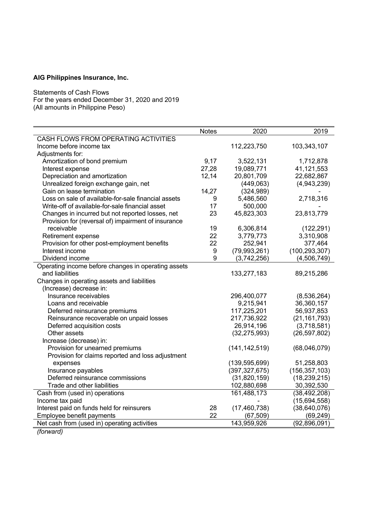Statements of Cash Flows For the years ended December 31, 2020 and 2019 (All amounts in Philippine Peso)

|                                                                                      | 2019      |
|--------------------------------------------------------------------------------------|-----------|
| CASH FLOWS FROM OPERATING ACTIVITIES                                                 |           |
| Income before income tax<br>103,343,107<br>112,223,750                               |           |
| Adjustments for:                                                                     |           |
| Amortization of bond premium<br>9,17<br>3,522,131<br>1,712,878                       |           |
| 27,28<br>41,121,553<br>19,089,771<br>Interest expense                                |           |
| Depreciation and amortization<br>12,14<br>20,801,709<br>22,682,867                   |           |
| Unrealized foreign exchange gain, net<br>(4,943,239)<br>(449,063)                    |           |
| Gain on lease termination<br>14,27<br>(324, 989)                                     |           |
| Loss on sale of available-for-sale financial assets<br>5,486,560<br>2,718,316<br>9   |           |
| 17<br>Write-off of available-for-sale financial asset<br>500,000                     |           |
| 23<br>45,823,303<br>23,813,779<br>Changes in incurred but not reported losses, net   |           |
| Provision for (reversal of) impairment of insurance                                  |           |
| receivable<br>19<br>6,306,814<br>(122, 291)                                          |           |
| 22<br>Retirement expense<br>3,779,773<br>3,310,908                                   |           |
| 22<br>252,941<br>377,464<br>Provision for other post-employment benefits             |           |
| (100, 293, 307)<br>Interest income<br>9<br>(79,993,261)                              |           |
| 9<br>Dividend income<br>(3,742,256)<br>(4,506,749)                                   |           |
| Operating income before changes in operating assets                                  |           |
| and liabilities<br>133,277,183<br>89,215,286                                         |           |
| Changes in operating assets and liabilities                                          |           |
| (Increase) decrease in:                                                              |           |
| Insurance receivables<br>296,400,077<br>(8,536,264)                                  |           |
| 9,215,941<br>36,360,157<br>Loans and receivable                                      |           |
| 117,225,201<br>56,937,853<br>Deferred reinsurance premiums                           |           |
| 217,736,922<br>(21, 161, 793)<br>Reinsurance recoverable on unpaid losses            |           |
| Deferred acquisition costs<br>26,914,196<br>(3,718,581)                              |           |
| Other assets<br>(26, 597, 802)<br>(32, 275, 993)                                     |           |
| Increase (decrease) in:                                                              |           |
| Provision for unearned premiums<br>(141, 142, 519)<br>(68,046,079)                   |           |
| Provision for claims reported and loss adjustment                                    |           |
| (139, 595, 699)<br>51,258,803<br>expenses                                            |           |
| Insurance payables<br>(397, 327, 675)<br>(156, 357, 103)                             |           |
| Deferred reinsurance commissions<br>(31, 820, 159)<br>(18, 239, 215)                 |           |
| Trade and other liabilities<br>102,880,698<br>30,392,530                             |           |
| 161,488,173<br>Cash from (used in) operations<br>(38, 492, 208)                      |           |
| Income tax paid<br>(15,694,558)                                                      |           |
| Interest paid on funds held for reinsurers<br>28<br>(17, 460, 738)<br>(38, 640, 076) |           |
| Employee benefit payments<br>22<br>(67, 509)                                         | (69, 249) |
| Net cash from (used in) operating activities<br>143,959,926<br>(92, 896, 091)        |           |

 *(forward)*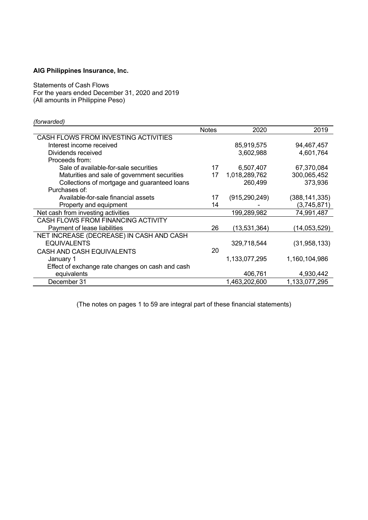Statements of Cash Flows For the years ended December 31, 2020 and 2019 (All amounts in Philippine Peso)

#### *(forwarded)*

|                                                  | Notes | 2020            | 2019            |
|--------------------------------------------------|-------|-----------------|-----------------|
| CASH FLOWS FROM INVESTING ACTIVITIES             |       |                 |                 |
| Interest income received                         |       | 85,919,575      | 94,467,457      |
| Dividends received                               |       | 3,602,988       | 4,601,764       |
| Proceeds from:                                   |       |                 |                 |
| Sale of available-for-sale securities            | 17    | 6,507,407       | 67,370,084      |
| Maturities and sale of government securities     | 17    | 1,018,289,762   | 300,065,452     |
| Collections of mortgage and guaranteed loans     |       | 260,499         | 373,936         |
| Purchases of:                                    |       |                 |                 |
| Available-for-sale financial assets              | 17    | (915, 290, 249) | (388, 141, 335) |
| Property and equipment                           | 14    |                 | (3,745,871)     |
| Net cash from investing activities               |       | 199,289,982     | 74,991,487      |
| CASH FLOWS FROM FINANCING ACTIVITY               |       |                 |                 |
| Payment of lease liabilities                     | 26    | (13,531,364)    | (14,053,529)    |
| NET INCREASE (DECREASE) IN CASH AND CASH         |       |                 |                 |
| <b>EQUIVALENTS</b>                               |       | 329,718,544     | (31, 958, 133)  |
| <b>CASH AND CASH EQUIVALENTS</b>                 | 20    |                 |                 |
| January 1                                        |       | 1,133,077,295   | 1,160,104,986   |
| Effect of exchange rate changes on cash and cash |       |                 |                 |
| equivalents                                      |       | 406,761         | 4,930,442       |
| December 31                                      |       | 1,463,202,600   | 1,133,077,295   |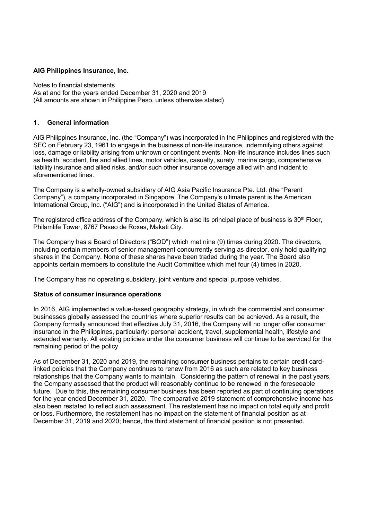Notes to financial statements As at and for the years ended December 31, 2020 and 2019 (All amounts are shown in Philippine Peso, unless otherwise stated)

#### $1.$ **General information**

AIG Philippines Insurance, Inc. (the "Company") was incorporated in the Philippines and registered with the SEC on February 23, 1961 to engage in the business of non-life insurance, indemnifying others against loss, damage or liability arising from unknown or contingent events. Non-life insurance includes lines such as health, accident, fire and allied lines, motor vehicles, casualty, surety, marine cargo, comprehensive liability insurance and allied risks, and/or such other insurance coverage allied with and incident to aforementioned lines.

The Company is a wholly-owned subsidiary of AIG Asia Pacific Insurance Pte. Ltd. (the "Parent Company"), a company incorporated in Singapore. The Company's ultimate parent is the American International Group, Inc. ("AIG") and is incorporated in the United States of America.

The registered office address of the Company, which is also its principal place of business is 30<sup>th</sup> Floor, Philamlife Tower, 8767 Paseo de Roxas, Makati City.

The Company has a Board of Directors ("BOD") which met nine (9) times during 2020. The directors, including certain members of senior management concurrently serving as director, only hold qualifying shares in the Company. None of these shares have been traded during the year. The Board also appoints certain members to constitute the Audit Committee which met four (4) times in 2020.

The Company has no operating subsidiary, joint venture and special purpose vehicles.

#### **Status of consumer insurance operations**

In 2016, AIG implemented a value-based geography strategy, in which the commercial and consumer businesses globally assessed the countries where superior results can be achieved. As a result, the Company formally announced that effective July 31, 2016, the Company will no longer offer consumer insurance in the Philippines, particularly: personal accident, travel, supplemental health, lifestyle and extended warranty. All existing policies under the consumer business will continue to be serviced for the remaining period of the policy.

As of December 31, 2020 and 2019, the remaining consumer business pertains to certain credit cardlinked policies that the Company continues to renew from 2016 as such are related to key business relationships that the Company wants to maintain. Considering the pattern of renewal in the past years, the Company assessed that the product will reasonably continue to be renewed in the foreseeable future. Due to this, the remaining consumer business has been reported as part of continuing operations for the year ended December 31, 2020. The comparative 2019 statement of comprehensive income has also been restated to reflect such assessment. The restatement has no impact on total equity and profit or loss. Furthermore, the restatement has no impact on the statement of financial position as at December 31, 2019 and 2020; hence, the third statement of financial position is not presented.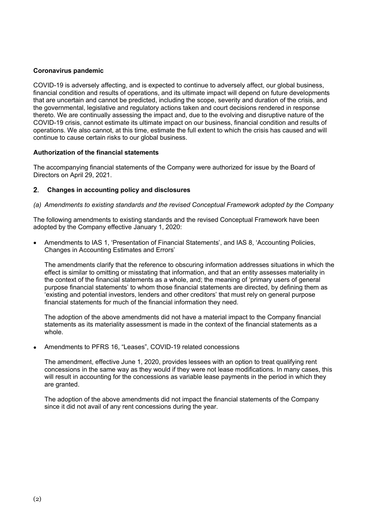#### **Coronavirus pandemic**

COVID-19 is adversely affecting, and is expected to continue to adversely affect, our global business, financial condition and results of operations, and its ultimate impact will depend on future developments that are uncertain and cannot be predicted, including the scope, severity and duration of the crisis, and the governmental, legislative and regulatory actions taken and court decisions rendered in response thereto. We are continually assessing the impact and, due to the evolving and disruptive nature of the COVID-19 crisis, cannot estimate its ultimate impact on our business, financial condition and results of operations. We also cannot, at this time, estimate the full extent to which the crisis has caused and will continue to cause certain risks to our global business.

#### **Authorization of the financial statements**

The accompanying financial statements of the Company were authorized for issue by the Board of Directors on April 29, 2021.

#### **Changes in accounting policy and disclosures**  $2.$

#### *(a) Amendments to existing standards and the revised Conceptual Framework adopted by the Company*

The following amendments to existing standards and the revised Conceptual Framework have been adopted by the Company effective January 1, 2020:

• Amendments to IAS 1, 'Presentation of Financial Statements', and IAS 8, 'Accounting Policies, Changes in Accounting Estimates and Errors'

The amendments clarify that the reference to obscuring information addresses situations in which the effect is similar to omitting or misstating that information, and that an entity assesses materiality in the context of the financial statements as a whole, and; the meaning of 'primary users of general purpose financial statements' to whom those financial statements are directed, by defining them as 'existing and potential investors, lenders and other creditors' that must rely on general purpose financial statements for much of the financial information they need.

The adoption of the above amendments did not have a material impact to the Company financial statements as its materiality assessment is made in the context of the financial statements as a whole.

• Amendments to PFRS 16, "Leases", COVID-19 related concessions

The amendment, effective June 1, 2020, provides lessees with an option to treat qualifying rent concessions in the same way as they would if they were not lease modifications. In many cases, this will result in accounting for the concessions as variable lease payments in the period in which they are granted.

The adoption of the above amendments did not impact the financial statements of the Company since it did not avail of any rent concessions during the year.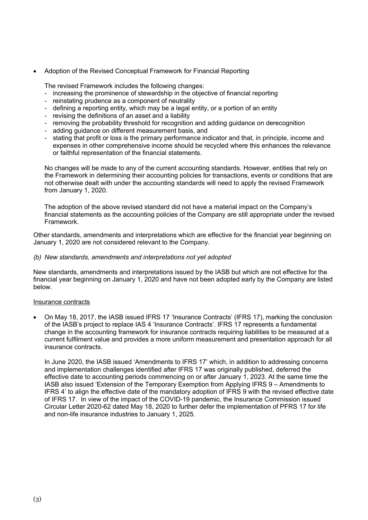• Adoption of the Revised Conceptual Framework for Financial Reporting

The revised Framework includes the following changes:

- increasing the prominence of stewardship in the objective of financial reporting
- reinstating prudence as a component of neutrality
- defining a reporting entity, which may be a legal entity, or a portion of an entity
- revising the definitions of an asset and a liability
- removing the probability threshold for recognition and adding guidance on derecognition
- adding guidance on different measurement basis, and
- stating that profit or loss is the primary performance indicator and that, in principle, income and expenses in other comprehensive income should be recycled where this enhances the relevance or faithful representation of the financial statements.

No changes will be made to any of the current accounting standards. However, entities that rely on the Framework in determining their accounting policies for transactions, events or conditions that are not otherwise dealt with under the accounting standards will need to apply the revised Framework from January 1, 2020.

The adoption of the above revised standard did not have a material impact on the Company's financial statements as the accounting policies of the Company are still appropriate under the revised Framework.

Other standards, amendments and interpretations which are effective for the financial year beginning on January 1, 2020 are not considered relevant to the Company.

#### *(b) New standards, amendments and interpretations not yet adopted*

New standards, amendments and interpretations issued by the IASB but which are not effective for the financial year beginning on January 1, 2020 and have not been adopted early by the Company are listed below.

#### Insurance contracts

• On May 18, 2017, the IASB issued IFRS 17 'Insurance Contracts' (IFRS 17), marking the conclusion of the IASB's project to replace IAS 4 'Insurance Contracts'. IFRS 17 represents a fundamental change in the accounting framework for insurance contracts requiring liabilities to be measured at a current fulfilment value and provides a more uniform measurement and presentation approach for all insurance contracts.

In June 2020, the IASB issued 'Amendments to IFRS 17' which, in addition to addressing concerns and implementation challenges identified after IFRS 17 was originally published, deferred the effective date to accounting periods commencing on or after January 1, 2023. At the same time the IASB also issued 'Extension of the Temporary Exemption from Applying IFRS 9 – Amendments to IFRS 4' to align the effective date of the mandatory adoption of IFRS 9 with the revised effective date of IFRS 17. In view of the impact of the COVID-19 pandemic, the Insurance Commission issued Circular Letter 2020-62 dated May 18, 2020 to further defer the implementation of PFRS 17 for life and non-life insurance industries to January 1, 2025.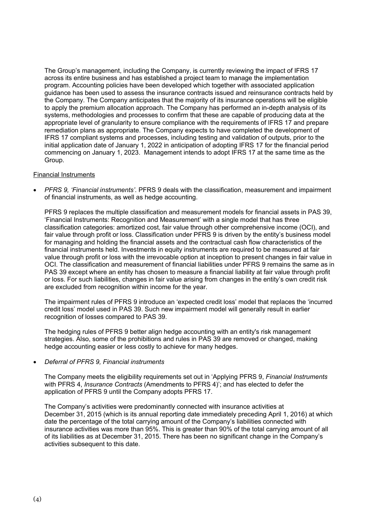The Group's management, including the Company, is currently reviewing the impact of IFRS 17 across its entire business and has established a project team to manage the implementation program. Accounting policies have been developed which together with associated application guidance has been used to assess the insurance contracts issued and reinsurance contracts held by the Company. The Company anticipates that the majority of its insurance operations will be eligible to apply the premium allocation approach. The Company has performed an in-depth analysis of its systems, methodologies and processes to confirm that these are capable of producing data at the appropriate level of granularity to ensure compliance with the requirements of IFRS 17 and prepare remediation plans as appropriate. The Company expects to have completed the development of IFRS 17 compliant systems and processes, including testing and validation of outputs, prior to the initial application date of January 1, 2022 in anticipation of adopting IFRS 17 for the financial period commencing on January 1, 2023. Management intends to adopt IFRS 17 at the same time as the Group.

#### Financial Instruments

• *PFRS 9, 'Financial instruments'.* PFRS 9 deals with the classification, measurement and impairment of financial instruments, as well as hedge accounting.

PFRS 9 replaces the multiple classification and measurement models for financial assets in PAS 39, 'Financial Instruments: Recognition and Measurement' with a single model that has three classification categories: amortized cost, fair value through other comprehensive income (OCI), and fair value through profit or loss. Classification under PFRS 9 is driven by the entity's business model for managing and holding the financial assets and the contractual cash flow characteristics of the financial instruments held. Investments in equity instruments are required to be measured at fair value through profit or loss with the irrevocable option at inception to present changes in fair value in OCI. The classification and measurement of financial liabilities under PFRS 9 remains the same as in PAS 39 except where an entity has chosen to measure a financial liability at fair value through profit or loss. For such liabilities, changes in fair value arising from changes in the entity's own credit risk are excluded from recognition within income for the year.

The impairment rules of PFRS 9 introduce an 'expected credit loss' model that replaces the 'incurred credit loss' model used in PAS 39. Such new impairment model will generally result in earlier recognition of losses compared to PAS 39.

The hedging rules of PFRS 9 better align hedge accounting with an entity's risk management strategies. Also, some of the prohibitions and rules in PAS 39 are removed or changed, making hedge accounting easier or less costly to achieve for many hedges.

#### • *Deferral of PFRS 9, Financial instruments*

The Company meets the eligibility requirements set out in 'Applying PFRS 9, *Financial Instruments* with PFRS 4, *Insurance Contracts* (Amendments to PFRS 4)'; and has elected to defer the application of PFRS 9 until the Company adopts PFRS 17.

The Company's activities were predominantly connected with insurance activities at December 31, 2015 (which is its annual reporting date immediately preceding April 1, 2016) at which date the percentage of the total carrying amount of the Company's liabilities connected with insurance activities was more than 95%. This is greater than 90% of the total carrying amount of all of its liabilities as at December 31, 2015. There has been no significant change in the Company's activities subsequent to this date.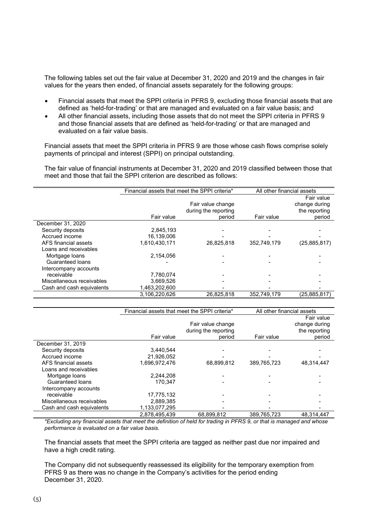The following tables set out the fair value at December 31, 2020 and 2019 and the changes in fair values for the years then ended, of financial assets separately for the following groups:

- Financial assets that meet the SPPI criteria in PFRS 9, excluding those financial assets that are defined as 'held-for-trading' or that are managed and evaluated on a fair value basis; and
- All other financial assets, including those assets that do not meet the SPPI criteria in PFRS 9 and those financial assets that are defined as 'held-for-trading' or that are managed and evaluated on a fair value basis.

Financial assets that meet the SPPI criteria in PFRS 9 are those whose cash flows comprise solely payments of principal and interest (SPPI) on principal outstanding.

The fair value of financial instruments at December 31, 2020 and 2019 classified between those that meet and those that fail the SPPI criterion are described as follows:

|                           | Financial assets that meet the SPPI criteria* |                                                     | All other financial assets |                                                        |
|---------------------------|-----------------------------------------------|-----------------------------------------------------|----------------------------|--------------------------------------------------------|
|                           | Fair value                                    | Fair value change<br>during the reporting<br>period | Fair value                 | Fair value<br>change during<br>the reporting<br>period |
| December 31, 2020         |                                               |                                                     |                            |                                                        |
| Security deposits         | 2.845.193                                     |                                                     |                            |                                                        |
| Accrued income            | 16.139.006                                    |                                                     |                            |                                                        |
| AFS financial assets      | 1,610,430,171                                 | 26,825,818                                          | 352,749,179                | (25,885,817)                                           |
| Loans and receivables     |                                               |                                                     |                            |                                                        |
| Mortgage loans            | 2,154,056                                     |                                                     |                            |                                                        |
| Guaranteed loans          |                                               |                                                     |                            |                                                        |
| Intercompany accounts     |                                               |                                                     |                            |                                                        |
| receivable                | 7,780,074                                     |                                                     |                            |                                                        |
| Miscellaneous receivables | 3,669,526                                     |                                                     |                            |                                                        |
| Cash and cash equivalents | 1,463,202,600                                 |                                                     |                            |                                                        |
|                           | 3,106,220,626                                 | 26,825,818                                          | 352,749,179                | (25,885,817)                                           |

|                           | Financial assets that meet the SPPI criteria* |                                                     | All other financial assets |                                                        |
|---------------------------|-----------------------------------------------|-----------------------------------------------------|----------------------------|--------------------------------------------------------|
|                           | Fair value                                    | Fair value change<br>during the reporting<br>period | Fair value                 | Fair value<br>change during<br>the reporting<br>period |
| December 31, 2019         |                                               |                                                     |                            |                                                        |
| Security deposits         | 3.440.544                                     |                                                     |                            |                                                        |
| Accrued income            | 21,926,052                                    |                                                     |                            |                                                        |
| AFS financial assets      | 1.696.972.476                                 | 68,899,812                                          | 389,765,723                | 48,314,447                                             |
| Loans and receivables     |                                               |                                                     |                            |                                                        |
| Mortgage loans            | 2.244.208                                     |                                                     |                            |                                                        |
| Guaranteed loans          | 170.347                                       |                                                     |                            |                                                        |
| Intercompany accounts     |                                               |                                                     |                            |                                                        |
| receivable                | 17,775,132                                    |                                                     |                            |                                                        |
| Miscellaneous receivables | 2,889,385                                     |                                                     |                            |                                                        |
| Cash and cash equivalents | 1,133,077,295                                 |                                                     |                            |                                                        |
|                           | 2.878.495.439                                 | 68,899,812                                          | 389,765,723                | 48.314.447                                             |

*\*Excluding any financial assets that meet the definition of held for trading in PFRS 9, or that is managed and whose performance is evaluated on a fair value basis.* 

The financial assets that meet the SPPI criteria are tagged as neither past due nor impaired and have a high credit rating.

The Company did not subsequently reassessed its eligibility for the temporary exemption from PFRS 9 as there was no change in the Company's activities for the period ending December 31, 2020.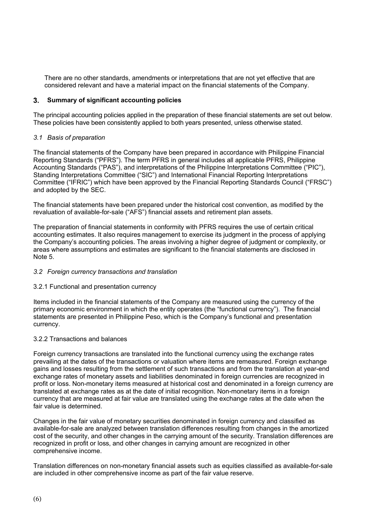There are no other standards, amendments or interpretations that are not yet effective that are considered relevant and have a material impact on the financial statements of the Company.

#### $3.$ **Summary of significant accounting policies**

The principal accounting policies applied in the preparation of these financial statements are set out below. These policies have been consistently applied to both years presented, unless otherwise stated.

#### *3.1 Basis of preparation*

The financial statements of the Company have been prepared in accordance with Philippine Financial Reporting Standards ("PFRS"). The term PFRS in general includes all applicable PFRS, Philippine Accounting Standards ("PAS"), and interpretations of the Philippine Interpretations Committee ("PIC"), Standing Interpretations Committee ("SIC") and International Financial Reporting Interpretations Committee ("IFRIC") which have been approved by the Financial Reporting Standards Council ("FRSC") and adopted by the SEC.

The financial statements have been prepared under the historical cost convention, as modified by the revaluation of available-for-sale ("AFS") financial assets and retirement plan assets.

The preparation of financial statements in conformity with PFRS requires the use of certain critical accounting estimates. It also requires management to exercise its judgment in the process of applying the Company's accounting policies. The areas involving a higher degree of judgment or complexity, or areas where assumptions and estimates are significant to the financial statements are disclosed in Note 5.

#### *3.2 Foreign currency transactions and translation*

#### 3.2.1 Functional and presentation currency

Items included in the financial statements of the Company are measured using the currency of the primary economic environment in which the entity operates (the "functional currency"). The financial statements are presented in Philippine Peso, which is the Company's functional and presentation currency.

#### 3.2.2 Transactions and balances

Foreign currency transactions are translated into the functional currency using the exchange rates prevailing at the dates of the transactions or valuation where items are remeasured. Foreign exchange gains and losses resulting from the settlement of such transactions and from the translation at year-end exchange rates of monetary assets and liabilities denominated in foreign currencies are recognized in profit or loss. Non-monetary items measured at historical cost and denominated in a foreign currency are translated at exchange rates as at the date of initial recognition. Non-monetary items in a foreign currency that are measured at fair value are translated using the exchange rates at the date when the fair value is determined.

Changes in the fair value of monetary securities denominated in foreign currency and classified as available-for-sale are analyzed between translation differences resulting from changes in the amortized cost of the security, and other changes in the carrying amount of the security. Translation differences are recognized in profit or loss, and other changes in carrying amount are recognized in other comprehensive income.

Translation differences on non-monetary financial assets such as equities classified as available-for-sale are included in other comprehensive income as part of the fair value reserve.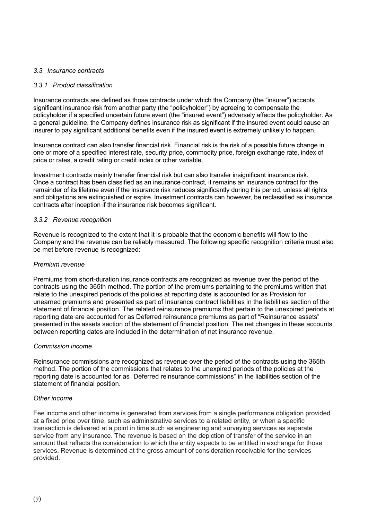#### *3.3 Insurance contracts*

#### *3.3.1 Product classification*

Insurance contracts are defined as those contracts under which the Company (the "insurer") accepts significant insurance risk from another party (the "policyholder") by agreeing to compensate the policyholder if a specified uncertain future event (the "insured event") adversely affects the policyholder. As a general guideline, the Company defines insurance risk as significant if the insured event could cause an insurer to pay significant additional benefits even if the insured event is extremely unlikely to happen.

Insurance contract can also transfer financial risk. Financial risk is the risk of a possible future change in one or more of a specified interest rate, security price, commodity price, foreign exchange rate, index of price or rates, a credit rating or credit index or other variable.

Investment contracts mainly transfer financial risk but can also transfer insignificant insurance risk. Once a contract has been classified as an insurance contract, it remains an insurance contract for the remainder of its lifetime even if the insurance risk reduces significantly during this period, unless all rights and obligations are extinguished or expire. Investment contracts can however, be reclassified as insurance contracts after inception if the insurance risk becomes significant.

#### *3.3.2 Revenue recognition*

Revenue is recognized to the extent that it is probable that the economic benefits will flow to the Company and the revenue can be reliably measured. The following specific recognition criteria must also be met before revenue is recognized:

#### *Premium revenue*

Premiums from short-duration insurance contracts are recognized as revenue over the period of the contracts using the 365th method. The portion of the premiums pertaining to the premiums written that relate to the unexpired periods of the policies at reporting date is accounted for as Provision for unearned premiums and presented as part of Insurance contract liabilities in the liabilities section of the statement of financial position. The related reinsurance premiums that pertain to the unexpired periods at reporting date are accounted for as Deferred reinsurance premiums as part of "Reinsurance assets" presented in the assets section of the statement of financial position. The net changes in these accounts between reporting dates are included in the determination of net insurance revenue.

#### *Commission income*

Reinsurance commissions are recognized as revenue over the period of the contracts using the 365th method. The portion of the commissions that relates to the unexpired periods of the policies at the reporting date is accounted for as "Deferred reinsurance commissions" in the liabilities section of the statement of financial position.

#### *Other income*

Fee income and other income is generated from services from a single performance obligation provided at a fixed price over time, such as administrative services to a related entity, or when a specific transaction is delivered at a point in time such as engineering and surveying services as separate service from any insurance. The revenue is based on the depiction of transfer of the service in an amount that reflects the consideration to which the entity expects to be entitled in exchange for those services. Revenue is determined at the gross amount of consideration receivable for the services provided.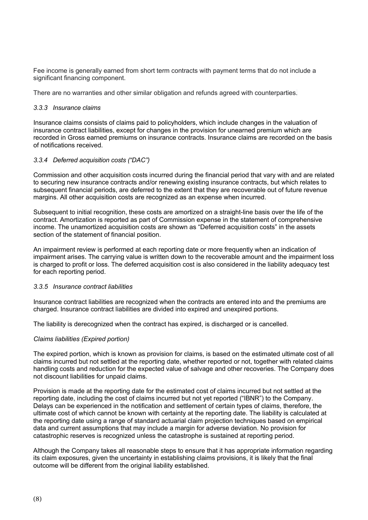Fee income is generally earned from short term contracts with payment terms that do not include a significant financing component.

There are no warranties and other similar obligation and refunds agreed with counterparties.

#### *3.3.3 Insurance claims*

Insurance claims consists of claims paid to policyholders, which include changes in the valuation of insurance contract liabilities, except for changes in the provision for unearned premium which are recorded in Gross earned premiums on insurance contracts. Insurance claims are recorded on the basis of notifications received.

#### *3.3.4 Deferred acquisition costs ("DAC")*

Commission and other acquisition costs incurred during the financial period that vary with and are related to securing new insurance contracts and/or renewing existing insurance contracts, but which relates to subsequent financial periods, are deferred to the extent that they are recoverable out of future revenue margins. All other acquisition costs are recognized as an expense when incurred.

Subsequent to initial recognition, these costs are amortized on a straight-line basis over the life of the contract. Amortization is reported as part of Commission expense in the statement of comprehensive income. The unamortized acquisition costs are shown as "Deferred acquisition costs" in the assets section of the statement of financial position.

An impairment review is performed at each reporting date or more frequently when an indication of impairment arises. The carrying value is written down to the recoverable amount and the impairment loss is charged to profit or loss. The deferred acquisition cost is also considered in the liability adequacy test for each reporting period.

#### *3.3.5 Insurance contract liabilities*

Insurance contract liabilities are recognized when the contracts are entered into and the premiums are charged. Insurance contract liabilities are divided into expired and unexpired portions.

The liability is derecognized when the contract has expired, is discharged or is cancelled.

#### *Claims liabilities (Expired portion)*

The expired portion, which is known as provision for claims, is based on the estimated ultimate cost of all claims incurred but not settled at the reporting date, whether reported or not, together with related claims handling costs and reduction for the expected value of salvage and other recoveries. The Company does not discount liabilities for unpaid claims.

Provision is made at the reporting date for the estimated cost of claims incurred but not settled at the reporting date, including the cost of claims incurred but not yet reported ("IBNR") to the Company. Delays can be experienced in the notification and settlement of certain types of claims, therefore, the ultimate cost of which cannot be known with certainty at the reporting date. The liability is calculated at the reporting date using a range of standard actuarial claim projection techniques based on empirical data and current assumptions that may include a margin for adverse deviation. No provision for catastrophic reserves is recognized unless the catastrophe is sustained at reporting period.

Although the Company takes all reasonable steps to ensure that it has appropriate information regarding its claim exposures, given the uncertainty in establishing claims provisions, it is likely that the final outcome will be different from the original liability established.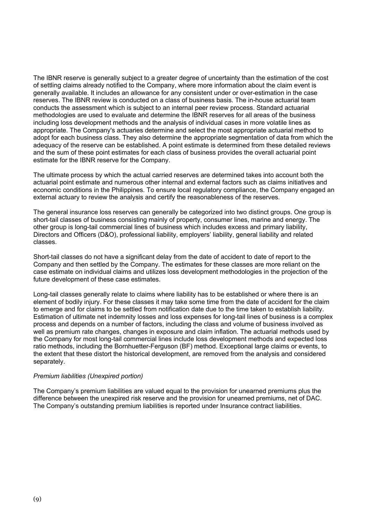The IBNR reserve is generally subject to a greater degree of uncertainty than the estimation of the cost of settling claims already notified to the Company, where more information about the claim event is generally available. It includes an allowance for any consistent under or over-estimation in the case reserves. The IBNR review is conducted on a class of business basis. The in-house actuarial team conducts the assessment which is subject to an internal peer review process. Standard actuarial methodologies are used to evaluate and determine the IBNR reserves for all areas of the business including loss development methods and the analysis of individual cases in more volatile lines as appropriate. The Company's actuaries determine and select the most appropriate actuarial method to adopt for each business class. They also determine the appropriate segmentation of data from which the adequacy of the reserve can be established. A point estimate is determined from these detailed reviews and the sum of these point estimates for each class of business provides the overall actuarial point estimate for the IBNR reserve for the Company.

The ultimate process by which the actual carried reserves are determined takes into account both the actuarial point estimate and numerous other internal and external factors such as claims initiatives and economic conditions in the Philippines. To ensure local regulatory compliance, the Company engaged an external actuary to review the analysis and certify the reasonableness of the reserves.

The general insurance loss reserves can generally be categorized into two distinct groups. One group is short-tail classes of business consisting mainly of property, consumer lines, marine and energy. The other group is long-tail commercial lines of business which includes excess and primary liability, Directors and Officers (D&O), professional liability, employers' liability, general liability and related classes.

Short-tail classes do not have a significant delay from the date of accident to date of report to the Company and then settled by the Company. The estimates for these classes are more reliant on the case estimate on individual claims and utilizes loss development methodologies in the projection of the future development of these case estimates.

Long-tail classes generally relate to claims where liability has to be established or where there is an element of bodily injury. For these classes it may take some time from the date of accident for the claim to emerge and for claims to be settled from notification date due to the time taken to establish liability. Estimation of ultimate net indemnity losses and loss expenses for long-tail lines of business is a complex process and depends on a number of factors, including the class and volume of business involved as well as premium rate changes, changes in exposure and claim inflation. The actuarial methods used by the Company for most long-tail commercial lines include loss development methods and expected loss ratio methods, including the Bornhuetter-Ferguson (BF) method. Exceptional large claims or events, to the extent that these distort the historical development, are removed from the analysis and considered separately.

#### *Premium liabilities (Unexpired portion)*

The Company's premium liabilities are valued equal to the provision for unearned premiums plus the difference between the unexpired risk reserve and the provision for unearned premiums, net of DAC. The Company's outstanding premium liabilities is reported under Insurance contract liabilities.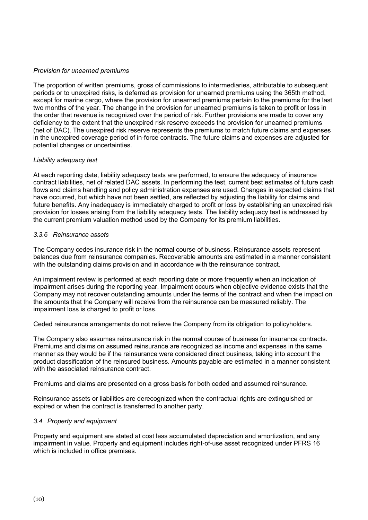#### *Provision for unearned premiums*

The proportion of written premiums, gross of commissions to intermediaries, attributable to subsequent periods or to unexpired risks, is deferred as provision for unearned premiums using the 365th method, except for marine cargo, where the provision for unearned premiums pertain to the premiums for the last two months of the year. The change in the provision for unearned premiums is taken to profit or loss in the order that revenue is recognized over the period of risk. Further provisions are made to cover any deficiency to the extent that the unexpired risk reserve exceeds the provision for unearned premiums (net of DAC). The unexpired risk reserve represents the premiums to match future claims and expenses in the unexpired coverage period of in-force contracts. The future claims and expenses are adjusted for potential changes or uncertainties.

#### *Liability adequacy test*

At each reporting date, liability adequacy tests are performed, to ensure the adequacy of insurance contract liabilities, net of related DAC assets. In performing the test, current best estimates of future cash flows and claims handling and policy administration expenses are used. Changes in expected claims that have occurred, but which have not been settled, are reflected by adjusting the liability for claims and future benefits. Any inadequacy is immediately charged to profit or loss by establishing an unexpired risk provision for losses arising from the liability adequacy tests. The liability adequacy test is addressed by the current premium valuation method used by the Company for its premium liabilities.

#### *3.3.6 Reinsurance assets*

The Company cedes insurance risk in the normal course of business. Reinsurance assets represent balances due from reinsurance companies. Recoverable amounts are estimated in a manner consistent with the outstanding claims provision and in accordance with the reinsurance contract.

An impairment review is performed at each reporting date or more frequently when an indication of impairment arises during the reporting year. Impairment occurs when objective evidence exists that the Company may not recover outstanding amounts under the terms of the contract and when the impact on the amounts that the Company will receive from the reinsurance can be measured reliably. The impairment loss is charged to profit or loss.

Ceded reinsurance arrangements do not relieve the Company from its obligation to policyholders.

The Company also assumes reinsurance risk in the normal course of business for insurance contracts. Premiums and claims on assumed reinsurance are recognized as income and expenses in the same manner as they would be if the reinsurance were considered direct business, taking into account the product classification of the reinsured business. Amounts payable are estimated in a manner consistent with the associated reinsurance contract.

Premiums and claims are presented on a gross basis for both ceded and assumed reinsurance.

Reinsurance assets or liabilities are derecognized when the contractual rights are extinguished or expired or when the contract is transferred to another party.

#### *3.4 Property and equipment*

Property and equipment are stated at cost less accumulated depreciation and amortization, and any impairment in value. Property and equipment includes right-of-use asset recognized under PFRS 16 which is included in office premises.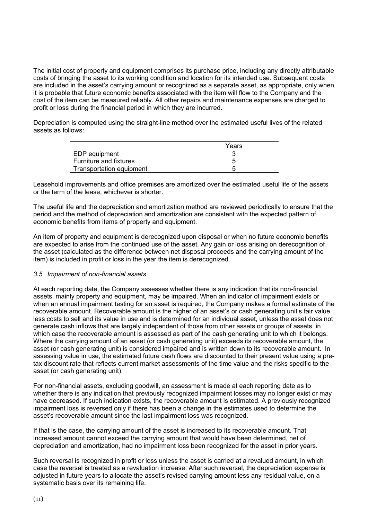The initial cost of property and equipment comprises its purchase price, including any directly attributable costs of bringing the asset to its working condition and location for its intended use. Subsequent costs are included in the asset's carrying amount or recognized as a separate asset, as appropriate, only when it is probable that future economic benefits associated with the item will flow to the Company and the cost of the item can be measured reliably. All other repairs and maintenance expenses are charged to profit or loss during the financial period in which they are incurred.

Depreciation is computed using the straight-line method over the estimated useful lives of the related assets as follows:

|                               | Years |
|-------------------------------|-------|
| EDP equipment                 |       |
| <b>Furniture and fixtures</b> | ∽     |
| Transportation equipment      |       |

Leasehold improvements and office premises are amortized over the estimated useful life of the assets or the term of the lease, whichever is shorter.

The useful life and the depreciation and amortization method are reviewed periodically to ensure that the period and the method of depreciation and amortization are consistent with the expected pattern of economic benefits from items of property and equipment.

An item of property and equipment is derecognized upon disposal or when no future economic benefits are expected to arise from the continued use of the asset. Any gain or loss arising on derecognition of the asset (calculated as the difference between net disposal proceeds and the carrying amount of the item) is included in profit or loss in the year the item is derecognized.

#### *3.5 Impairment of non-financial assets*

At each reporting date, the Company assesses whether there is any indication that its non-financial assets, mainly property and equipment, may be impaired. When an indicator of impairment exists or when an annual impairment testing for an asset is required, the Company makes a formal estimate of the recoverable amount. Recoverable amount is the higher of an asset's or cash generating unit's fair value less costs to sell and its value in use and is determined for an individual asset, unless the asset does not generate cash inflows that are largely independent of those from other assets or groups of assets, in which case the recoverable amount is assessed as part of the cash generating unit to which it belongs. Where the carrying amount of an asset (or cash generating unit) exceeds its recoverable amount, the asset (or cash generating unit) is considered impaired and is written down to its recoverable amount. In assessing value in use, the estimated future cash flows are discounted to their present value using a pretax discount rate that reflects current market assessments of the time value and the risks specific to the asset (or cash generating unit).

For non-financial assets, excluding goodwill, an assessment is made at each reporting date as to whether there is any indication that previously recognized impairment losses may no longer exist or may have decreased. If such indication exists, the recoverable amount is estimated. A previously recognized impairment loss is reversed only if there has been a change in the estimates used to determine the asset's recoverable amount since the last impairment loss was recognized.

If that is the case, the carrying amount of the asset is increased to its recoverable amount. That increased amount cannot exceed the carrying amount that would have been determined, net of depreciation and amortization, had no impairment loss been recognized for the asset in prior years.

Such reversal is recognized in profit or loss unless the asset is carried at a revalued amount, in which case the reversal is treated as a revaluation increase. After such reversal, the depreciation expense is adjusted in future years to allocate the asset's revised carrying amount less any residual value, on a systematic basis over its remaining life.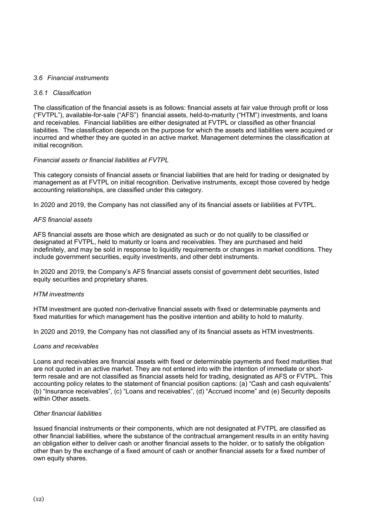#### *3.6 Financial instruments*

#### *3.6.1 Classification*

The classification of the financial assets is as follows: financial assets at fair value through profit or loss ("FVTPL"), available-for-sale ("AFS") financial assets, held-to-maturity ("HTM") investments, and loans and receivables. Financial liabilities are either designated at FVTPL or classified as other financial liabilities. The classification depends on the purpose for which the assets and liabilities were acquired or incurred and whether they are quoted in an active market. Management determines the classification at initial recognition.

#### *Financial assets or financial liabilities at FVTPL*

This category consists of financial assets or financial liabilities that are held for trading or designated by management as at FVTPL on initial recognition. Derivative instruments, except those covered by hedge accounting relationships, are classified under this category.

In 2020 and 2019, the Company has not classified any of its financial assets or liabilities at FVTPL.

#### *AFS financial assets*

AFS financial assets are those which are designated as such or do not qualify to be classified or designated at FVTPL, held to maturity or loans and receivables. They are purchased and held indefinitely, and may be sold in response to liquidity requirements or changes in market conditions. They include government securities, equity investments, and other debt instruments.

In 2020 and 2019, the Company's AFS financial assets consist of government debt securities, listed equity securities and proprietary shares.

#### *HTM investments*

HTM investment are quoted non-derivative financial assets with fixed or determinable payments and fixed maturities for which management has the positive intention and ability to hold to maturity.

In 2020 and 2019, the Company has not classified any of its financial assets as HTM investments.

#### *Loans and receivables*

Loans and receivables are financial assets with fixed or determinable payments and fixed maturities that are not quoted in an active market. They are not entered into with the intention of immediate or shortterm resale and are not classified as financial assets held for trading, designated as AFS or FVTPL. This accounting policy relates to the statement of financial position captions: (a) "Cash and cash equivalents" (b) "Insurance receivables", (c) "Loans and receivables", (d) "Accrued income" and (e) Security deposits within Other assets.

#### *Other financial liabilities*

Issued financial instruments or their components, which are not designated at FVTPL are classified as other financial liabilities, where the substance of the contractual arrangement results in an entity having an obligation either to deliver cash or another financial assets to the holder, or to satisfy the obligation other than by the exchange of a fixed amount of cash or another financial assets for a fixed number of own equity shares.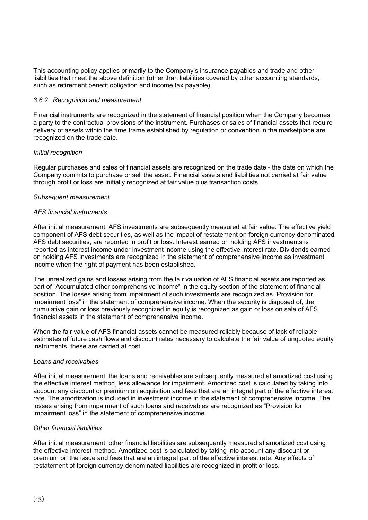This accounting policy applies primarily to the Company's insurance payables and trade and other liabilities that meet the above definition (other than liabilities covered by other accounting standards, such as retirement benefit obligation and income tax payable).

#### *3.6.2 Recognition and measurement*

Financial instruments are recognized in the statement of financial position when the Company becomes a party to the contractual provisions of the instrument. Purchases or sales of financial assets that require delivery of assets within the time frame established by regulation or convention in the marketplace are recognized on the trade date.

#### *Initial recognition*

Regular purchases and sales of financial assets are recognized on the trade date - the date on which the Company commits to purchase or sell the asset. Financial assets and liabilities not carried at fair value through profit or loss are initially recognized at fair value plus transaction costs.

#### *Subsequent measurement*

#### *AFS financial instruments*

After initial measurement, AFS investments are subsequently measured at fair value. The effective yield component of AFS debt securities, as well as the impact of restatement on foreign currency denominated AFS debt securities, are reported in profit or loss. Interest earned on holding AFS investments is reported as interest income under investment income using the effective interest rate. Dividends earned on holding AFS investments are recognized in the statement of comprehensive income as investment income when the right of payment has been established.

The unrealized gains and losses arising from the fair valuation of AFS financial assets are reported as part of "Accumulated other comprehensive income" in the equity section of the statement of financial position. The losses arising from impairment of such investments are recognized as "Provision for impairment loss" in the statement of comprehensive income. When the security is disposed of, the cumulative gain or loss previously recognized in equity is recognized as gain or loss on sale of AFS financial assets in the statement of comprehensive income.

When the fair value of AFS financial assets cannot be measured reliably because of lack of reliable estimates of future cash flows and discount rates necessary to calculate the fair value of unquoted equity instruments, these are carried at cost.

#### *Loans and receivables*

After initial measurement, the loans and receivables are subsequently measured at amortized cost using the effective interest method, less allowance for impairment. Amortized cost is calculated by taking into account any discount or premium on acquisition and fees that are an integral part of the effective interest rate. The amortization is included in investment income in the statement of comprehensive income. The losses arising from impairment of such loans and receivables are recognized as "Provision for impairment loss" in the statement of comprehensive income.

#### *Other financial liabilities*

After initial measurement, other financial liabilities are subsequently measured at amortized cost using the effective interest method. Amortized cost is calculated by taking into account any discount or premium on the issue and fees that are an integral part of the effective interest rate. Any effects of restatement of foreign currency-denominated liabilities are recognized in profit or loss.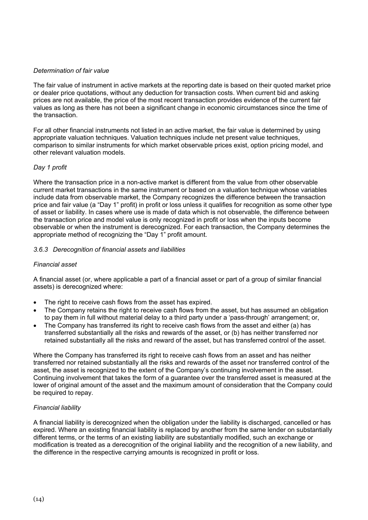#### *Determination of fair value*

The fair value of instrument in active markets at the reporting date is based on their quoted market price or dealer price quotations, without any deduction for transaction costs. When current bid and asking prices are not available, the price of the most recent transaction provides evidence of the current fair values as long as there has not been a significant change in economic circumstances since the time of the transaction.

For all other financial instruments not listed in an active market, the fair value is determined by using appropriate valuation techniques. Valuation techniques include net present value techniques, comparison to similar instruments for which market observable prices exist, option pricing model, and other relevant valuation models.

#### *Day 1 profit*

Where the transaction price in a non-active market is different from the value from other observable current market transactions in the same instrument or based on a valuation technique whose variables include data from observable market, the Company recognizes the difference between the transaction price and fair value (a "Day 1" profit) in profit or loss unless it qualifies for recognition as some other type of asset or liability. In cases where use is made of data which is not observable, the difference between the transaction price and model value is only recognized in profit or loss when the inputs become observable or when the instrument is derecognized. For each transaction, the Company determines the appropriate method of recognizing the "Day 1" profit amount.

#### *3.6.3 Derecognition of financial assets and liabilities*

#### *Financial asset*

A financial asset (or, where applicable a part of a financial asset or part of a group of similar financial assets) is derecognized where:

- The right to receive cash flows from the asset has expired.
- The Company retains the right to receive cash flows from the asset, but has assumed an obligation to pay them in full without material delay to a third party under a 'pass-through' arrangement; or,
- The Company has transferred its right to receive cash flows from the asset and either (a) has transferred substantially all the risks and rewards of the asset, or (b) has neither transferred nor retained substantially all the risks and reward of the asset, but has transferred control of the asset.

Where the Company has transferred its right to receive cash flows from an asset and has neither transferred nor retained substantially all the risks and rewards of the asset nor transferred control of the asset, the asset is recognized to the extent of the Company's continuing involvement in the asset. Continuing involvement that takes the form of a guarantee over the transferred asset is measured at the lower of original amount of the asset and the maximum amount of consideration that the Company could be required to repay.

#### *Financial liability*

A financial liability is derecognized when the obligation under the liability is discharged, cancelled or has expired. Where an existing financial liability is replaced by another from the same lender on substantially different terms, or the terms of an existing liability are substantially modified, such an exchange or modification is treated as a derecognition of the original liability and the recognition of a new liability, and the difference in the respective carrying amounts is recognized in profit or loss.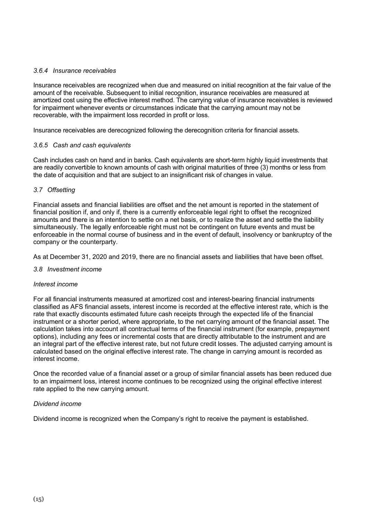#### *3.6.4 Insurance receivables*

Insurance receivables are recognized when due and measured on initial recognition at the fair value of the amount of the receivable. Subsequent to initial recognition, insurance receivables are measured at amortized cost using the effective interest method. The carrying value of insurance receivables is reviewed for impairment whenever events or circumstances indicate that the carrying amount may not be recoverable, with the impairment loss recorded in profit or loss.

Insurance receivables are derecognized following the derecognition criteria for financial assets.

#### *3.6.5 Cash and cash equivalents*

Cash includes cash on hand and in banks. Cash equivalents are short-term highly liquid investments that are readily convertible to known amounts of cash with original maturities of three (3) months or less from the date of acquisition and that are subject to an insignificant risk of changes in value.

#### *3.7 Offsetting*

Financial assets and financial liabilities are offset and the net amount is reported in the statement of financial position if, and only if, there is a currently enforceable legal right to offset the recognized amounts and there is an intention to settle on a net basis, or to realize the asset and settle the liability simultaneously. The legally enforceable right must not be contingent on future events and must be enforceable in the normal course of business and in the event of default, insolvency or bankruptcy of the company or the counterparty.

As at December 31, 2020 and 2019, there are no financial assets and liabilities that have been offset.

#### *3.8 Investment income*

#### *Interest income*

For all financial instruments measured at amortized cost and interest-bearing financial instruments classified as AFS financial assets, interest income is recorded at the effective interest rate, which is the rate that exactly discounts estimated future cash receipts through the expected life of the financial instrument or a shorter period, where appropriate, to the net carrying amount of the financial asset. The calculation takes into account all contractual terms of the financial instrument (for example, prepayment options), including any fees or incremental costs that are directly attributable to the instrument and are an integral part of the effective interest rate, but not future credit losses. The adjusted carrying amount is calculated based on the original effective interest rate. The change in carrying amount is recorded as interest income.

Once the recorded value of a financial asset or a group of similar financial assets has been reduced due to an impairment loss, interest income continues to be recognized using the original effective interest rate applied to the new carrying amount.

#### *Dividend income*

Dividend income is recognized when the Company's right to receive the payment is established.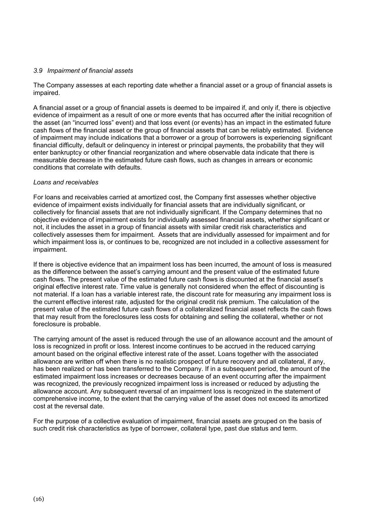#### *3.9 Impairment of financial assets*

The Company assesses at each reporting date whether a financial asset or a group of financial assets is impaired.

A financial asset or a group of financial assets is deemed to be impaired if, and only if, there is objective evidence of impairment as a result of one or more events that has occurred after the initial recognition of the asset (an "incurred loss" event) and that loss event (or events) has an impact in the estimated future cash flows of the financial asset or the group of financial assets that can be reliably estimated. Evidence of impairment may include indications that a borrower or a group of borrowers is experiencing significant financial difficulty, default or delinquency in interest or principal payments, the probability that they will enter bankruptcy or other financial reorganization and where observable data indicate that there is measurable decrease in the estimated future cash flows, such as changes in arrears or economic conditions that correlate with defaults.

#### *Loans and receivables*

For loans and receivables carried at amortized cost, the Company first assesses whether objective evidence of impairment exists individually for financial assets that are individually significant, or collectively for financial assets that are not individually significant. If the Company determines that no objective evidence of impairment exists for individually assessed financial assets, whether significant or not, it includes the asset in a group of financial assets with similar credit risk characteristics and collectively assesses them for impairment. Assets that are individually assessed for impairment and for which impairment loss is, or continues to be, recognized are not included in a collective assessment for impairment.

If there is objective evidence that an impairment loss has been incurred, the amount of loss is measured as the difference between the asset's carrying amount and the present value of the estimated future cash flows. The present value of the estimated future cash flows is discounted at the financial asset's original effective interest rate. Time value is generally not considered when the effect of discounting is not material. If a loan has a variable interest rate, the discount rate for measuring any impairment loss is the current effective interest rate, adjusted for the original credit risk premium. The calculation of the present value of the estimated future cash flows of a collateralized financial asset reflects the cash flows that may result from the foreclosures less costs for obtaining and selling the collateral, whether or not foreclosure is probable.

The carrying amount of the asset is reduced through the use of an allowance account and the amount of loss is recognized in profit or loss. Interest income continues to be accrued in the reduced carrying amount based on the original effective interest rate of the asset. Loans together with the associated allowance are written off when there is no realistic prospect of future recovery and all collateral, if any, has been realized or has been transferred to the Company. If in a subsequent period, the amount of the estimated impairment loss increases or decreases because of an event occurring after the impairment was recognized, the previously recognized impairment loss is increased or reduced by adjusting the allowance account. Any subsequent reversal of an impairment loss is recognized in the statement of comprehensive income, to the extent that the carrying value of the asset does not exceed its amortized cost at the reversal date.

For the purpose of a collective evaluation of impairment, financial assets are grouped on the basis of such credit risk characteristics as type of borrower, collateral type, past due status and term.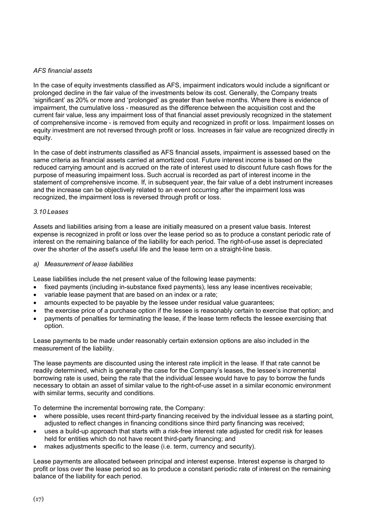#### *AFS financial assets*

In the case of equity investments classified as AFS, impairment indicators would include a significant or prolonged decline in the fair value of the investments below its cost. Generally, the Company treats 'significant' as 20% or more and 'prolonged' as greater than twelve months. Where there is evidence of impairment, the cumulative loss - measured as the difference between the acquisition cost and the current fair value, less any impairment loss of that financial asset previously recognized in the statement of comprehensive income - is removed from equity and recognized in profit or loss. Impairment losses on equity investment are not reversed through profit or loss. Increases in fair value are recognized directly in equity.

In the case of debt instruments classified as AFS financial assets, impairment is assessed based on the same criteria as financial assets carried at amortized cost. Future interest income is based on the reduced carrying amount and is accrued on the rate of interest used to discount future cash flows for the purpose of measuring impairment loss. Such accrual is recorded as part of interest income in the statement of comprehensive income. If, in subsequent year, the fair value of a debt instrument increases and the increase can be objectively related to an event occurring after the impairment loss was recognized, the impairment loss is reversed through profit or loss.

#### *3.10 Leases*

Assets and liabilities arising from a lease are initially measured on a present value basis. Interest expense is recognized in profit or loss over the lease period so as to produce a constant periodic rate of interest on the remaining balance of the liability for each period. The right-of-use asset is depreciated over the shorter of the asset's useful life and the lease term on a straight-line basis.

#### *a) Measurement of lease liabilities*

Lease liabilities include the net present value of the following lease payments:

- fixed payments (including in-substance fixed payments), less any lease incentives receivable;
- variable lease payment that are based on an index or a rate;
- amounts expected to be payable by the lessee under residual value guarantees;
- the exercise price of a purchase option if the lessee is reasonably certain to exercise that option; and
- payments of penalties for terminating the lease, if the lease term reflects the lessee exercising that option.

Lease payments to be made under reasonably certain extension options are also included in the measurement of the liability.

The lease payments are discounted using the interest rate implicit in the lease. If that rate cannot be readily determined, which is generally the case for the Company's leases, the lessee's incremental borrowing rate is used, being the rate that the individual lessee would have to pay to borrow the funds necessary to obtain an asset of similar value to the right-of-use asset in a similar economic environment with similar terms, security and conditions.

To determine the incremental borrowing rate, the Company:

- where possible, uses recent third-party financing received by the individual lessee as a starting point, adjusted to reflect changes in financing conditions since third party financing was received;
- uses a build-up approach that starts with a risk-free interest rate adjusted for credit risk for leases held for entities which do not have recent third-party financing; and
- makes adjustments specific to the lease (i.e. term, currency and security).

Lease payments are allocated between principal and interest expense. Interest expense is charged to profit or loss over the lease period so as to produce a constant periodic rate of interest on the remaining balance of the liability for each period.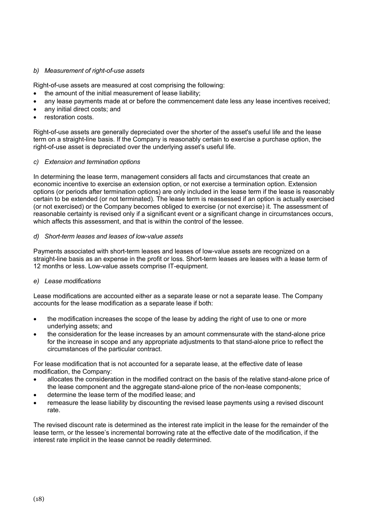#### *b) Measurement of right-of-use assets*

Right-of-use assets are measured at cost comprising the following:

- the amount of the initial measurement of lease liability;
- any lease payments made at or before the commencement date less any lease incentives received;
- any initial direct costs; and
- restoration costs.

Right-of-use assets are generally depreciated over the shorter of the asset's useful life and the lease term on a straight-line basis. If the Company is reasonably certain to exercise a purchase option, the right-of-use asset is depreciated over the underlying asset's useful life.

#### *c) Extension and termination options*

In determining the lease term, management considers all facts and circumstances that create an economic incentive to exercise an extension option, or not exercise a termination option. Extension options (or periods after termination options) are only included in the lease term if the lease is reasonably certain to be extended (or not terminated). The lease term is reassessed if an option is actually exercised (or not exercised) or the Company becomes obliged to exercise (or not exercise) it. The assessment of reasonable certainty is revised only if a significant event or a significant change in circumstances occurs, which affects this assessment, and that is within the control of the lessee.

#### *d) Short-term leases and leases of low-value assets*

Payments associated with short-term leases and leases of low-value assets are recognized on a straight-line basis as an expense in the profit or loss. Short-term leases are leases with a lease term of 12 months or less. Low-value assets comprise IT-equipment.

#### *e) Lease modifications*

Lease modifications are accounted either as a separate lease or not a separate lease. The Company accounts for the lease modification as a separate lease if both:

- the modification increases the scope of the lease by adding the right of use to one or more underlying assets; and
- the consideration for the lease increases by an amount commensurate with the stand-alone price for the increase in scope and any appropriate adjustments to that stand-alone price to reflect the circumstances of the particular contract.

For lease modification that is not accounted for a separate lease, at the effective date of lease modification, the Company:

- allocates the consideration in the modified contract on the basis of the relative stand-alone price of the lease component and the aggregate stand-alone price of the non-lease components;
- determine the lease term of the modified lease; and
- remeasure the lease liability by discounting the revised lease payments using a revised discount rate.

The revised discount rate is determined as the interest rate implicit in the lease for the remainder of the lease term, or the lessee's incremental borrowing rate at the effective date of the modification, if the interest rate implicit in the lease cannot be readily determined.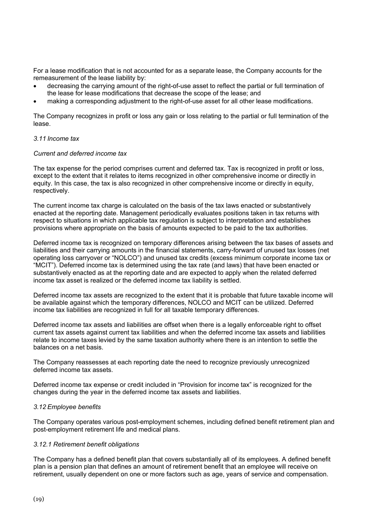For a lease modification that is not accounted for as a separate lease, the Company accounts for the remeasurement of the lease liability by:

- decreasing the carrying amount of the right-of-use asset to reflect the partial or full termination of the lease for lease modifications that decrease the scope of the lease; and
- making a corresponding adjustment to the right-of-use asset for all other lease modifications.

The Company recognizes in profit or loss any gain or loss relating to the partial or full termination of the lease.

#### *3.11 Income tax*

#### *Current and deferred income tax*

The tax expense for the period comprises current and deferred tax. Tax is recognized in profit or loss, except to the extent that it relates to items recognized in other comprehensive income or directly in equity. In this case, the tax is also recognized in other comprehensive income or directly in equity, respectively.

The current income tax charge is calculated on the basis of the tax laws enacted or substantively enacted at the reporting date. Management periodically evaluates positions taken in tax returns with respect to situations in which applicable tax regulation is subject to interpretation and establishes provisions where appropriate on the basis of amounts expected to be paid to the tax authorities.

Deferred income tax is recognized on temporary differences arising between the tax bases of assets and liabilities and their carrying amounts in the financial statements, carry-forward of unused tax losses (net operating loss carryover or "NOLCO") and unused tax credits (excess minimum corporate income tax or "MCIT"). Deferred income tax is determined using the tax rate (and laws) that have been enacted or substantively enacted as at the reporting date and are expected to apply when the related deferred income tax asset is realized or the deferred income tax liability is settled.

Deferred income tax assets are recognized to the extent that it is probable that future taxable income will be available against which the temporary differences, NOLCO and MCIT can be utilized. Deferred income tax liabilities are recognized in full for all taxable temporary differences.

Deferred income tax assets and liabilities are offset when there is a legally enforceable right to offset current tax assets against current tax liabilities and when the deferred income tax assets and liabilities relate to income taxes levied by the same taxation authority where there is an intention to settle the balances on a net basis.

The Company reassesses at each reporting date the need to recognize previously unrecognized deferred income tax assets.

Deferred income tax expense or credit included in "Provision for income tax" is recognized for the changes during the year in the deferred income tax assets and liabilities.

#### *3.12 Employee benefits*

The Company operates various post-employment schemes, including defined benefit retirement plan and post-employment retirement life and medical plans.

#### *3.12.1 Retirement benefit obligations*

The Company has a defined benefit plan that covers substantially all of its employees. A defined benefit plan is a pension plan that defines an amount of retirement benefit that an employee will receive on retirement, usually dependent on one or more factors such as age, years of service and compensation.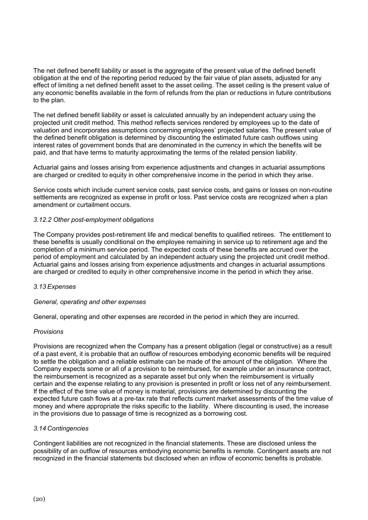The net defined benefit liability or asset is the aggregate of the present value of the defined benefit obligation at the end of the reporting period reduced by the fair value of plan assets, adjusted for any effect of limiting a net defined benefit asset to the asset ceiling. The asset ceiling is the present value of any economic benefits available in the form of refunds from the plan or reductions in future contributions to the plan.

The net defined benefit liability or asset is calculated annually by an independent actuary using the projected unit credit method. This method reflects services rendered by employees up to the date of valuation and incorporates assumptions concerning employees' projected salaries. The present value of the defined benefit obligation is determined by discounting the estimated future cash outflows using interest rates of government bonds that are denominated in the currency in which the benefits will be paid, and that have terms to maturity approximating the terms of the related pension liability.

Actuarial gains and losses arising from experience adjustments and changes in actuarial assumptions are charged or credited to equity in other comprehensive income in the period in which they arise.

Service costs which include current service costs, past service costs, and gains or losses on non-routine settlements are recognized as expense in profit or loss. Past service costs are recognized when a plan amendment or curtailment occurs.

#### *3.12.2 Other post-employment obligations*

The Company provides post-retirement life and medical benefits to qualified retirees. The entitlement to these benefits is usually conditional on the employee remaining in service up to retirement age and the completion of a minimum service period. The expected costs of these benefits are accrued over the period of employment and calculated by an independent actuary using the projected unit credit method. Actuarial gains and losses arising from experience adjustments and changes in actuarial assumptions are charged or credited to equity in other comprehensive income in the period in which they arise.

#### *3.13 Expenses*

#### *General, operating and other expenses*

General, operating and other expenses are recorded in the period in which they are incurred.

#### *Provisions*

Provisions are recognized when the Company has a present obligation (legal or constructive) as a result of a past event, it is probable that an outflow of resources embodying economic benefits will be required to settle the obligation and a reliable estimate can be made of the amount of the obligation. Where the Company expects some or all of a provision to be reimbursed, for example under an insurance contract, the reimbursement is recognized as a separate asset but only when the reimbursement is virtually certain and the expense relating to any provision is presented in profit or loss net of any reimbursement. If the effect of the time value of money is material, provisions are determined by discounting the expected future cash flows at a pre-tax rate that reflects current market assessments of the time value of money and where appropriate the risks specific to the liability. Where discounting is used, the increase in the provisions due to passage of time is recognized as a borrowing cost.

#### *3.14 Contingencies*

Contingent liabilities are not recognized in the financial statements. These are disclosed unless the possibility of an outflow of resources embodying economic benefits is remote. Contingent assets are not recognized in the financial statements but disclosed when an inflow of economic benefits is probable.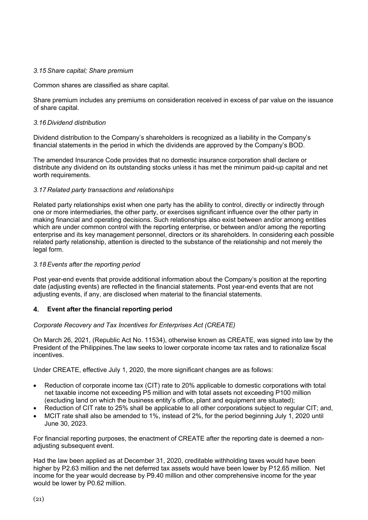#### *3.15 Share capital; Share premium*

Common shares are classified as share capital.

Share premium includes any premiums on consideration received in excess of par value on the issuance of share capital.

#### *3.16 Dividend distribution*

Dividend distribution to the Company's shareholders is recognized as a liability in the Company's financial statements in the period in which the dividends are approved by the Company's BOD.

The amended Insurance Code provides that no domestic insurance corporation shall declare or distribute any dividend on its outstanding stocks unless it has met the minimum paid-up capital and net worth requirements.

#### *3.17 Related party transactions and relationships*

Related party relationships exist when one party has the ability to control, directly or indirectly through one or more intermediaries, the other party, or exercises significant influence over the other party in making financial and operating decisions. Such relationships also exist between and/or among entities which are under common control with the reporting enterprise, or between and/or among the reporting enterprise and its key management personnel, directors or its shareholders. In considering each possible related party relationship, attention is directed to the substance of the relationship and not merely the legal form.

#### *3.18 Events after the reporting period*

Post year-end events that provide additional information about the Company's position at the reporting date (adjusting events) are reflected in the financial statements. Post year-end events that are not adjusting events, if any, are disclosed when material to the financial statements.

#### **Event after the financial reporting period**

#### *Corporate Recovery and Tax Incentives for Enterprises Act (CREATE)*

On March 26, 2021, (Republic Act No. 11534), otherwise known as CREATE, was signed into law by the President of the Philippines.The law seeks to lower corporate income tax rates and to rationalize fiscal incentives.

Under CREATE, effective July 1, 2020, the more significant changes are as follows:

- Reduction of corporate income tax (CIT) rate to 20% applicable to domestic corporations with total net taxable income not exceeding P5 million and with total assets not exceeding P100 million (excluding land on which the business entity's office, plant and equipment are situated);
- Reduction of CIT rate to 25% shall be applicable to all other corporations subject to regular CIT; and,
- MCIT rate shall also be amended to 1%, instead of 2%, for the period beginning July 1, 2020 until June 30, 2023.

For financial reporting purposes, the enactment of CREATE after the reporting date is deemed a nonadjusting subsequent event.

Had the law been applied as at December 31, 2020, creditable withholding taxes would have been higher by P2.63 million and the net deferred tax assets would have been lower by P12.65 million. Net income for the year would decrease by P9.40 million and other comprehensive income for the year would be lower by P0.62 million.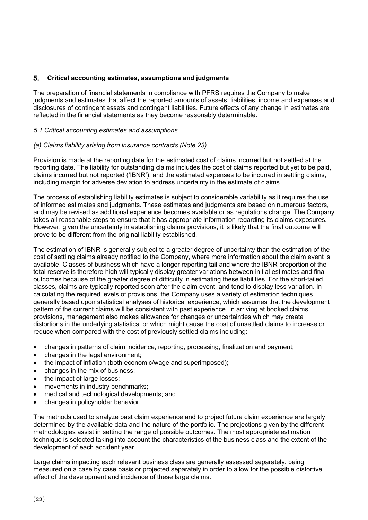#### $5<sub>-</sub>$ **Critical accounting estimates, assumptions and judgments**

The preparation of financial statements in compliance with PFRS requires the Company to make judgments and estimates that affect the reported amounts of assets, liabilities, income and expenses and disclosures of contingent assets and contingent liabilities. Future effects of any change in estimates are reflected in the financial statements as they become reasonably determinable.

#### *5.1 Critical accounting estimates and assumptions*

#### *(a) Claims liability arising from insurance contracts (Note 23)*

Provision is made at the reporting date for the estimated cost of claims incurred but not settled at the reporting date. The liability for outstanding claims includes the cost of claims reported but yet to be paid, claims incurred but not reported ('IBNR'), and the estimated expenses to be incurred in settling claims, including margin for adverse deviation to address uncertainty in the estimate of claims.

The process of establishing liability estimates is subject to considerable variability as it requires the use of informed estimates and judgments. These estimates and judgments are based on numerous factors, and may be revised as additional experience becomes available or as regulations change. The Company takes all reasonable steps to ensure that it has appropriate information regarding its claims exposures. However, given the uncertainty in establishing claims provisions, it is likely that the final outcome will prove to be different from the original liability established.

The estimation of IBNR is generally subject to a greater degree of uncertainty than the estimation of the cost of settling claims already notified to the Company, where more information about the claim event is available. Classes of business which have a longer reporting tail and where the IBNR proportion of the total reserve is therefore high will typically display greater variations between initial estimates and final outcomes because of the greater degree of difficulty in estimating these liabilities. For the short-tailed classes, claims are typically reported soon after the claim event, and tend to display less variation. In calculating the required levels of provisions, the Company uses a variety of estimation techniques, generally based upon statistical analyses of historical experience, which assumes that the development pattern of the current claims will be consistent with past experience. In arriving at booked claims provisions, management also makes allowance for changes or uncertainties which may create distortions in the underlying statistics, or which might cause the cost of unsettled claims to increase or reduce when compared with the cost of previously settled claims including:

- changes in patterns of claim incidence, reporting, processing, finalization and payment;
- changes in the legal environment;
- the impact of inflation (both economic/wage and superimposed);
- changes in the mix of business;
- the impact of large losses;
- movements in industry benchmarks;
- medical and technological developments; and
- changes in policyholder behavior.

The methods used to analyze past claim experience and to project future claim experience are largely determined by the available data and the nature of the portfolio. The projections given by the different methodologies assist in setting the range of possible outcomes. The most appropriate estimation technique is selected taking into account the characteristics of the business class and the extent of the development of each accident year.

Large claims impacting each relevant business class are generally assessed separately, being measured on a case by case basis or projected separately in order to allow for the possible distortive effect of the development and incidence of these large claims.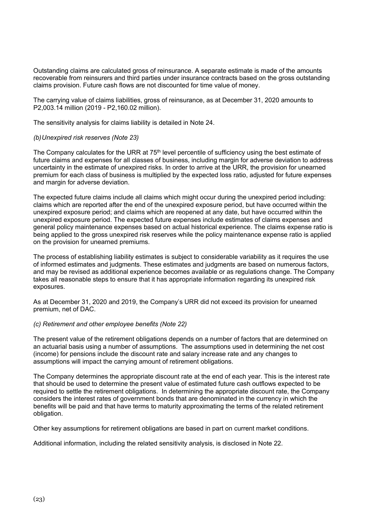Outstanding claims are calculated gross of reinsurance. A separate estimate is made of the amounts recoverable from reinsurers and third parties under insurance contracts based on the gross outstanding claims provision. Future cash flows are not discounted for time value of money.

The carrying value of claims liabilities, gross of reinsurance, as at December 31, 2020 amounts to P2,003.14 million (2019 - P2,160.02 million).

The sensitivity analysis for claims liability is detailed in Note 24.

#### *(b)Unexpired risk reserves (Note 23)*

The Company calculates for the URR at 75<sup>th</sup> level percentile of sufficiency using the best estimate of future claims and expenses for all classes of business, including margin for adverse deviation to address uncertainty in the estimate of unexpired risks. In order to arrive at the URR, the provision for unearned premium for each class of business is multiplied by the expected loss ratio, adjusted for future expenses and margin for adverse deviation.

The expected future claims include all claims which might occur during the unexpired period including: claims which are reported after the end of the unexpired exposure period, but have occurred within the unexpired exposure period; and claims which are reopened at any date, but have occurred within the unexpired exposure period. The expected future expenses include estimates of claims expenses and general policy maintenance expenses based on actual historical experience. The claims expense ratio is being applied to the gross unexpired risk reserves while the policy maintenance expense ratio is applied on the provision for unearned premiums.

The process of establishing liability estimates is subject to considerable variability as it requires the use of informed estimates and judgments. These estimates and judgments are based on numerous factors, and may be revised as additional experience becomes available or as regulations change. The Company takes all reasonable steps to ensure that it has appropriate information regarding its unexpired risk exposures.

As at December 31, 2020 and 2019, the Company's URR did not exceed its provision for unearned premium, net of DAC.

#### *(c) Retirement and other employee benefits (Note 22)*

The present value of the retirement obligations depends on a number of factors that are determined on an actuarial basis using a number of assumptions. The assumptions used in determining the net cost (income) for pensions include the discount rate and salary increase rate and any changes to assumptions will impact the carrying amount of retirement obligations.

The Company determines the appropriate discount rate at the end of each year. This is the interest rate that should be used to determine the present value of estimated future cash outflows expected to be required to settle the retirement obligations. In determining the appropriate discount rate, the Company considers the interest rates of government bonds that are denominated in the currency in which the benefits will be paid and that have terms to maturity approximating the terms of the related retirement obligation.

Other key assumptions for retirement obligations are based in part on current market conditions.

Additional information, including the related sensitivity analysis, is disclosed in Note 22.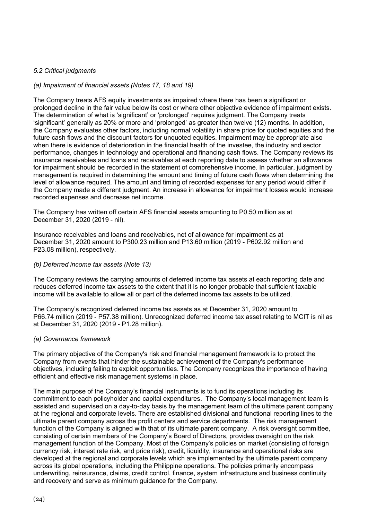#### *5.2 Critical judgments*

#### *(a) Impairment of financial assets (Notes 17, 18 and 19)*

The Company treats AFS equity investments as impaired where there has been a significant or prolonged decline in the fair value below its cost or where other objective evidence of impairment exists. The determination of what is 'significant' or 'prolonged' requires judgment. The Company treats 'significant' generally as 20% or more and 'prolonged' as greater than twelve (12) months. In addition, the Company evaluates other factors, including normal volatility in share price for quoted equities and the future cash flows and the discount factors for unquoted equities. Impairment may be appropriate also when there is evidence of deterioration in the financial health of the investee, the industry and sector performance, changes in technology and operational and financing cash flows. The Company reviews its insurance receivables and loans and receivables at each reporting date to assess whether an allowance for impairment should be recorded in the statement of comprehensive income. In particular, judgment by management is required in determining the amount and timing of future cash flows when determining the level of allowance required. The amount and timing of recorded expenses for any period would differ if the Company made a different judgment. An increase in allowance for impairment losses would increase recorded expenses and decrease net income.

The Company has written off certain AFS financial assets amounting to P0.50 million as at December 31, 2020 (2019 - nil).

Insurance receivables and loans and receivables, net of allowance for impairment as at December 31, 2020 amount to P300.23 million and P13.60 million (2019 - P602.92 million and P23.08 million), respectively.

#### *(b) Deferred income tax assets (Note 13)*

The Company reviews the carrying amounts of deferred income tax assets at each reporting date and reduces deferred income tax assets to the extent that it is no longer probable that sufficient taxable income will be available to allow all or part of the deferred income tax assets to be utilized.

The Company's recognized deferred income tax assets as at December 31, 2020 amount to P66.74 million (2019 - P57.38 million). Unrecognized deferred income tax asset relating to MCIT is nil as at December 31, 2020 (2019 - P1.28 million).

#### *(a) Governance framework*

The primary objective of the Company's risk and financial management framework is to protect the Company from events that hinder the sustainable achievement of the Company's performance objectives, including failing to exploit opportunities. The Company recognizes the importance of having efficient and effective risk management systems in place.

The main purpose of the Company's financial instruments is to fund its operations including its commitment to each policyholder and capital expenditures. The Company's local management team is assisted and supervised on a day-to-day basis by the management team of the ultimate parent company at the regional and corporate levels. There are established divisional and functional reporting lines to the ultimate parent company across the profit centers and service departments. The risk management function of the Company is aligned with that of its ultimate parent company. A risk oversight committee, consisting of certain members of the Company's Board of Directors, provides oversight on the risk management function of the Company. Most of the Company's policies on market (consisting of foreign currency risk, interest rate risk, and price risk), credit, liquidity, insurance and operational risks are developed at the regional and corporate levels which are implemented by the ultimate parent company across its global operations, including the Philippine operations. The policies primarily encompass underwriting, reinsurance, claims, credit control, finance, system infrastructure and business continuity and recovery and serve as minimum guidance for the Company.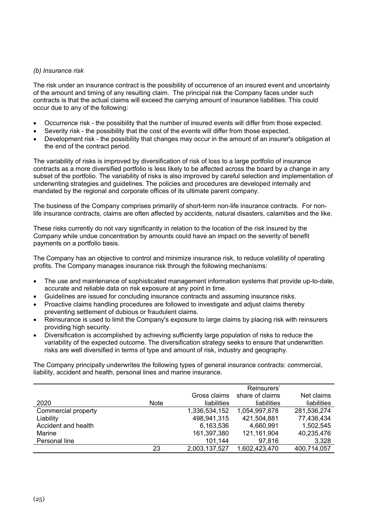#### *(b) Insurance risk*

The risk under an insurance contract is the possibility of occurrence of an insured event and uncertainty of the amount and timing of any resulting claim. The principal risk the Company faces under such contracts is that the actual claims will exceed the carrying amount of insurance liabilities. This could occur due to any of the following:

- Occurrence risk the possibility that the number of insured events will differ from those expected.
- Severity risk the possibility that the cost of the events will differ from those expected.
- Development risk the possibility that changes may occur in the amount of an insurer's obligation at the end of the contract period.

The variability of risks is improved by diversification of risk of loss to a large portfolio of insurance contracts as a more diversified portfolio is less likely to be affected across the board by a change in any subset of the portfolio. The variability of risks is also improved by careful selection and implementation of underwriting strategies and guidelines. The policies and procedures are developed internally and mandated by the regional and corporate offices of its ultimate parent company.

The business of the Company comprises primarily of short-term non-life insurance contracts. For nonlife insurance contracts, claims are often affected by accidents, natural disasters, calamities and the like.

These risks currently do not vary significantly in relation to the location of the risk insured by the Company while undue concentration by amounts could have an impact on the severity of benefit payments on a portfolio basis.

The Company has an objective to control and minimize insurance risk, to reduce volatility of operating profits. The Company manages insurance risk through the following mechanisms:

- The use and maintenance of sophisticated management information systems that provide up-to-date, accurate and reliable data on risk exposure at any point in time.
- Guidelines are issued for concluding insurance contracts and assuming insurance risks.
- Proactive claims handling procedures are followed to investigate and adjust claims thereby preventing settlement of dubious or fraudulent claims.
- Reinsurance is used to limit the Company's exposure to large claims by placing risk with reinsurers providing high security.
- Diversification is accomplished by achieving sufficiently large population of risks to reduce the variability of the expected outcome. The diversification strategy seeks to ensure that underwritten risks are well diversified in terms of type and amount of risk, industry and geography.

The Company principally underwrites the following types of general insurance contracts: commercial, liability, accident and health, personal lines and marine insurance.

|                     |             |               | Reinsurers'     |             |
|---------------------|-------------|---------------|-----------------|-------------|
|                     |             | Gross claims  | share of claims | Net claims  |
| 2020                | <b>Note</b> | liabilities   | liabilities     | liabilities |
| Commercial property |             | 1,336,534,152 | 1,054,997,878   | 281,536,274 |
| Liability           |             | 498,941,315   | 421,504,881     | 77,436,434  |
| Accident and health |             | 6,163,536     | 4,660,991       | 1,502,545   |
| Marine              |             | 161,397,380   | 121,161,904     | 40,235,476  |
| Personal line       |             | 101,144       | 97,816          | 3,328       |
|                     | 23          | 2,003,137,527 | 1,602,423,470   | 400,714,057 |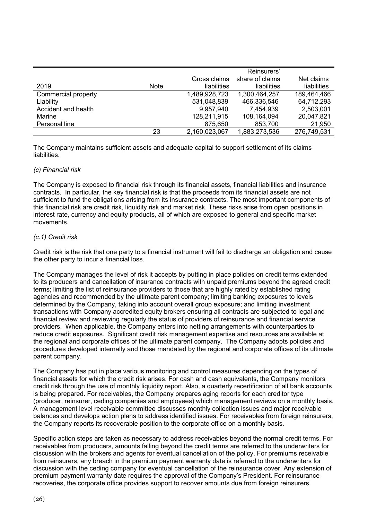|                     |      |               | Reinsurers'     |             |
|---------------------|------|---------------|-----------------|-------------|
|                     |      | Gross claims  | share of claims | Net claims  |
| 2019                | Note | liabilities   | liabilities     | liabilities |
| Commercial property |      | 1,489,928,723 | 1,300,464,257   | 189,464,466 |
| Liability           |      | 531,048,839   | 466,336,546     | 64,712,293  |
| Accident and health |      | 9,957,940     | 7,454,939       | 2,503,001   |
| Marine              |      | 128,211,915   | 108,164,094     | 20,047,821  |
| Personal line       |      | 875,650       | 853,700         | 21,950      |
|                     | 23   | 2,160,023,067 | 1,883,273,536   | 276,749,531 |

The Company maintains sufficient assets and adequate capital to support settlement of its claims liabilities.

#### *(c) Financial risk*

The Company is exposed to financial risk through its financial assets, financial liabilities and insurance contracts. In particular, the key financial risk is that the proceeds from its financial assets are not sufficient to fund the obligations arising from its insurance contracts. The most important components of this financial risk are credit risk, liquidity risk and market risk. These risks arise from open positions in interest rate, currency and equity products, all of which are exposed to general and specific market movements.

#### *(c.1) Credit risk*

Credit risk is the risk that one party to a financial instrument will fail to discharge an obligation and cause the other party to incur a financial loss.

The Company manages the level of risk it accepts by putting in place policies on credit terms extended to its producers and cancellation of insurance contracts with unpaid premiums beyond the agreed credit terms; limiting the list of reinsurance providers to those that are highly rated by established rating agencies and recommended by the ultimate parent company; limiting banking exposures to levels determined by the Company, taking into account overall group exposure; and limiting investment transactions with Company accredited equity brokers ensuring all contracts are subjected to legal and financial review and reviewing regularly the status of providers of reinsurance and financial service providers. When applicable, the Company enters into netting arrangements with counterparties to reduce credit exposures. Significant credit risk management expertise and resources are available at the regional and corporate offices of the ultimate parent company. The Company adopts policies and procedures developed internally and those mandated by the regional and corporate offices of its ultimate parent company.

The Company has put in place various monitoring and control measures depending on the types of financial assets for which the credit risk arises. For cash and cash equivalents, the Company monitors credit risk through the use of monthly liquidity report. Also, a quarterly recertification of all bank accounts is being prepared. For receivables, the Company prepares aging reports for each creditor type (producer, reinsurer, ceding companies and employees) which management reviews on a monthly basis. A management level receivable committee discusses monthly collection issues and major receivable balances and develops action plans to address identified issues. For receivables from foreign reinsurers, the Company reports its recoverable position to the corporate office on a monthly basis.

Specific action steps are taken as necessary to address receivables beyond the normal credit terms. For receivables from producers, amounts falling beyond the credit terms are referred to the underwriters for discussion with the brokers and agents for eventual cancellation of the policy. For premiums receivable from reinsurers, any breach in the premium payment warranty date is referred to the underwriters for discussion with the ceding company for eventual cancellation of the reinsurance cover. Any extension of premium payment warranty date requires the approval of the Company's President. For reinsurance recoveries, the corporate office provides support to recover amounts due from foreign reinsurers.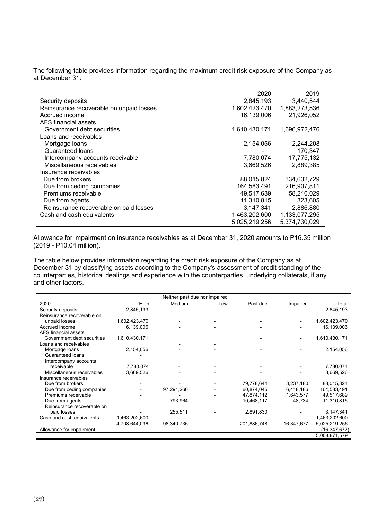|                                          | 2020          | 2019          |
|------------------------------------------|---------------|---------------|
| Security deposits                        | 2,845,193     | 3,440,544     |
| Reinsurance recoverable on unpaid losses | 1,602,423,470 | 1,883,273,536 |
| Accrued income                           | 16,139,006    | 21,926,052    |
| AFS financial assets                     |               |               |
| Government debt securities               | 1,610,430,171 | 1,696,972,476 |
| Loans and receivables                    |               |               |
| Mortgage loans                           | 2,154,056     | 2,244,208     |
| Guaranteed loans                         |               | 170,347       |
| Intercompany accounts receivable         | 7,780,074     | 17,775,132    |
| Miscellaneous receivables                | 3,669,526     | 2,889,385     |
| Insurance receivables                    |               |               |
| Due from brokers                         | 88,015,824    | 334,632,729   |
| Due from ceding companies                | 164,583,491   | 216,907,811   |
| Premiums receivable                      | 49,517,689    | 58,210,029    |
| Due from agents                          | 11,310,815    | 323,605       |
| Reinsurance recoverable on paid losses   | 3,147,341     | 2,886,880     |
| Cash and cash equivalents                | 1,463,202,600 | 1,133,077,295 |
|                                          | 5,025,219,256 | 5,374,730,029 |

The following table provides information regarding the maximum credit risk exposure of the Company as at December 31:

Allowance for impairment on insurance receivables as at December 31, 2020 amounts to P16.35 million (2019 - P10.04 million).

The table below provides information regarding the credit risk exposure of the Company as at December 31 by classifying assets according to the Company's assessment of credit standing of the counterparties, historical dealings and experience with the counterparties, underlying collaterals, if any and other factors.

|                            |               | Neither past due nor impaired |     |             |            |               |
|----------------------------|---------------|-------------------------------|-----|-------------|------------|---------------|
| 2020                       | High          | Medium                        | Low | Past due    | Impaired   | Total         |
| Security deposits          | 2,845,193     |                               |     |             |            | 2,845,193     |
| Reinsurance recoverable on |               |                               |     |             |            |               |
| unpaid losses              | 1,602,423,470 |                               |     |             |            | 1,602,423,470 |
| Accrued income             | 16,139,006    |                               |     |             |            | 16,139,006    |
| AFS financial assets       |               |                               |     |             |            |               |
| Government debt securities | 1,610,430,171 |                               |     |             |            | 1,610,430,171 |
| Loans and receivables      |               |                               |     |             |            |               |
| Mortgage loans             | 2,154,056     |                               |     |             |            | 2,154,056     |
| Guaranteed loans           |               |                               |     |             |            |               |
| Intercompany accounts      |               |                               |     |             |            |               |
| receivable                 | 7,780,074     |                               |     |             |            | 7,780,074     |
| Miscellaneous receivables  | 3,669,526     |                               |     |             |            | 3,669,526     |
| Insurance receivables      |               |                               |     |             |            |               |
| Due from brokers           |               |                               |     | 79,778,644  | 8,237,180  | 88,015,824    |
| Due from ceding companies  |               | 97,291,260                    |     | 60,874,045  | 6,418,186  | 164,583,491   |
| Premiums receivable        |               |                               |     | 47,874,112  | 1,643,577  | 49,517,689    |
| Due from agents            |               | 793,964                       |     | 10,468,117  | 48.734     | 11,310,815    |
| Reinsurance recoverable on |               |                               |     |             |            |               |
| paid losses                |               | 255,511                       |     | 2,891,830   |            | 3,147,341     |
| Cash and cash equivalents  | 1,463,202,600 |                               |     |             |            | 1,463,202,600 |
|                            | 4,708,644,096 | 98,340,735                    |     | 201,886,748 | 16,347,677 | 5,025,219,256 |
| Allowance for impairment   |               |                               |     |             |            | (16,347,677)  |
|                            |               |                               |     |             |            | 5,008,871,579 |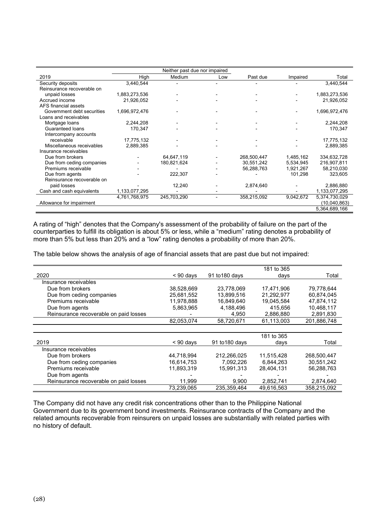| Neither past due nor impaired |               |             |     |             |           |               |
|-------------------------------|---------------|-------------|-----|-------------|-----------|---------------|
| 2019                          | High          | Medium      | Low | Past due    | Impaired  | Total         |
| Security deposits             | 3,440,544     |             |     |             |           | 3,440,544     |
| Reinsurance recoverable on    |               |             |     |             |           |               |
| unpaid losses                 | 1,883,273,536 |             |     |             |           | 1,883,273,536 |
| Accrued income                | 21,926,052    |             |     |             |           | 21,926,052    |
| AFS financial assets          |               |             |     |             |           |               |
| Government debt securities    | 1,696,972,476 |             |     |             |           | 1,696,972,476 |
| Loans and receivables         |               |             |     |             |           |               |
| Mortgage loans                | 2,244,208     |             |     |             |           | 2,244,208     |
| Guaranteed loans              | 170,347       |             |     |             |           | 170,347       |
| Intercompany accounts         |               |             |     |             |           |               |
| receivable                    | 17,775,132    |             |     |             |           | 17,775,132    |
| Miscellaneous receivables     | 2,889,385     |             |     |             |           | 2,889,385     |
| Insurance receivables         |               |             |     |             |           |               |
| Due from brokers              |               | 64,647,119  |     | 268,500,447 | 1,485,162 | 334,632,728   |
| Due from ceding companies     |               | 180,821,624 |     | 30,551,242  | 5,534,945 | 216,907,811   |
| Premiums receivable           |               |             |     | 56,288,763  | 1,921,267 | 58,210,030    |
| Due from agents               |               | 222,307     |     |             | 101,298   | 323,605       |
| Reinsurance recoverable on    |               |             |     |             |           |               |
| paid losses                   |               | 12,240      |     | 2,874,640   |           | 2,886,880     |
| Cash and cash equivalents     | 1,133,077,295 |             |     |             |           | 1,133,077,295 |
|                               | 4,761,768,975 | 245,703,290 |     | 358,215,092 | 9,042,672 | 5,374,730,029 |
| Allowance for impairment      |               |             |     |             |           | (10,040,863)  |
|                               |               |             |     |             |           | 5,364,689,166 |

A rating of "high" denotes that the Company's assessment of the probability of failure on the part of the counterparties to fulfill its obligation is about 5% or less, while a "medium" rating denotes a probability of more than 5% but less than 20% and a "low" rating denotes a probability of more than 20%.

The table below shows the analysis of age of financial assets that are past due but not impaired:

|                                        |             |                | 181 to 365 |             |
|----------------------------------------|-------------|----------------|------------|-------------|
| 2020                                   | $< 90$ days | 91 to 180 days | days       | Total       |
| Insurance receivables                  |             |                |            |             |
| Due from brokers                       | 38,528,669  | 23,778,069     | 17.471.906 | 79,778,644  |
| Due from ceding companies              | 25,681,552  | 13,899,516     | 21,292,977 | 60,874,045  |
| Premiums receivable                    | 11,978,888  | 16,849,640     | 19,045,584 | 47,874,112  |
| Due from agents                        | 5,863,965   | 4,188,496      | 415,656    | 10,468,117  |
| Reinsurance recoverable on paid losses |             | 4,950          | 2,886,880  | 2,891,830   |
|                                        | 82,053,074  | 58,720,671     | 61,113,003 | 201,886,748 |
|                                        |             |                |            |             |
|                                        |             |                | 181 to 365 |             |
| 2019                                   | $< 90$ days | 91 to 180 days | days       | Total       |
| Insurance receivables                  |             |                |            |             |
| Due from brokers                       | 44,718,994  | 212,266,025    | 11,515,428 | 268,500,447 |
| Due from ceding companies              | 16,614,753  | 7,092,226      | 6,844,263  | 30,551,242  |
| Premiums receivable                    | 11,893,319  | 15,991,313     | 28,404,131 | 56,288,763  |
| Due from agents                        |             |                |            |             |
| Reinsurance recoverable on paid losses | 11,999      | 9,900          | 2,852,741  | 2,874,640   |
|                                        | 73,239,065  | 235,359,464    | 49,616,563 | 358,215,092 |

The Company did not have any credit risk concentrations other than to the Philippine National Government due to its government bond investments. Reinsurance contracts of the Company and the related amounts recoverable from reinsurers on unpaid losses are substantially with related parties with no history of default.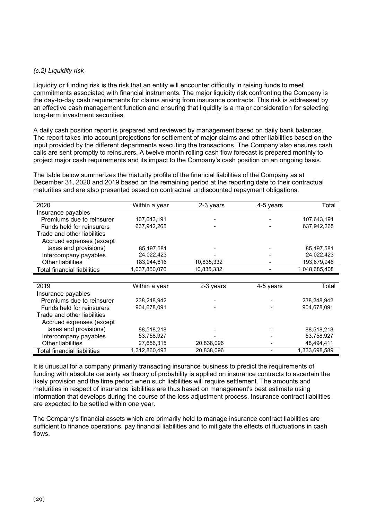#### *(c.2) Liquidity risk*

Liquidity or funding risk is the risk that an entity will encounter difficulty in raising funds to meet commitments associated with financial instruments. The major liquidity risk confronting the Company is the day-to-day cash requirements for claims arising from insurance contracts. This risk is addressed by an effective cash management function and ensuring that liquidity is a major consideration for selecting long-term investment securities.

A daily cash position report is prepared and reviewed by management based on daily bank balances. The report takes into account projections for settlement of major claims and other liabilities based on the input provided by the different departments executing the transactions. The Company also ensures cash calls are sent promptly to reinsurers. A twelve month rolling cash flow forecast is prepared monthly to project major cash requirements and its impact to the Company's cash position on an ongoing basis.

The table below summarizes the maturity profile of the financial liabilities of the Company as at December 31, 2020 and 2019 based on the remaining period at the reporting date to their contractual maturities and are also presented based on contractual undiscounted repayment obligations.

| 2020                               | Within a year | 2-3 years  | 4-5 years | Total         |
|------------------------------------|---------------|------------|-----------|---------------|
| Insurance payables                 |               |            |           |               |
| Premiums due to reinsurer          | 107,643,191   |            |           | 107,643,191   |
| Funds held for reinsurers          | 637,942,265   |            |           | 637,942,265   |
| Trade and other liabilities        |               |            |           |               |
| Accrued expenses (except           |               |            |           |               |
| taxes and provisions)              | 85, 197, 581  |            |           | 85,197,581    |
| Intercompany payables              | 24,022,423    |            |           | 24,022,423    |
| Other liabilities                  | 183,044,616   | 10,835,332 |           | 193,879,948   |
| <b>Total financial liabilities</b> | 1,037,850,076 | 10,835,332 |           | 1,048,685,408 |
|                                    |               |            |           |               |

| 2019                               | Within a year | 2-3 years                | 4-5 vears                | Total         |
|------------------------------------|---------------|--------------------------|--------------------------|---------------|
| Insurance payables                 |               |                          |                          |               |
| Premiums due to reinsurer          | 238,248,942   | $\,$                     |                          | 238,248,942   |
| Funds held for reinsurers          | 904,678,091   | $\overline{\phantom{0}}$ | $\overline{\phantom{0}}$ | 904,678,091   |
| Trade and other liabilities        |               |                          |                          |               |
| Accrued expenses (except           |               |                          |                          |               |
| taxes and provisions)              | 88,518,218    | $\overline{\phantom{a}}$ |                          | 88,518,218    |
| Intercompany payables              | 53,758,927    |                          |                          | 53,758,927    |
| Other liabilities                  | 27,656,315    | 20,838,096               |                          | 48,494,411    |
| <b>Total financial liabilities</b> | 1,312,860,493 | 20,838,096               |                          | 1,333,698,589 |

It is unusual for a company primarily transacting insurance business to predict the requirements of funding with absolute certainty as theory of probability is applied on insurance contracts to ascertain the likely provision and the time period when such liabilities will require settlement. The amounts and maturities in respect of insurance liabilities are thus based on management's best estimate using information that develops during the course of the loss adjustment process. Insurance contract liabilities are expected to be settled within one year.

The Company's financial assets which are primarily held to manage insurance contract liabilities are sufficient to finance operations, pay financial liabilities and to mitigate the effects of fluctuations in cash flows.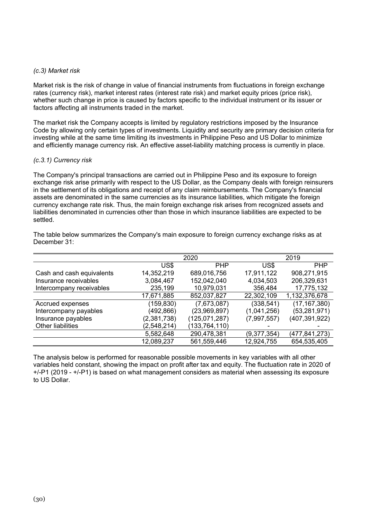#### *(c.3) Market risk*

Market risk is the risk of change in value of financial instruments from fluctuations in foreign exchange rates (currency risk), market interest rates (interest rate risk) and market equity prices (price risk), whether such change in price is caused by factors specific to the individual instrument or its issuer or factors affecting all instruments traded in the market.

The market risk the Company accepts is limited by regulatory restrictions imposed by the Insurance Code by allowing only certain types of investments. Liquidity and security are primary decision criteria for investing while at the same time limiting its investments in Philippine Peso and US Dollar to minimize and efficiently manage currency risk. An effective asset-liability matching process is currently in place.

#### *(c.3.1) Currency risk*

The Company's principal transactions are carried out in Philippine Peso and its exposure to foreign exchange risk arise primarily with respect to the US Dollar, as the Company deals with foreign reinsurers in the settlement of its obligations and receipt of any claim reimbursements. The Company's financial assets are denominated in the same currencies as its insurance liabilities, which mitigate the foreign currency exchange rate risk. Thus, the main foreign exchange risk arises from recognized assets and liabilities denominated in currencies other than those in which insurance liabilities are expected to be settled.

|                           | 2020        |               |             | 2019            |
|---------------------------|-------------|---------------|-------------|-----------------|
|                           | US\$        | <b>PHP</b>    | US\$        | <b>PHP</b>      |
| Cash and cash equivalents | 14,352,219  | 689,016,756   | 17,911,122  | 908,271,915     |
| Insurance receivables     | 3,084,467   | 152,042,040   | 4,034,503   | 206,329,631     |
| Intercompany receivables  | 235,199     | 10,979,031    | 356,484     | 17,775,132      |
|                           | 17,671,885  | 852,037,827   | 22,302,109  | 1,132,376,678   |
| Accrued expenses          | (159, 830)  | (7,673,087)   | (338, 541)  | (17, 167, 380)  |
| Intercompany payables     | (492,866)   | (23,969,897)  | (1,041,256) | (53, 281, 971)  |
| Insurance payables        | (2,381,738) | (125,071,287) | (7,997,557) | (407,391,922)   |
| Other liabilities         | (2,548,214) | (133,764,110) |             |                 |
|                           | 5,582,648   | 290,478,381   | (9,377,354) | (477, 841, 273) |
|                           | 12,089,237  | 561,559,446   | 12,924,755  | 654,535,405     |

The table below summarizes the Company's main exposure to foreign currency exchange risks as at December 31:

The analysis below is performed for reasonable possible movements in key variables with all other variables held constant, showing the impact on profit after tax and equity. The fluctuation rate in 2020 of +/-P1 (2019 - +/-P1) is based on what management considers as material when assessing its exposure to US Dollar.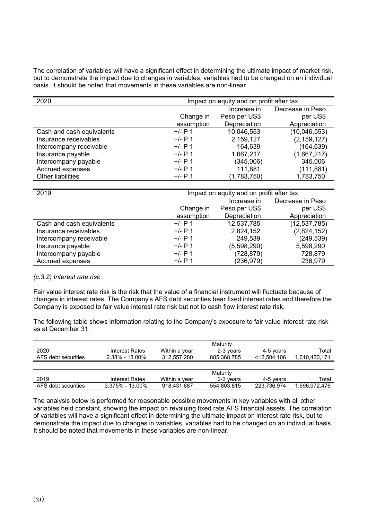The correlation of variables will have a significant effect in determining the ultimate impact of market risk, but to demonstrate the impact due to changes in variables, variables had to be changed on an individual basis. It should be noted that movements in these variables are non-linear.

| 2020                      | Impact on equity and on profit after tax |               |                  |  |  |
|---------------------------|------------------------------------------|---------------|------------------|--|--|
|                           |                                          | Increase in   | Decrease in Peso |  |  |
|                           | Change in                                | Peso per US\$ | per US\$         |  |  |
|                           | assumption                               | Depreciation  | Appreciation     |  |  |
| Cash and cash equivalents | +/- P 1                                  | 10,046,553    | (10,046,553)     |  |  |
| Insurance receivables     | $+/- P 1$                                | 2,159,127     | (2, 159, 127)    |  |  |
| Intercompany receivable   | $+/- P 1$                                | 164,639       | (164, 639)       |  |  |
| Insurance payable         | $+/- P 1$                                | 1,667,217     | (1,667,217)      |  |  |
| Intercompany payable      | $+/- P 1$                                | (345,006)     | 345,006          |  |  |
| Accrued expenses          | +/- P 1                                  | 111,881       | (111, 881)       |  |  |
| <b>Other liabilities</b>  | $+/- P 1$                                | (1,783,750)   | 1,783,750        |  |  |

| 2019                      | Impact on equity and on profit after tax |               |                  |  |  |
|---------------------------|------------------------------------------|---------------|------------------|--|--|
|                           |                                          | Increase in   | Decrease in Peso |  |  |
|                           | Change in                                | Peso per US\$ | per US\$         |  |  |
|                           | assumption                               | Depreciation  | Appreciation     |  |  |
| Cash and cash equivalents | $+/- P 1$                                | 12,537,785    | (12, 537, 785)   |  |  |
| Insurance receivables     | $+/- P 1$                                | 2,824,152     | (2,824,152)      |  |  |
| Intercompany receivable   | $+/- P 1$                                | 249,539       | (249, 539)       |  |  |
| Insurance payable         | $+/- P 1$                                | (5,598,290)   | 5,598,290        |  |  |
| Intercompany payable      | $+/- P 1$                                | (728, 879)    | 728,879          |  |  |
| Accrued expenses          | $+/- P 1$                                | (236,979)     | 236,979          |  |  |

#### *(c.3.2) Interest rate risk*

Fair value interest rate risk is the risk that the value of a financial instrument will fluctuate because of changes in interest rates. The Company's AFS debt securities bear fixed interest rates and therefore the Company is exposed to fair value interest rate risk but not to cash flow interest rate risk.

The following table shows information relating to the Company's exposure to fair value interest rate risk as at December 31:

|                     |                     |               | Maturity    |             |               |
|---------------------|---------------------|---------------|-------------|-------------|---------------|
| 2020                | Interest Rates      | Within a year | 2-3 years   | 4-5 vears   | Total         |
| AFS debt securities | $2.38\%$ - 13.00%   | 312.557.280   | 885,368,785 | 412.504.106 | 1,610,430,171 |
|                     |                     |               |             |             |               |
|                     |                     |               | Maturity    |             |               |
| 2019                | Interest Rates      | Within a year | 2-3 years   | 4-5 vears   | Total         |
| AFS debt securities | $3.375\% - 13.00\%$ | 918,431,687   | 554,803,815 | 223,736,974 | .696.972.476  |

The analysis below is performed for reasonable possible movements in key variables with all other variables held constant, showing the impact on revaluing fixed rate AFS financial assets. The correlation of variables will have a significant effect in determining the ultimate impact on interest rate risk, but to demonstrate the impact due to changes in variables, variables had to be changed on an individual basis. It should be noted that movements in these variables are non-linear.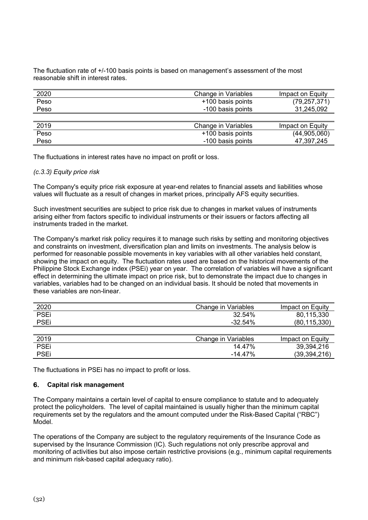The fluctuation rate of +/-100 basis points is based on management's assessment of the most reasonable shift in interest rates.

| 2020 | Change in Variables | Impact on Equity |
|------|---------------------|------------------|
| Peso | +100 basis points   | (79, 257, 371)   |
| Peso | -100 basis points   | 31,245,092       |
|      |                     |                  |
| 2019 | Change in Variables | Impact on Equity |
| Peso | +100 basis points   | (44,905,060)     |
| Peso | -100 basis points   | 47,397,245       |

The fluctuations in interest rates have no impact on profit or loss.

#### *(c.3.3) Equity price risk*

The Company's equity price risk exposure at year-end relates to financial assets and liabilities whose values will fluctuate as a result of changes in market prices, principally AFS equity securities.

Such investment securities are subject to price risk due to changes in market values of instruments arising either from factors specific to individual instruments or their issuers or factors affecting all instruments traded in the market.

The Company's market risk policy requires it to manage such risks by setting and monitoring objectives and constraints on investment, diversification plan and limits on investments. The analysis below is performed for reasonable possible movements in key variables with all other variables held constant, showing the impact on equity. The fluctuation rates used are based on the historical movements of the Philippine Stock Exchange index (PSEi) year on year. The correlation of variables will have a significant effect in determining the ultimate impact on price risk, but to demonstrate the impact due to changes in variables, variables had to be changed on an individual basis. It should be noted that movements in these variables are non-linear.

| 2020        | Change in Variables | Impact on Equity |
|-------------|---------------------|------------------|
| <b>PSEi</b> | 32.54%              | 80,115,330       |
| <b>PSEi</b> | $-32.54%$           | (80, 115, 330)   |
|             |                     |                  |
| 2019        | Change in Variables | Impact on Equity |
| <b>PSEi</b> | 14.47%              | 39,394,216       |
| <b>PSEi</b> | $-14.47%$           | (39, 394, 216)   |

The fluctuations in PSEi has no impact to profit or loss.

#### **Capital risk management**

The Company maintains a certain level of capital to ensure compliance to statute and to adequately protect the policyholders. The level of capital maintained is usually higher than the minimum capital requirements set by the regulators and the amount computed under the Risk-Based Capital ("RBC") Model.

The operations of the Company are subject to the regulatory requirements of the Insurance Code as supervised by the Insurance Commission (IC). Such regulations not only prescribe approval and monitoring of activities but also impose certain restrictive provisions (e.g., minimum capital requirements and minimum risk-based capital adequacy ratio).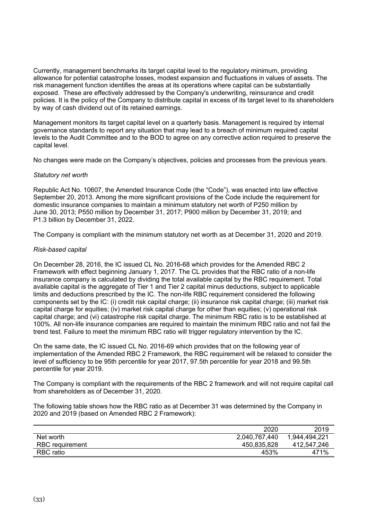Currently, management benchmarks its target capital level to the regulatory minimum, providing allowance for potential catastrophe losses, modest expansion and fluctuations in values of assets. The risk management function identifies the areas at its operations where capital can be substantially exposed. These are effectively addressed by the Company's underwriting, reinsurance and credit policies. It is the policy of the Company to distribute capital in excess of its target level to its shareholders by way of cash dividend out of its retained earnings.

Management monitors its target capital level on a quarterly basis. Management is required by internal governance standards to report any situation that may lead to a breach of minimum required capital levels to the Audit Committee and to the BOD to agree on any corrective action required to preserve the capital level.

No changes were made on the Company's objectives, policies and processes from the previous years.

#### *Statutory net worth*

Republic Act No. 10607, the Amended Insurance Code (the "Code"), was enacted into law effective September 20, 2013. Among the more significant provisions of the Code include the requirement for domestic insurance companies to maintain a minimum statutory net worth of P250 million by June 30, 2013; P550 million by December 31, 2017; P900 million by December 31, 2019; and P1.3 billion by December 31, 2022.

The Company is compliant with the minimum statutory net worth as at December 31, 2020 and 2019.

#### *Risk-based capital*

On December 28, 2016, the IC issued CL No. 2016-68 which provides for the Amended RBC 2 Framework with effect beginning January 1, 2017. The CL provides that the RBC ratio of a non-life insurance company is calculated by dividing the total available capital by the RBC requirement. Total available capital is the aggregate of Tier 1 and Tier 2 capital minus deductions, subject to applicable limits and deductions prescribed by the IC. The non-life RBC requirement considered the following components set by the IC: (i) credit risk capital charge; (ii) insurance risk capital charge; (iii) market risk capital charge for equities; (iv) market risk capital charge for other than equities; (v) operational risk capital charge; and (vi) catastrophe risk capital charge. The minimum RBC ratio is to be established at 100%. All non-life insurance companies are required to maintain the minimum RBC ratio and not fail the trend test. Failure to meet the minimum RBC ratio will trigger regulatory intervention by the IC.

On the same date, the IC issued CL No. 2016-69 which provides that on the following year of implementation of the Amended RBC 2 Framework, the RBC requirement will be relaxed to consider the level of sufficiency to be 95th percentile for year 2017, 97.5th percentile for year 2018 and 99.5th percentile for year 2019.

The Company is compliant with the requirements of the RBC 2 framework and will not require capital call from shareholders as of December 31, 2020.

The following table shows how the RBC ratio as at December 31 was determined by the Company in 2020 and 2019 (based on Amended RBC 2 Framework):

|                        | 2020          | 2019          |
|------------------------|---------------|---------------|
| Net worth              | 2,040,767,440 | 1,944,494,221 |
| <b>RBC</b> requirement | 450,835,828   | 412,547,246   |
| RBC ratio              | 453%          | 471%          |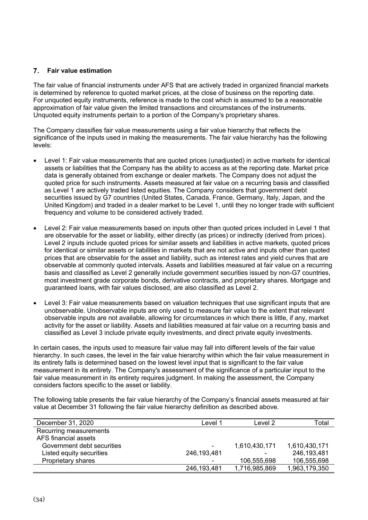### **Fair value estimation**

The fair value of financial instruments under AFS that are actively traded in organized financial markets is determined by reference to quoted market prices, at the close of business on the reporting date. For unquoted equity instruments, reference is made to the cost which is assumed to be a reasonable approximation of fair value given the limited transactions and circumstances of the instruments. Unquoted equity instruments pertain to a portion of the Company's proprietary shares.

The Company classifies fair value measurements using a fair value hierarchy that reflects the significance of the inputs used in making the measurements. The fair value hierarchy has the following levels:

- Level 1: Fair value measurements that are quoted prices (unadjusted) in active markets for identical assets or liabilities that the Company has the ability to access as at the reporting date. Market price data is generally obtained from exchange or dealer markets. The Company does not adjust the quoted price for such instruments. Assets measured at fair value on a recurring basis and classified as Level 1 are actively traded listed equities. The Company considers that government debt securities issued by G7 countries (United States, Canada, France, Germany, Italy, Japan, and the United Kingdom) and traded in a dealer market to be Level 1, until they no longer trade with sufficient frequency and volume to be considered actively traded.
- Level 2: Fair value measurements based on inputs other than quoted prices included in Level 1 that are observable for the asset or liability, either directly (as prices) or indirectly (derived from prices). Level 2 inputs include quoted prices for similar assets and liabilities in active markets, quoted prices for identical or similar assets or liabilities in markets that are not active and inputs other than quoted prices that are observable for the asset and liability, such as interest rates and yield curves that are observable at commonly quoted intervals. Assets and liabilities measured at fair value on a recurring basis and classified as Level 2 generally include government securities issued by non-G7 countries, most investment grade corporate bonds, derivative contracts, and proprietary shares. Mortgage and guaranteed loans, with fair values disclosed, are also classified as Level 2.
- Level 3: Fair value measurements based on valuation techniques that use significant inputs that are unobservable. Unobservable inputs are only used to measure fair value to the extent that relevant observable inputs are not available, allowing for circumstances in which there is little, if any, market activity for the asset or liability. Assets and liabilities measured at fair value on a recurring basis and classified as Level 3 include private equity investments, and direct private equity investments.

In certain cases, the inputs used to measure fair value may fall into different levels of the fair value hierarchy. In such cases, the level in the fair value hierarchy within which the fair value measurement in its entirety falls is determined based on the lowest level input that is significant to the fair value measurement in its entirety. The Company's assessment of the significance of a particular input to the fair value measurement in its entirety requires judgment. In making the assessment, the Company considers factors specific to the asset or liability.

The following table presents the fair value hierarchy of the Company's financial assets measured at fair value at December 31 following the fair value hierarchy definition as described above.

| December 31, 2020          | Level 1                  | Level 2       | Total         |
|----------------------------|--------------------------|---------------|---------------|
| Recurring measurements     |                          |               |               |
| AFS financial assets       |                          |               |               |
| Government debt securities | $\overline{\phantom{a}}$ | 1,610,430,171 | 1,610,430,171 |
| Listed equity securities   | 246,193,481              | -             | 246,193,481   |
| Proprietary shares         | $\,$                     | 106,555,698   | 106,555,698   |
|                            | 246,193,481              | 1,716,985,869 | 1,963,179,350 |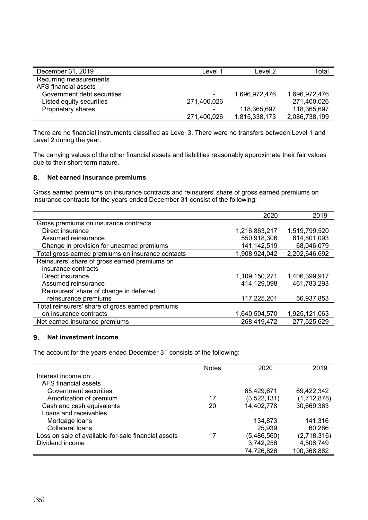| December 31, 2019          | Level 1        | Level 2       | Total         |
|----------------------------|----------------|---------------|---------------|
| Recurring measurements     |                |               |               |
| AFS financial assets       |                |               |               |
| Government debt securities | $\blacksquare$ | 1,696,972,476 | 1,696,972,476 |
| Listed equity securities   | 271,400,026    |               | 271,400,026   |
| Proprietary shares         |                | 118,365,697   | 118,365,697   |
|                            | 271,400,026    | 1,815,338,173 | 2,086,738,199 |

There are no financial instruments classified as Level 3. There were no transfers between Level 1 and Level 2 during the year.

The carrying values of the other financial assets and liabilities reasonably approximate their fair values due to their short-term nature.

#### **Net earned insurance premiums**

Gross earned premiums on insurance contracts and reinsurers' share of gross earned premiums on insurance contracts for the years ended December 31 consist of the following:

|                                                   | 2020          | 2019          |
|---------------------------------------------------|---------------|---------------|
| Gross premiums on insurance contracts             |               |               |
| Direct insurance                                  | 1,216,863,217 | 1,519,799,520 |
| Assumed reinsurance                               | 550,918,306   | 614,801,093   |
| Change in provision for unearned premiums         | 141,142,519   | 68,046,079    |
| Total gross earned premiums on insurance contacts | 1,908,924,042 | 2,202,646,692 |
| Reinsurers' share of gross earned premiums on     |               |               |
| insurance contracts                               |               |               |
| Direct insurance                                  | 1,109,150,271 | 1,406,399,917 |
| Assumed reinsurance                               | 414,129,098   | 461,783,293   |
| Reinsurers' share of change in deferred           |               |               |
| reinsurance premiums                              | 117,225,201   | 56,937,853    |
| Total reinsurers' share of gross earned premiums  |               |               |
| on insurance contracts                            | 1,640,504,570 | 1,925,121,063 |
| Net earned insurance premiums                     | 268,419,472   | 277,525,629   |

#### 9. **Net investment income**

The account for the years ended December 31 consists of the following:

|                                                     | <b>Notes</b> | 2020        | 2019        |
|-----------------------------------------------------|--------------|-------------|-------------|
| Interest income on:                                 |              |             |             |
| AFS financial assets                                |              |             |             |
| Government securities                               |              | 65,429,671  | 69,422,342  |
| Amortization of premium                             | 17           | (3,522,131) | (1,712,878) |
| Cash and cash equivalents                           | 20           | 14,402,778  | 30,669,363  |
| Loans and receivables                               |              |             |             |
| Mortgage loans                                      |              | 134,873     | 141,316     |
| <b>Collateral loans</b>                             |              | 25,939      | 60,286      |
| Loss on sale of available-for-sale financial assets | 17           | (5,486,560) | (2,718,316) |
| Dividend income                                     |              | 3,742,256   | 4,506,749   |
|                                                     |              | 74,726,826  | 100,368,862 |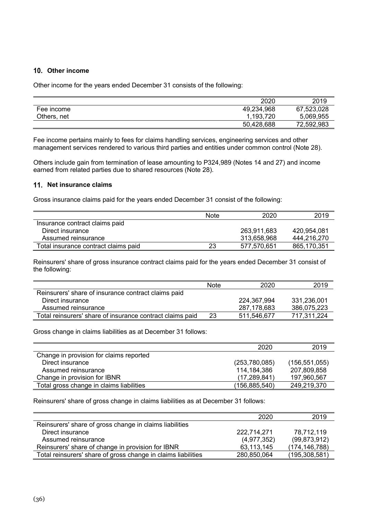#### **Other income**

Other income for the years ended December 31 consists of the following:

|             | 2020       | 2019       |
|-------------|------------|------------|
| Fee income  | 49,234,968 | 67,523,028 |
| Others, net | 1,193,720  | 5,069,955  |
|             | 50,428,688 | 72,592,983 |

Fee income pertains mainly to fees for claims handling services, engineering services and other management services rendered to various third parties and entities under common control (Note 28).

Others include gain from termination of lease amounting to P324,989 (Notes 14 and 27) and income earned from related parties due to shared resources (Note 28).

#### **Net insurance claims**

Gross insurance claims paid for the years ended December 31 consist of the following:

|                                      | Note | 2020        | 2019        |
|--------------------------------------|------|-------------|-------------|
| Insurance contract claims paid       |      |             |             |
| Direct insurance                     |      | 263,911,683 | 420,954,081 |
| Assumed reinsurance                  |      | 313,658,968 | 444,216,270 |
| Total insurance contract claims paid | 23   | 577,570,651 | 865,170,351 |

Reinsurers' share of gross insurance contract claims paid for the years ended December 31 consist of the following:

| <b>Note</b> | 2020        | 2019        |
|-------------|-------------|-------------|
|             |             |             |
|             | 224,367,994 | 331,236,001 |
|             | 287,178,683 | 386,075,223 |
| 23          | 511,546,677 | 717,311,224 |
|             |             |             |

Gross change in claims liabilities as at December 31 follows:

|                                          | 2020           | 2019            |
|------------------------------------------|----------------|-----------------|
| Change in provision for claims reported  |                |                 |
| Direct insurance                         | (253,780,085)  | (156, 551, 055) |
| Assumed reinsurance                      | 114,184,386    | 207,809,858     |
| Change in provision for IBNR             | (17, 289, 841) | 197,960,567     |
| Total gross change in claims liabilities | (156,885,540)  | 249,219,370     |

Reinsurers' share of gross change in claims liabilities as at December 31 follows:

|                                                               | 2020        | 2019            |
|---------------------------------------------------------------|-------------|-----------------|
| Reinsurers' share of gross change in claims liabilities       |             |                 |
| Direct insurance                                              | 222,714,271 | 78,712,119      |
| Assumed reinsurance                                           | (4,977,352) | (99, 873, 912)  |
| Reinsurers' share of change in provision for IBNR             | 63,113,145  | (174, 146, 788) |
| Total reinsurers' share of gross change in claims liabilities | 280,850,064 | (195, 308, 581) |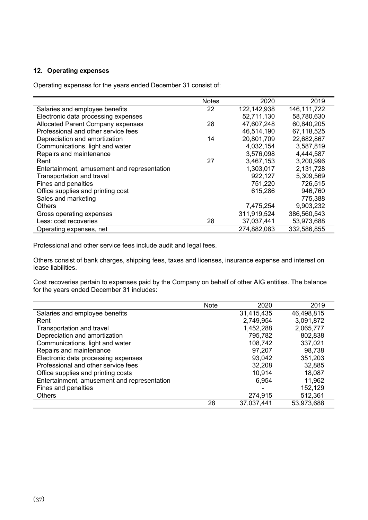#### **Operating expenses**

Operating expenses for the years ended December 31 consist of:

|                                             | <b>Notes</b> | 2020        | 2019          |
|---------------------------------------------|--------------|-------------|---------------|
| Salaries and employee benefits              | 22           | 122,142,938 | 146, 111, 722 |
| Electronic data processing expenses         |              | 52,711,130  | 58,780,630    |
| <b>Allocated Parent Company expenses</b>    | 28           | 47,607,248  | 60,840,205    |
| Professional and other service fees         |              | 46,514,190  | 67,118,525    |
| Depreciation and amortization               | 14           | 20,801,709  | 22,682,867    |
| Communications, light and water             |              | 4,032,154   | 3,587,819     |
| Repairs and maintenance                     |              | 3,576,098   | 4,444,587     |
| Rent                                        | 27           | 3,467,153   | 3,200,996     |
| Entertainment, amusement and representation |              | 1,303,017   | 2,131,728     |
| Transportation and travel                   |              | 922,127     | 5,309,569     |
| Fines and penalties                         |              | 751,220     | 726,515       |
| Office supplies and printing cost           |              | 615,286     | 946,760       |
| Sales and marketing                         |              |             | 775,388       |
| <b>Others</b>                               |              | 7,475,254   | 9,903,232     |
| Gross operating expenses                    |              | 311,919,524 | 386,560,543   |
| Less: cost recoveries                       | 28           | 37,037,441  | 53,973,688    |
| Operating expenses, net                     |              | 274,882,083 | 332,586,855   |

Professional and other service fees include audit and legal fees.

Others consist of bank charges, shipping fees, taxes and licenses, insurance expense and interest on lease liabilities.

Cost recoveries pertain to expenses paid by the Company on behalf of other AIG entities. The balance for the years ended December 31 includes:

|                                             | <b>Note</b> | 2020       | 2019       |
|---------------------------------------------|-------------|------------|------------|
| Salaries and employee benefits              |             | 31,415,435 | 46,498,815 |
| Rent                                        |             | 2,749,954  | 3,091,872  |
| Transportation and travel                   |             | 1,452,288  | 2,065,777  |
| Depreciation and amortization               |             | 795,782    | 802,838    |
| Communications, light and water             |             | 108,742    | 337,021    |
| Repairs and maintenance                     |             | 97,207     | 98,738     |
| Electronic data processing expenses         |             | 93,042     | 351,203    |
| Professional and other service fees         |             | 32,208     | 32,885     |
| Office supplies and printing costs          |             | 10,914     | 18,087     |
| Entertainment, amusement and representation |             | 6.954      | 11,962     |
| Fines and penalties                         |             |            | 152,129    |
| <b>Others</b>                               |             | 274,915    | 512,361    |
|                                             | 28          | 37,037,441 | 53,973,688 |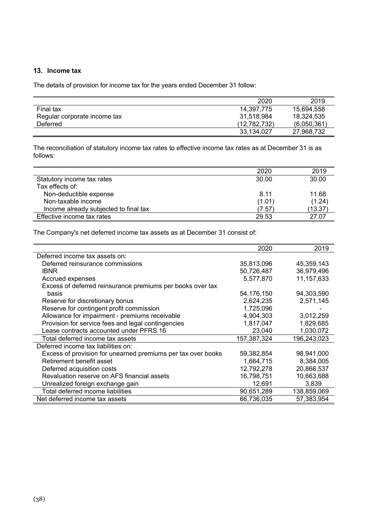#### **Income tax**

The details of provision for income tax for the years ended December 31 follow:

|                              | 2020         | 2019        |
|------------------------------|--------------|-------------|
| Final tax                    | 14,397,775   | 15,694,558  |
| Regular corporate income tax | 31,518,984   | 18,324,535  |
| Deferred                     | (12,782,732) | (6,050,361) |
|                              | 33,134,027   | 27,968,732  |

The reconciliation of statutory income tax rates to effective income tax rates as at December 31 is as follows:

|                                       | 2020   | 2019    |
|---------------------------------------|--------|---------|
| Statutory income tax rates            | 30.00  | 30.00   |
| Tax effects of:                       |        |         |
| Non-deductible expense                | 8.11   | 11.68   |
| Non-taxable income                    | (1.01) | (1.24)  |
| Income already subjected to final tax | (7.57) | (13.37) |
| Effective income tax rates            | 29.53  | 27.07   |
|                                       |        |         |

The Company's net deferred income tax assets as at December 31 consist of:

|                                                              | 2020        | 2019        |
|--------------------------------------------------------------|-------------|-------------|
| Deferred income tax assets on:                               |             |             |
| Deferred reinsurance commissions                             | 35,813,096  | 45,359,143  |
| <b>IBNR</b>                                                  | 50,726,487  | 36,979,496  |
| Accrued expenses                                             | 5,577,870   | 11,157,633  |
| Excess of deferred reinsurance premiums per books over tax   |             |             |
| basis                                                        | 54,176,150  | 94,303,590  |
| Reserve for discretionary bonus                              | 2,624,235   | 2,571,145   |
| Reserve for contingent profit commission                     | 1,725,096   |             |
| Allowance for impairment - premiums receivable               | 4,904,303   | 3,012,259   |
| Provision for service fees and legal contingencies           | 1,817,047   | 1,829,685   |
| Lease contracts accounted under PFRS 16                      | 23,040      | 1,030,072   |
| Total deferred income tax assets                             | 157,387,324 | 196,243,023 |
| Deferred income tax liabilities on:                          |             |             |
| Excess of provision for unearned premiums per tax over books | 59,382,854  | 98,941,000  |
| Retirement benefit asset                                     | 1,664,715   | 8,384,005   |
| Deferred acquisition costs                                   | 12,792,278  | 20,866,537  |
| Revaluation reserve on AFS financial assets                  | 16,798,751  | 10,663,688  |
| Unrealized foreign exchange gain                             | 12,691      | 3,839       |
| Total deferred income liabilities                            | 90,651,289  | 138,859,069 |
| Net deferred income tax assets                               | 66,736,035  | 57,383,954  |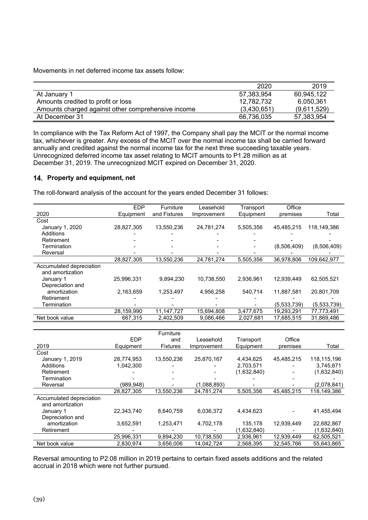Movements in net deferred income tax assets follow:

|                                                    | 2020        | 2019        |
|----------------------------------------------------|-------------|-------------|
| At January 1                                       | 57,383,954  | 60,945,122  |
| Amounts credited to profit or loss                 | 12,782,732  | 6,050,361   |
| Amounts charged against other comprehensive income | (3,430,651) | (9,611,529) |
| At December 31                                     | 66,736,035  | 57,383,954  |

In compliance with the Tax Reform Act of 1997, the Company shall pay the MCIT or the normal income tax, whichever is greater. Any excess of the MCIT over the normal income tax shall be carried forward annually and credited against the normal income tax for the next three succeeding taxable years. Unrecognized deferred income tax asset relating to MCIT amounts to P1.28 million as at December 31, 2019. The unrecognized MCIT expired on December 31, 2020.

#### **Property and equipment, net**

The roll-forward analysis of the account for the years ended December 31 follows:

|                          | <b>EDP</b> | Furniture    | Leasehold   | Transport | Office      |             |
|--------------------------|------------|--------------|-------------|-----------|-------------|-------------|
| 2020                     | Equipment  | and Fixtures | Improvement | Equipment | premises    | Total       |
| Cost                     |            |              |             |           |             |             |
| January 1, 2020          | 28,827,305 | 13,550,236   | 24,781,274  | 5,505,356 | 45,485,215  | 118,149,386 |
| Additions                |            |              |             |           |             |             |
| Retirement               |            |              |             |           |             |             |
| Termination              |            |              |             |           | (8,506,409) | (8,506,409) |
| Reversal                 |            |              |             |           |             |             |
|                          | 28,827,305 | 13,550,236   | 24,781,274  | 5,505,356 | 36,978,806  | 109,642,977 |
| Accumulated depreciation |            |              |             |           |             |             |
| and amortization         |            |              |             |           |             |             |
| January 1                | 25,996,331 | 9.894.230    | 10,738,550  | 2.936.961 | 12.939.449  | 62,505,521  |
| Depreciation and         |            |              |             |           |             |             |
| amortization             | 2,163,659  | 1,253,497    | 4,956,258   | 540,714   | 11,887,581  | 20,801,709  |
| Retirement               |            |              |             |           |             |             |
| Termination              |            |              |             |           | (5,533,739) | (5,533,739) |
|                          | 28,159,990 | 11,147,727   | 15,694,808  | 3,477,675 | 19,293,291  | 77,773,491  |
| Net book value           | 667,315    | 2,402,509    | 9.086.466   | 2,027,681 | 17,685,515  | 31.869.486  |

|                          |            | <b>Furniture</b> |             |             |            |             |
|--------------------------|------------|------------------|-------------|-------------|------------|-------------|
|                          | <b>EDP</b> | and              | Leasehold   | Transport   | Office     |             |
| 2019                     | Equipment  | <b>Fixtures</b>  | Improvement | Equipment   | premises   | Total       |
| Cost                     |            |                  |             |             |            |             |
| January 1, 2019          | 28,774,953 | 13,550,236       | 25,870,167  | 4,434,625   | 45,485,215 | 118,115,196 |
| Additions                | 1.042.300  |                  |             | 2,703,571   |            | 3,745,871   |
| Retirement               |            |                  |             | (1,632,840) |            | (1,632,840) |
| Termination              |            |                  |             |             |            |             |
| Reversal                 | (989, 948) |                  | (1,088,893) |             |            | (2,078,841) |
|                          | 28,827,305 | 13,550,236       | 24,781,274  | 5,505,356   | 45,485,215 | 118,149,386 |
| Accumulated depreciation |            |                  |             |             |            |             |
| and amortization         |            |                  |             |             |            |             |
| January 1                | 22.343.740 | 8.640.759        | 6.036.372   | 4.434.623   | -          | 41.455.494  |
| Depreciation and         |            |                  |             |             |            |             |
| amortization             | 3,652,591  | 1,253,471        | 4,702,178   | 135.178     | 12,939,449 | 22,682,867  |
| Retirement               |            |                  |             | (1,632,840) |            | (1,632,840) |
|                          | 25,996,331 | 9,894,230        | 10,738,550  | 2,936,961   | 12,939,449 | 62,505,521  |
| Net book value           | 2.830.974  | 3,656,006        | 14,042,724  | 2,568,395   | 32,545,766 | 55.643.865  |

Reversal amounting to P2.08 million in 2019 pertains to certain fixed assets additions and the related accrual in 2018 which were not further pursued.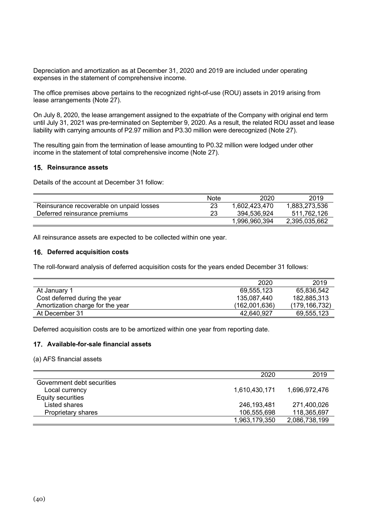Depreciation and amortization as at December 31, 2020 and 2019 are included under operating expenses in the statement of comprehensive income.

The office premises above pertains to the recognized right-of-use (ROU) assets in 2019 arising from lease arrangements (Note 27).

On July 8, 2020, the lease arrangement assigned to the expatriate of the Company with original end term until July 31, 2021 was pre-terminated on September 9, 2020. As a result, the related ROU asset and lease liability with carrying amounts of P2.97 million and P3.30 million were derecognized (Note 27).

The resulting gain from the termination of lease amounting to P0.32 million were lodged under other income in the statement of total comprehensive income (Note 27).

#### **Reinsurance assets**

Details of the account at December 31 follow:

|                                          | <b>Note</b> | 2020          | 2019          |
|------------------------------------------|-------------|---------------|---------------|
| Reinsurance recoverable on unpaid losses | 23          | 1,602,423,470 | 1,883,273,536 |
| Deferred reinsurance premiums            | 23          | 394,536,924   | 511,762,126   |
|                                          |             | 1,996,960,394 | 2,395,035,662 |

All reinsurance assets are expected to be collected within one year.

#### **Deferred acquisition costs**

The roll-forward analysis of deferred acquisition costs for the years ended December 31 follows:

|                                  | 2020          | 2019            |
|----------------------------------|---------------|-----------------|
| At January 1                     | 69,555,123    | 65,836,542      |
| Cost deferred during the year    | 135,087,440   | 182,885,313     |
| Amortization charge for the year | (162,001,636) | (179, 166, 732) |
| At December 31                   | 42,640,927    | 69,555,123      |

Deferred acquisition costs are to be amortized within one year from reporting date.

#### **Available-for-sale financial assets**

#### (a) AFS financial assets

|                            | 2020          | 2019          |
|----------------------------|---------------|---------------|
| Government debt securities |               |               |
| Local currency             | 1,610,430,171 | 1,696,972,476 |
| <b>Equity securities</b>   |               |               |
| Listed shares              | 246,193,481   | 271,400,026   |
| Proprietary shares         | 106,555,698   | 118,365,697   |
|                            | 1,963,179,350 | 2,086,738,199 |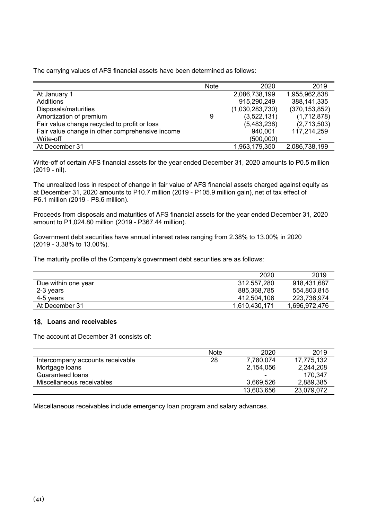The carrying values of AFS financial assets have been determined as follows:

|                                                 | <b>Note</b> | 2020            | 2019            |
|-------------------------------------------------|-------------|-----------------|-----------------|
| At January 1                                    |             | 2,086,738,199   | 1,955,962,838   |
| Additions                                       |             | 915,290,249     | 388,141,335     |
| Disposals/maturities                            |             | (1,030,283,730) | (370, 153, 852) |
| Amortization of premium                         | 9           | (3,522,131)     | (1,712,878)     |
| Fair value change recycled to profit or loss    |             | (5,483,238)     | (2,713,503)     |
| Fair value change in other comprehensive income |             | 940,001         | 117,214,259     |
| Write-off                                       |             | (500,000)       |                 |
| At December 31                                  |             | 1,963,179,350   | 2,086,738,199   |

Write-off of certain AFS financial assets for the year ended December 31, 2020 amounts to P0.5 million (2019 - nil).

The unrealized loss in respect of change in fair value of AFS financial assets charged against equity as at December 31, 2020 amounts to P10.7 million (2019 - P105.9 million gain), net of tax effect of P6.1 million (2019 - P8.6 million).

Proceeds from disposals and maturities of AFS financial assets for the year ended December 31, 2020 amount to P1,024.80 million (2019 - P367.44 million).

Government debt securities have annual interest rates ranging from 2.38% to 13.00% in 2020 (2019 - 3.38% to 13.00%).

The maturity profile of the Company's government debt securities are as follows:

|                     | 2020          | 2019          |
|---------------------|---------------|---------------|
| Due within one year | 312,557,280   | 918,431,687   |
| 2-3 years           | 885,368,785   | 554,803,815   |
| 4-5 vears           | 412,504,106   | 223,736,974   |
| At December 31      | 1,610,430,171 | 1,696,972,476 |

#### **Loans and receivables**

The account at December 31 consists of:

|                                  | <b>Note</b> | 2020                     | 2019       |
|----------------------------------|-------------|--------------------------|------------|
| Intercompany accounts receivable | 28          | 7,780,074                | 17,775,132 |
| Mortgage loans                   |             | 2,154,056                | 2,244,208  |
| Guaranteed loans                 |             | $\overline{\phantom{0}}$ | 170,347    |
| Miscellaneous receivables        |             | 3,669,526                | 2,889,385  |
|                                  |             | 13,603,656               | 23,079,072 |

Miscellaneous receivables include emergency loan program and salary advances.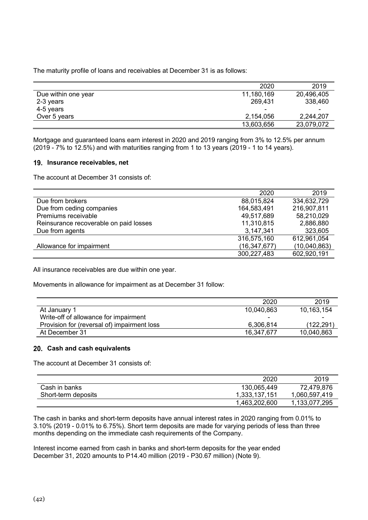The maturity profile of loans and receivables at December 31 is as follows:

|                     | 2020       | 2019       |
|---------------------|------------|------------|
| Due within one year | 11,180,169 | 20,496,405 |
| 2-3 years           | 269,431    | 338,460    |
| 4-5 years           |            |            |
| Over 5 years        | 2,154,056  | 2,244,207  |
|                     | 13,603,656 | 23,079,072 |

Mortgage and guaranteed loans earn interest in 2020 and 2019 ranging from 3% to 12.5% per annum (2019 - 7% to 12.5%) and with maturities ranging from 1 to 13 years (2019 - 1 to 14 years).

#### **Insurance receivables, net**

The account at December 31 consists of:

|                                        | 2020           | 2019         |
|----------------------------------------|----------------|--------------|
| Due from brokers                       | 88,015,824     | 334,632,729  |
| Due from ceding companies              | 164,583,491    | 216,907,811  |
| Premiums receivable                    | 49,517,689     | 58,210,029   |
| Reinsurance recoverable on paid losses | 11,310,815     | 2,886,880    |
| Due from agents                        | 3,147,341      | 323,605      |
|                                        | 316,575,160    | 612,961,054  |
| Allowance for impairment               | (16, 347, 677) | (10,040,863) |
|                                        | 300,227,483    | 602,920,191  |

All insurance receivables are due within one year.

Movements in allowance for impairment as at December 31 follow:

|                                             | 2020       | 2019       |
|---------------------------------------------|------------|------------|
| At January 1                                | 10,040,863 | 10,163,154 |
| Write-off of allowance for impairment       |            |            |
| Provision for (reversal of) impairment loss | 6.306.814  | (122.291)  |
| At December 31                              | 16,347,677 | 10,040,863 |

#### **Cash and cash equivalents**

The account at December 31 consists of:

|                     | 2020          | 2019          |
|---------------------|---------------|---------------|
| Cash in banks       | 130,065,449   | 72,479,876    |
| Short-term deposits | 1,333,137,151 | 1,060,597,419 |
|                     | 1,463,202,600 | 1,133,077,295 |

The cash in banks and short-term deposits have annual interest rates in 2020 ranging from 0.01% to 3.10% (2019 - 0.01% to 6.75%). Short term deposits are made for varying periods of less than three months depending on the immediate cash requirements of the Company.

Interest income earned from cash in banks and short-term deposits for the year ended December 31, 2020 amounts to P14.40 million (2019 - P30.67 million) (Note 9).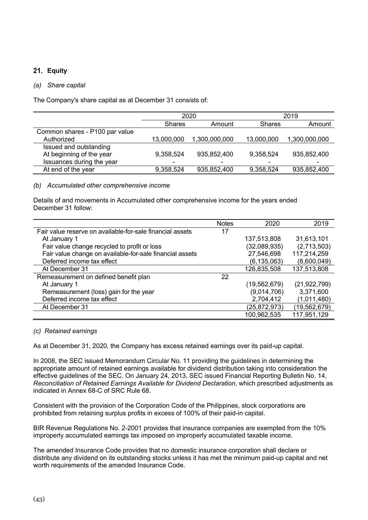### **Equity**

#### *(a) Share capital*

The Company's share capital as at December 31 consists of:

|                                | 2020          |               |               | 2019          |
|--------------------------------|---------------|---------------|---------------|---------------|
|                                | <b>Shares</b> | Amount        | <b>Shares</b> | Amount        |
| Common shares - P100 par value |               |               |               |               |
| Authorized                     | 13,000,000    | 1,300,000,000 | 13,000,000    | 1,300,000,000 |
| Issued and outstanding         |               |               |               |               |
| At beginning of the year       | 9,358,524     | 935,852,400   | 9,358,524     | 935,852,400   |
| Issuances during the year      |               |               | $\,$          |               |
| At end of the year             | 9,358,524     | 935,852,400   | 9,358,524     | 935,852,400   |

#### *(b) Accumulated other comprehensive income*

Details of and movements in Accumulated other comprehensive income for the years ended December 31 follow:

|                                                           | <b>Notes</b> | 2020           | 2019           |
|-----------------------------------------------------------|--------------|----------------|----------------|
| Fair value reserve on available-for-sale financial assets | 17           |                |                |
| At January 1                                              |              | 137,513,808    | 31,613,101     |
| Fair value change recycled to profit or loss              |              | (32,089,935)   | (2,713,503)    |
| Fair value change on available-for-sale financial assets  |              | 27,546,698     | 117,214,259    |
| Deferred income tax effect                                |              | (6, 135, 063)  | (8,600,049)    |
| At December 31                                            |              | 126,835,508    | 137,513,808    |
| Remeasurement on defined benefit plan                     | 22           |                |                |
| At January 1                                              |              | (19, 562, 679) | (21, 922, 799) |
| Remeasurement (loss) gain for the year                    |              | (9,014,706)    | 3,371,600      |
| Deferred income tax effect                                |              | 2,704,412      | (1,011,480)    |
| At December 31                                            |              | (25, 872, 973) | (19, 562, 679) |
|                                                           |              | 100,962,535    | 117,951,129    |

#### *(c) Retained earnings*

As at December 31, 2020, the Company has excess retained earnings over its paid-up capital.

In 2008, the SEC issued Memorandum Circular No. 11 providing the guidelines in determining the appropriate amount of retained earnings available for dividend distribution taking into consideration the effective guidelines of the SEC. On January 24, 2013, SEC issued Financial Reporting Bulletin No. 14, *Reconciliation of Retained Earnings Available for Dividend Declaration*, which prescribed adjustments as indicated in Annex 68-C of SRC Rule 68.

Consistent with the provision of the Corporation Code of the Philippines, stock corporations are prohibited from retaining surplus profits in excess of 100% of their paid-in capital.

BIR Revenue Regulations No. 2-2001 provides that insurance companies are exempted from the 10% improperly accumulated earnings tax imposed on improperly accumulated taxable income.

The amended Insurance Code provides that no domestic insurance corporation shall declare or distribute any dividend on its outstanding stocks unless it has met the minimum paid-up capital and net worth requirements of the amended Insurance Code.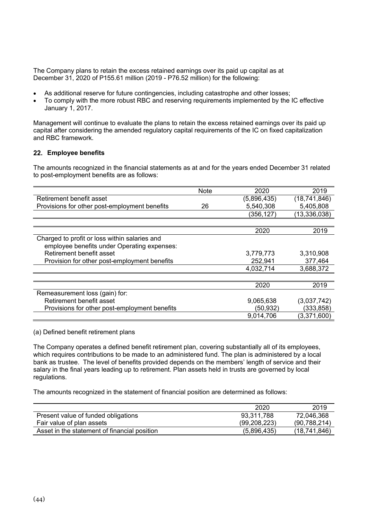The Company plans to retain the excess retained earnings over its paid up capital as at December 31, 2020 of P155.61 million (2019 - P76.52 million) for the following:

- As additional reserve for future contingencies, including catastrophe and other losses;
- To comply with the more robust RBC and reserving requirements implemented by the IC effective January 1, 2017.

Management will continue to evaluate the plans to retain the excess retained earnings over its paid up capital after considering the amended regulatory capital requirements of the IC on fixed capitalization and RBC framework.

#### **Employee benefits**

The amounts recognized in the financial statements as at and for the years ended December 31 related to post-employment benefits are as follows:

|                                               | <b>Note</b> | 2020        | 2019           |
|-----------------------------------------------|-------------|-------------|----------------|
| Retirement benefit asset                      |             | (5,896,435) | (18,741,846)   |
| Provisions for other post-employment benefits | 26          | 5,540,308   | 5,405,808      |
|                                               |             | (356, 127)  | (13, 336, 038) |
|                                               |             |             |                |
|                                               |             | 2020        | 2019           |
| Charged to profit or loss within salaries and |             |             |                |
| employee benefits under Operating expenses:   |             |             |                |
| Retirement benefit asset                      |             | 3,779,773   | 3,310,908      |
| Provision for other post-employment benefits  |             | 252,941     | 377,464        |
|                                               |             | 4,032,714   | 3,688,372      |
|                                               |             |             |                |
|                                               |             | 2020        | 2019           |
| Remeasurement loss (gain) for:                |             |             |                |
| Retirement benefit asset                      |             | 9,065,638   | (3,037,742)    |
| Provisions for other post-employment benefits |             | (50, 932)   | (333, 858)     |
|                                               |             | 9,014,706   | (3,371,600)    |

#### (a) Defined benefit retirement plans

The Company operates a defined benefit retirement plan, covering substantially all of its employees, which requires contributions to be made to an administered fund. The plan is administered by a local bank as trustee. The level of benefits provided depends on the members' length of service and their salary in the final years leading up to retirement. Plan assets held in trusts are governed by local regulations.

The amounts recognized in the statement of financial position are determined as follows:

|                                              | 2020           | 2019           |
|----------------------------------------------|----------------|----------------|
| Present value of funded obligations          | 93,311,788     | 72,046,368     |
| Fair value of plan assets                    | (99, 208, 223) | (90,788,214)   |
| Asset in the statement of financial position | (5,896,435)    | (18, 741, 846) |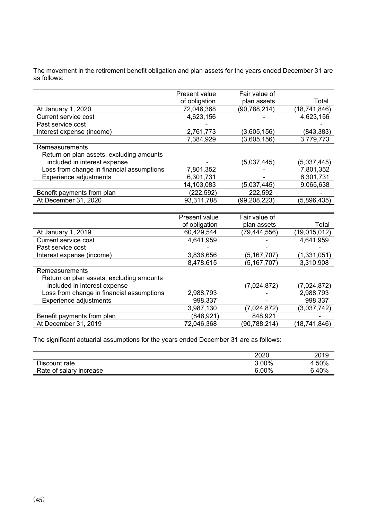The movement in the retirement benefit obligation and plan assets for the years ended December 31 are as follows:

|                                           | Present value | Fair value of  |                |
|-------------------------------------------|---------------|----------------|----------------|
|                                           | of obligation | plan assets    | Total          |
| At January 1, 2020                        | 72,046,368    | (90, 788, 214) | (18, 741, 846) |
| Current service cost                      | 4,623,156     |                | 4,623,156      |
| Past service cost                         |               |                |                |
| Interest expense (income)                 | 2,761,773     | (3,605,156)    | (843, 383)     |
|                                           | 7,384,929     | (3,605,156)    | 3,779,773      |
| Remeasurements                            |               |                |                |
| Return on plan assets, excluding amounts  |               |                |                |
| included in interest expense              |               | (5,037,445)    | (5,037,445)    |
| Loss from change in financial assumptions | 7,801,352     |                | 7,801,352      |
| Experience adjustments                    | 6,301,731     |                | 6,301,731      |
|                                           | 14,103,083    | (5,037,445)    | 9,065,638      |
| Benefit payments from plan                | (222, 592)    | 222,592        |                |
| At December 31, 2020                      | 93,311,788    | (99, 208, 223) | (5,896,435)    |
|                                           |               |                |                |
|                                           | Present value | Fair value of  |                |
|                                           | of obligation | plan assets    | Total          |
| At January 1, 2019                        | 60,429,544    | (79,444,556)   | (19, 015, 012) |
| Current service cost                      | 4,641,959     |                | 4,641,959      |
| Past service cost                         |               |                |                |
| Interest expense (income)                 | 3,836,656     | (5, 167, 707)  | (1, 331, 051)  |
|                                           | 8,478,615     | (5, 167, 707)  | 3,310,908      |
| Remeasurements                            |               |                |                |
| Return on plan assets, excluding amounts  |               |                |                |
| included in interest expense              |               | (7,024,872)    | (7,024,872)    |
| Loss from change in financial assumptions | 2,988,793     |                | 2,988,793      |
| Experience adjustments                    | 998,337       |                | 998,337        |
|                                           | 3,987,130     | (7,024,872)    | (3,037,742)    |
| Benefit payments from plan                | (848,921)     | 848,921        |                |
| At December 31, 2019                      | 72,046,368    | (90, 788, 214) | (18, 741, 846) |

The significant actuarial assumptions for the years ended December 31 are as follows:

|                         | 2020  | 2019  |
|-------------------------|-------|-------|
| Discount rate           | 3.00% | 4.50% |
| Rate of salary increase | 6.00% | 6.40% |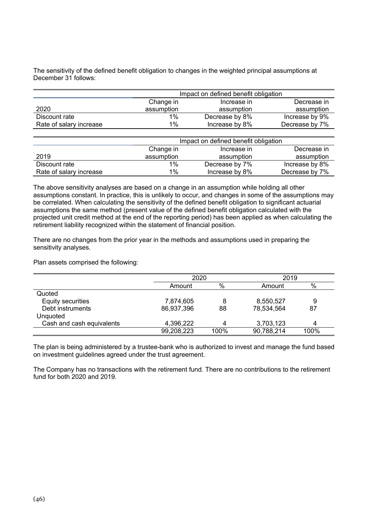The sensitivity of the defined benefit obligation to changes in the weighted principal assumptions at December 31 follows:

|                         |            | Impact on defined benefit obligation |                |
|-------------------------|------------|--------------------------------------|----------------|
|                         | Change in  | Increase in                          | Decrease in    |
| 2020                    | assumption | assumption                           | assumption     |
| Discount rate           | 1%         | Decrease by 8%                       | Increase by 9% |
| Rate of salary increase | 1%         | Increase by 8%                       | Decrease by 7% |

|                         |            | Impact on defined benefit obligation |                |
|-------------------------|------------|--------------------------------------|----------------|
|                         | Change in  | Increase in                          | Decrease in    |
| 2019                    | assumption | assumption                           | assumption     |
| Discount rate           | $1\%$      | Decrease by 7%                       | Increase by 8% |
| Rate of salary increase | 1%         | Increase by 8%                       | Decrease by 7% |

The above sensitivity analyses are based on a change in an assumption while holding all other assumptions constant. In practice, this is unlikely to occur, and changes in some of the assumptions may be correlated. When calculating the sensitivity of the defined benefit obligation to significant actuarial assumptions the same method (present value of the defined benefit obligation calculated with the projected unit credit method at the end of the reporting period) has been applied as when calculating the retirement liability recognized within the statement of financial position.

There are no changes from the prior year in the methods and assumptions used in preparing the sensitivity analyses.

Plan assets comprised the following:

|                           |            | 2020          |            | 2019 |
|---------------------------|------------|---------------|------------|------|
|                           | Amount     | $\frac{0}{0}$ | Amount     | $\%$ |
| Quoted                    |            |               |            |      |
| Equity securities         | 7,874,605  |               | 8,550,527  | 9    |
| Debt instruments          | 86,937,396 | 88            | 78,534,564 | 87   |
| Unquoted                  |            |               |            |      |
| Cash and cash equivalents | 4,396,222  |               | 3,703,123  | 4    |
|                           | 99,208,223 | 100%          | 90,788,214 | 100% |

The plan is being administered by a trustee-bank who is authorized to invest and manage the fund based on investment guidelines agreed under the trust agreement.

The Company has no transactions with the retirement fund. There are no contributions to the retirement fund for both 2020 and 2019.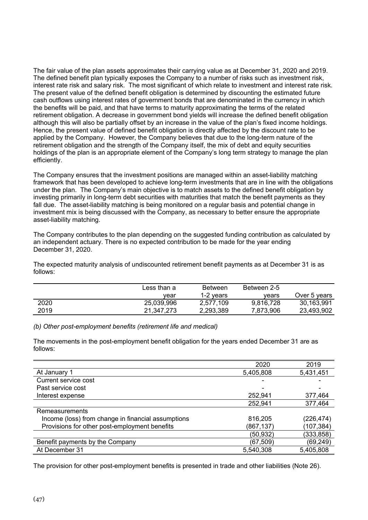The fair value of the plan assets approximates their carrying value as at December 31, 2020 and 2019. The defined benefit plan typically exposes the Company to a number of risks such as investment risk, interest rate risk and salary risk. The most significant of which relate to investment and interest rate risk. The present value of the defined benefit obligation is determined by discounting the estimated future cash outflows using interest rates of government bonds that are denominated in the currency in which the benefits will be paid, and that have terms to maturity approximating the terms of the related retirement obligation. A decrease in government bond yields will increase the defined benefit obligation although this will also be partially offset by an increase in the value of the plan's fixed income holdings. Hence, the present value of defined benefit obligation is directly affected by the discount rate to be applied by the Company. However, the Company believes that due to the long-term nature of the retirement obligation and the strength of the Company itself, the mix of debt and equity securities holdings of the plan is an appropriate element of the Company's long term strategy to manage the plan efficiently.

The Company ensures that the investment positions are managed within an asset-liability matching framework that has been developed to achieve long-term investments that are in line with the obligations under the plan. The Company's main objective is to match assets to the defined benefit obligation by investing primarily in long-term debt securities with maturities that match the benefit payments as they fall due. The asset-liability matching is being monitored on a regular basis and potential change in investment mix is being discussed with the Company, as necessary to better ensure the appropriate asset-liability matching.

The Company contributes to the plan depending on the suggested funding contribution as calculated by an independent actuary. There is no expected contribution to be made for the year ending December 31, 2020.

The expected maturity analysis of undiscounted retirement benefit payments as at December 31 is as follows:

|      | Less than a<br>vear | <b>Between</b><br>1-2 vears | Between 2-5<br>vears | Over 5 years |
|------|---------------------|-----------------------------|----------------------|--------------|
| 2020 | 25,039,996          | 2,577,109                   | 9,816,728            | 30,163,991   |
| 2019 | 21,347,273          | 2,293,389                   | 7,873,906            | 23,493,902   |

*(b) Other post-employment benefits (retirement life and medical)*

The movements in the post-employment benefit obligation for the years ended December 31 are as follows:

|                                                    | 2020      | 2019       |
|----------------------------------------------------|-----------|------------|
| At January 1                                       | 5,405,808 | 5,431,451  |
| Current service cost                               | -         |            |
| Past service cost                                  |           |            |
| Interest expense                                   | 252,941   | 377,464    |
|                                                    | 252,941   | 377,464    |
| <b>Remeasurements</b>                              |           |            |
| Income (loss) from change in financial assumptions | 816,205   | (226,474)  |
| Provisions for other post-employment benefits      | (867,137) | (107, 384) |
|                                                    | (50,932)  | (333, 858) |
| Benefit payments by the Company                    | (67,509)  | (69, 249)  |
| At December 31                                     | 5,540,308 | 5,405,808  |

The provision for other post-employment benefits is presented in trade and other liabilities (Note 26).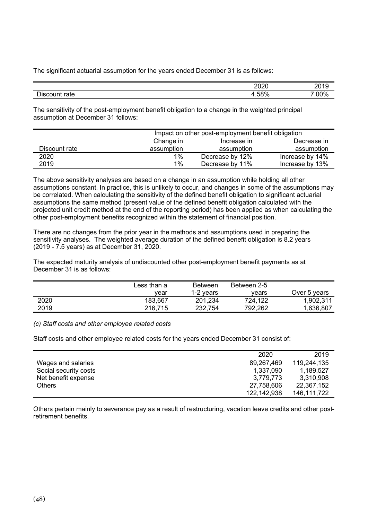The significant actuarial assumption for the years ended December 31 is as follows:

|                                         | $\sim$ $\sim$ $\sim$<br>∼∽∽ | . .<br>∼ |
|-----------------------------------------|-----------------------------|----------|
| $\mathbf{\sim}$<br>rote<br>-----<br>αισ | $F^{\alpha}$<br>70 ن.<br>-- | ״/^      |

The sensitivity of the post-employment benefit obligation to a change in the weighted principal assumption at December 31 follows:

|               |            | Impact on other post-employment benefit obligation |                 |  |  |  |  |  |
|---------------|------------|----------------------------------------------------|-----------------|--|--|--|--|--|
|               | Change in  | Decrease in<br>Increase in                         |                 |  |  |  |  |  |
| Discount rate | assumption | assumption                                         | assumption      |  |  |  |  |  |
| 2020          | 1%         | Decrease by 12%                                    | Increase by 14% |  |  |  |  |  |
| 2019          | 1%         | Decrease by 11%                                    | Increase by 13% |  |  |  |  |  |

The above sensitivity analyses are based on a change in an assumption while holding all other assumptions constant. In practice, this is unlikely to occur, and changes in some of the assumptions may be correlated. When calculating the sensitivity of the defined benefit obligation to significant actuarial assumptions the same method (present value of the defined benefit obligation calculated with the projected unit credit method at the end of the reporting period) has been applied as when calculating the other post-employment benefits recognized within the statement of financial position.

There are no changes from the prior year in the methods and assumptions used in preparing the sensitivity analyses. The weighted average duration of the defined benefit obligation is 8.2 years (2019 - 7.5 years) as at December 31, 2020.

The expected maturity analysis of undiscounted other post-employment benefit payments as at December 31 is as follows:

|      | Less than a | <b>Between</b> | Between 2-5 |              |
|------|-------------|----------------|-------------|--------------|
|      | vear        | 1-2 vears      | vears       | Over 5 vears |
| 2020 | 183,667     | 201,234        | 724.122     | 1,902,311    |
| 2019 | 216,715     | 232,754        | 792,262     | 1,636,807    |

*(c) Staff costs and other employee related costs*

Staff costs and other employee related costs for the years ended December 31 consist of:

|                       | 2020        | 2019          |
|-----------------------|-------------|---------------|
| Wages and salaries    | 89,267,469  | 119,244,135   |
| Social security costs | 1,337,090   | 1,189,527     |
| Net benefit expense   | 3,779,773   | 3,310,908     |
| <b>Others</b>         | 27,758,606  | 22,367,152    |
|                       | 122,142,938 | 146, 111, 722 |

Others pertain mainly to severance pay as a result of restructuring, vacation leave credits and other postretirement benefits.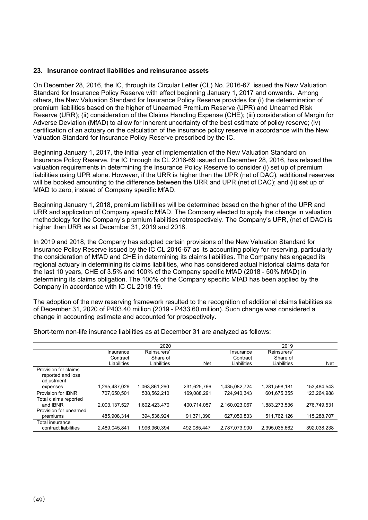#### **Insurance contract liabilities and reinsurance assets**

On December 28, 2016, the IC, through its Circular Letter (CL) No. 2016-67, issued the New Valuation Standard for Insurance Policy Reserve with effect beginning January 1, 2017 and onwards. Among others, the New Valuation Standard for Insurance Policy Reserve provides for (i) the determination of premium liabilities based on the higher of Unearned Premium Reserve (UPR) and Unearned Risk Reserve (URR); (ii) consideration of the Claims Handling Expense (CHE); (iii) consideration of Margin for Adverse Deviation (MfAD) to allow for inherent uncertainty of the best estimate of policy reserve; (iv) certification of an actuary on the calculation of the insurance policy reserve in accordance with the New Valuation Standard for Insurance Policy Reserve prescribed by the IC.

Beginning January 1, 2017, the initial year of implementation of the New Valuation Standard on Insurance Policy Reserve, the IC through its CL 2016-69 issued on December 28, 2016, has relaxed the valuation requirements in determining the Insurance Policy Reserve to consider (i) set up of premium liabilities using UPR alone. However, if the URR is higher than the UPR (net of DAC), additional reserves will be booked amounting to the difference between the URR and UPR (net of DAC); and (ii) set up of MfAD to zero, instead of Company specific MfAD.

Beginning January 1, 2018, premium liabilities will be determined based on the higher of the UPR and URR and application of Company specific MfAD. The Company elected to apply the change in valuation methodology for the Company's premium liabilities retrospectively. The Company's UPR, (net of DAC) is higher than URR as at December 31, 2019 and 2018.

In 2019 and 2018, the Company has adopted certain provisions of the New Valuation Standard for Insurance Policy Reserve issued by the IC CL 2016-67 as its accounting policy for reserving, particularly the consideration of MfAD and CHE in determining its claims liabilities. The Company has engaged its regional actuary in determining its claims liabilities, who has considered actual historical claims data for the last 10 years, CHE of 3.5% and 100% of the Company specific MfAD (2018 - 50% MfAD) in determining its claims obligation. The 100% of the Company specific MfAD has been applied by the Company in accordance with IC CL 2018-19.

The adoption of the new reserving framework resulted to the recognition of additional claims liabilities as of December 31, 2020 of P403.40 million (2019 - P433.60 million). Such change was considered a change in accounting estimate and accounted for prospectively.

|                                                             |                       | 2020                    |             |                       | 2019                    |             |
|-------------------------------------------------------------|-----------------------|-------------------------|-------------|-----------------------|-------------------------|-------------|
|                                                             | Insurance<br>Contract | Reinsurers'<br>Share of |             | Insurance<br>Contract | Reinsurers'<br>Share of |             |
|                                                             | Liabilities           | Liabilities             | <b>Net</b>  | Liabilities           | Liabilities             | Net         |
| Provision for claims<br>reported and loss<br>adjustment     |                       |                         |             |                       |                         |             |
| expenses                                                    | 1,295,487,026         | 1,063,861,260           | 231,625,766 | 1,435,082,724         | 1,281,598,181           | 153,484,543 |
| Provision for IBNR                                          | 707,650,501           | 538.562.210             | 169,088,291 | 724,940,343           | 601.675.355             | 123,264,988 |
| Total claims reported<br>and IBNR<br>Provision for unearned | 2,003,137,527         | 1,602,423,470           | 400,714,057 | 2,160,023,067         | 1,883,273,536           | 276.749.531 |
| premiums                                                    | 485,908,314           | 394,536,924             | 91,371,390  | 627,050,833           | 511,762,126             | 115,288,707 |
| Total insurance<br>contract liabilities                     | 2,489,045,841         | 1,996,960,394           | 492,085,447 | 2,787,073,900         | 2,395,035,662           | 392,038,238 |

Short-term non-life insurance liabilities as at December 31 are analyzed as follows: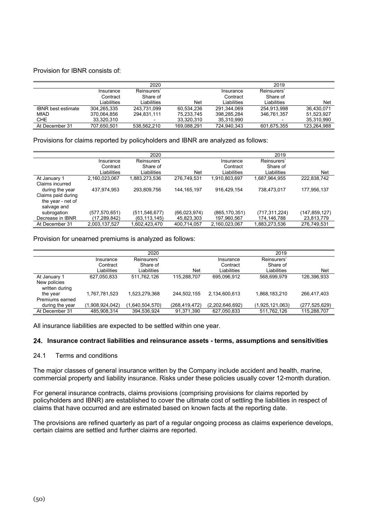#### Provision for IBNR consists of:

|                           |              | 2020         |             |              | 2019         |             |
|---------------------------|--------------|--------------|-------------|--------------|--------------|-------------|
|                           | Insurance    | Reinsurers'  |             | Insurance    | Reinsurers'  |             |
|                           | Contract     | Share of     |             | Contract     | Share of     |             |
|                           | I jabilities | I iabilities | <b>Net</b>  | I iabilities | I iabilities | Net         |
| <b>IBNR</b> best estimate | 304.265.335  | 243.731.099  | 60.534.236  | 291.344.069  | 254.913.998  | 36.430.071  |
| MfAD                      | 370.064.856  | 294.831.111  | 75.233.745  | 398.285.284  | 346.761.357  | 51.523.927  |
| <b>CHE</b>                | 33,320,310   |              | 33.320.310  | 35.310.990   |              | 35,310,990  |
| At December 31            | 707,650,501  | 538.562.210  | 169,088,291 | 724,940,343  | 601.675.355  | 123,264,988 |

Provisions for claims reported by policyholders and IBNR are analyzed as follows:

|                    |               | 2020            |                |                 | 2019          |               |
|--------------------|---------------|-----------------|----------------|-----------------|---------------|---------------|
|                    | Insurance     | Reinsurers'     |                | Insurance       | Reinsurers'   |               |
|                    | Contract      | Share of        |                | Contract        | Share of      |               |
|                    | Liabilities   | Liabilities     | Net            | Liabilities     | Liabilities   | Net           |
| At January 1       | 2,160,023,067 | 1,883,273,536   | 276,749,531    | 1,910,803,697   | 1,687,964,955 | 222,838,742   |
| Claims incurred    |               |                 |                |                 |               |               |
| during the year    | 437,974,953   | 293,809,756     | 144, 165, 197  | 916,429,154     | 738,473,017   | 177,956,137   |
| Claims paid during |               |                 |                |                 |               |               |
| the year - net of  |               |                 |                |                 |               |               |
| salvage and        |               |                 |                |                 |               |               |
| subrogation        | (577,570,651) | (511, 546, 677) | (66, 023, 974) | (865, 170, 351) | (717,311,224) | (147,859,127) |
| Decrease in IBNR   | (17,289,842)  | (63,113,145)    | 45,823,303     | 197,960,567     | 174,146,788   | 23,813,779    |
| At December 31     | 2,003,137,527 | 602,423,470     | 400,714,057    | 2,160,023,067   | 1,883,273,536 | 276,749,531   |

Provision for unearned premiums is analyzed as follows:

|                                |                 | 2020            |               |                 | 2019            |                 |
|--------------------------------|-----------------|-----------------|---------------|-----------------|-----------------|-----------------|
|                                | Insurance       | Reinsurers'     |               | Insurance       | Reinsurers'     |                 |
|                                | Contract        | Share of        |               | Contract        | Share of        |                 |
|                                | Liabilities     | Liabilities     | Net           | Liabilities     | Liabilities     | Net             |
| At January 1                   | 627,050,833     | 511.762.126     | 115,288,707   | 695,096,912     | 568,699,979     | 126,396,933     |
| New policies<br>written during |                 |                 |               |                 |                 |                 |
| the year                       | 1,767,781,523   | 1,523,279,368   | 244,502,155   | 2,134,600,613   | 1,868,183,210   | 266,417,403     |
| Premiums earned                |                 |                 |               |                 |                 |                 |
| during the year                | (1,908,924,042) | (1,640,504,570) | (268,419,472) | (2,202,646,692) | (1,925,121,063) | (277, 525, 629) |
| At December 31                 | 485,908,314     | 394,536,924     | 91,371,390    | 627,050,833     | 511,762,126     | 115,288,707     |

All insurance liabilities are expected to be settled within one year.

#### **Insurance contract liabilities and reinsurance assets - terms, assumptions and sensitivities**

#### 24.1 Terms and conditions

The major classes of general insurance written by the Company include accident and health, marine, commercial property and liability insurance. Risks under these policies usually cover 12-month duration.

For general insurance contracts, claims provisions (comprising provisions for claims reported by policyholders and IBNR) are established to cover the ultimate cost of settling the liabilities in respect of claims that have occurred and are estimated based on known facts at the reporting date.

The provisions are refined quarterly as part of a regular ongoing process as claims experience develops, certain claims are settled and further claims are reported.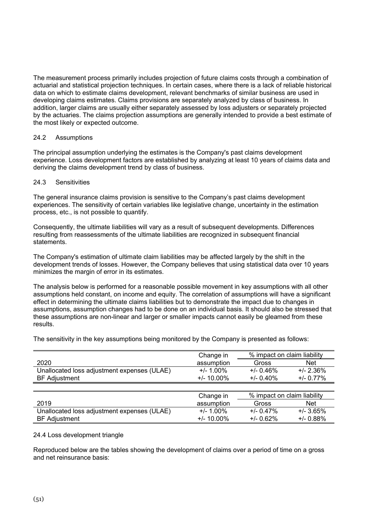The measurement process primarily includes projection of future claims costs through a combination of actuarial and statistical projection techniques. In certain cases, where there is a lack of reliable historical data on which to estimate claims development, relevant benchmarks of similar business are used in developing claims estimates. Claims provisions are separately analyzed by class of business. In addition, larger claims are usually either separately assessed by loss adjusters or separately projected by the actuaries. The claims projection assumptions are generally intended to provide a best estimate of the most likely or expected outcome.

#### 24.2 Assumptions

The principal assumption underlying the estimates is the Company's past claims development experience. Loss development factors are established by analyzing at least 10 years of claims data and deriving the claims development trend by class of business.

#### 24.3 Sensitivities

The general insurance claims provision is sensitive to the Company's past claims development experiences. The sensitivity of certain variables like legislative change, uncertainty in the estimation process, etc., is not possible to quantify.

Consequently, the ultimate liabilities will vary as a result of subsequent developments. Differences resulting from reassessments of the ultimate liabilities are recognized in subsequent financial statements.

The Company's estimation of ultimate claim liabilities may be affected largely by the shift in the development trends of losses. However, the Company believes that using statistical data over 10 years minimizes the margin of error in its estimates.

The analysis below is performed for a reasonable possible movement in key assumptions with all other assumptions held constant, on income and equity. The correlation of assumptions will have a significant effect in determining the ultimate claims liabilities but to demonstrate the impact due to changes in assumptions, assumption changes had to be done on an individual basis. It should also be stressed that these assumptions are non-linear and larger or smaller impacts cannot easily be gleamed from these results.

The sensitivity in the key assumptions being monitored by the Company is presented as follows:

|                                             | Change in     | % impact on claim liability |             |
|---------------------------------------------|---------------|-----------------------------|-------------|
| 2020                                        | assumption    | Gross                       | <b>Net</b>  |
| Unallocated loss adjustment expenses (ULAE) | $+/- 1.00\%$  | $+/- 0.46%$                 | $+/- 2.36%$ |
| <b>BF Adjustment</b>                        | $+/- 10.00\%$ | $+/- 0.40%$                 | $+/- 0.77%$ |
|                                             |               |                             |             |
|                                             | Change in     | % impact on claim liability |             |
| 2019                                        | assumption    | Gross                       | <b>Net</b>  |
| Unallocated loss adjustment expenses (ULAE) | $+/- 1.00\%$  | $+/- 0.47%$                 | $+/- 3.65%$ |
| <b>BF Adjustment</b>                        | $+/- 10.00\%$ | $+/- 0.62%$                 | $+/- 0.88%$ |

#### 24.4 Loss development triangle

Reproduced below are the tables showing the development of claims over a period of time on a gross and net reinsurance basis: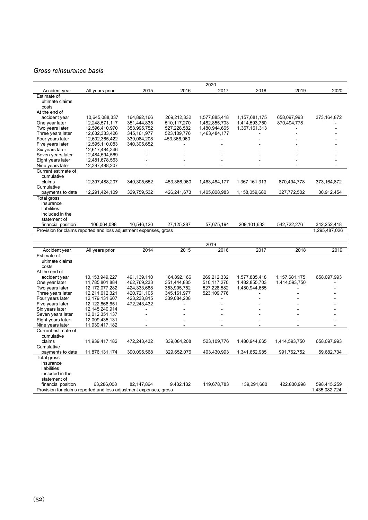#### *Gross reinsurance basis*

|                                                                   |                 |               |               | 2020          |               |             |               |
|-------------------------------------------------------------------|-----------------|---------------|---------------|---------------|---------------|-------------|---------------|
| Accident year                                                     | All years prior | 2015          | 2016          | 2017          | 2018          | 2019        | 2020          |
| Estimate of                                                       |                 |               |               |               |               |             |               |
| ultimate claims                                                   |                 |               |               |               |               |             |               |
| costs                                                             |                 |               |               |               |               |             |               |
| At the end of                                                     |                 |               |               |               |               |             |               |
| accident year                                                     | 10,645,088,337  | 164.892.166   | 269,212,332   | 1,577,885,418 | 1,157,681,175 | 658,097,993 | 373,164,872   |
| One year later                                                    | 12,248,571,117  | 351.444.835   | 510.117.270   | 1,482,855,703 | 1,414,593,750 | 870,494,778 |               |
| Two years later                                                   | 12,596,410,970  | 353,995,752   | 527,228,582   | 1,480,944,665 | 1,367,161,313 |             |               |
| Three years later                                                 | 12,632,333,426  | 345, 161, 977 | 523, 109, 776 | 1,463,484,177 |               |             |               |
| Four years later                                                  | 12,602,365,422  | 339.084.208   | 453,366,960   |               |               |             |               |
| Five years later                                                  | 12,595,110,083  | 340,305,652   |               |               |               |             |               |
| Six years later                                                   | 12,617,484,346  |               |               |               |               |             |               |
| Seven years later                                                 | 12,484,594,569  |               |               |               |               |             |               |
| Eight years later                                                 | 12,481,678,563  |               |               |               |               |             |               |
| Nine years later                                                  | 12,397,488,207  |               |               |               |               |             |               |
| Current estimate of                                               |                 |               |               |               |               |             |               |
| cumulative                                                        |                 |               |               |               |               |             |               |
| claims                                                            | 12,397,488,207  | 340,305,652   | 453,366,960   | 1,463,484,177 | 1,367,161,313 | 870,494,778 | 373,164,872   |
| Cumulative                                                        |                 |               |               |               |               |             |               |
| payments to date                                                  | 12,291,424,109  | 329,759,532   | 426,241,673   | 1,405,808,983 | 1,158,059,680 | 327,772,502 | 30,912,454    |
| Total gross                                                       |                 |               |               |               |               |             |               |
| insurance                                                         |                 |               |               |               |               |             |               |
| liabilities                                                       |                 |               |               |               |               |             |               |
| included in the                                                   |                 |               |               |               |               |             |               |
| statement of                                                      |                 |               |               |               |               |             |               |
| financial position                                                | 106,064,098     | 10,546,120    | 27,125,287    | 57,675,194    | 209, 101, 633 | 542,722,276 | 342,252,418   |
| Provision for claims reported and loss adjustment expenses, gross |                 |               |               |               |               |             | 1,295,487,026 |
|                                                                   |                 |               |               |               |               |             |               |
|                                                                   |                 |               |               | 2019          |               |             |               |
| Accident year                                                     | All years prior | 2014          | 2015          | 2016          | 2017          | 2018        | 2019          |
| Estimate of                                                       |                 |               |               |               |               |             |               |

| Estimate of                                                       |                   |             |               |             |               |               |               |  |
|-------------------------------------------------------------------|-------------------|-------------|---------------|-------------|---------------|---------------|---------------|--|
| ultimate claims                                                   |                   |             |               |             |               |               |               |  |
| costs                                                             |                   |             |               |             |               |               |               |  |
| At the end of                                                     |                   |             |               |             |               |               |               |  |
| accident year                                                     | 10,153,949,227    | 491,139,110 | 164,892,166   | 269,212,332 | 1,577,885,418 | 1,157,681,175 | 658,097,993   |  |
| One year later                                                    | 11,785,801,884    | 462,769,233 | 351,444,835   | 510,117,270 | 1,482,855,703 | 1,414,593,750 |               |  |
| Two years later                                                   | 12, 172, 077, 282 | 424,333,688 | 353,995,752   | 527,228,582 | 1,480,944,665 |               |               |  |
| Three years later                                                 | 12,211,612,321    | 420,721,105 | 345, 161, 977 | 523,109,776 |               |               |               |  |
| Four years later                                                  | 12,179,131,607    | 423,233,815 | 339,084,208   |             |               |               |               |  |
| Five years later                                                  | 12,122,866,651    | 472,243,432 |               |             |               |               |               |  |
| Six years later                                                   | 12,145,240,914    |             |               |             |               |               |               |  |
| Seven years later                                                 | 12,012,351,137    |             |               |             |               |               |               |  |
| Eight years later                                                 | 12,009,435,131    |             |               |             |               |               |               |  |
| Nine years later                                                  | 11,939,417,182    |             |               |             |               |               |               |  |
| Current estimate of                                               |                   |             |               |             |               |               |               |  |
| cumulative                                                        |                   |             |               |             |               |               |               |  |
| claims                                                            | 11,939,417,182    | 472,243,432 | 339,084,208   | 523,109,776 | 1,480,944,665 | 1,414,593,750 | 658,097,993   |  |
| Cumulative                                                        |                   |             |               |             |               |               |               |  |
| payments to date                                                  | 11,876,131,174    | 390,095,568 | 329,652,076   | 403,430,993 | 1,341,652,985 | 991,762,752   | 59,682,734    |  |
| Total gross                                                       |                   |             |               |             |               |               |               |  |
| insurance                                                         |                   |             |               |             |               |               |               |  |
| liabilities                                                       |                   |             |               |             |               |               |               |  |
| included in the                                                   |                   |             |               |             |               |               |               |  |
| statement of                                                      |                   |             |               |             |               |               |               |  |
| financial position                                                | 63,286,008        | 82,147,864  | 9,432,132     | 119,678,783 | 139,291,680   | 422,830,998   | 598,415,259   |  |
| Provision for claims reported and loss adjustment expenses, gross |                   |             |               |             |               |               | 1,435,082,724 |  |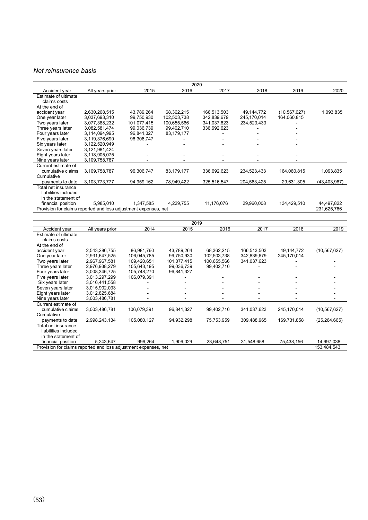#### *Net reinsurance basis*

|                                                                 |                 |             | 2020        |             |             |                |                |
|-----------------------------------------------------------------|-----------------|-------------|-------------|-------------|-------------|----------------|----------------|
| Accident year                                                   | All years prior | 2015        | 2016        | 2017        | 2018        | 2019           | 2020           |
| Estimate of ultimate                                            |                 |             |             |             |             |                |                |
| claims costs                                                    |                 |             |             |             |             |                |                |
| At the end of                                                   |                 |             |             |             |             |                |                |
| accident year                                                   | 2,630,268,515   | 43,789,264  | 68,362,215  | 166,513,503 | 49,144,772  | (10, 567, 627) | 1,093,835      |
| One year later                                                  | 3,037,693,310   | 99,750,930  | 102,503,738 | 342,839,679 | 245,170,014 | 164,060,815    |                |
| Two years later                                                 | 3,077,388,232   | 101,077,415 | 100,655,566 | 341,037,623 | 234,523,433 |                |                |
| Three years later                                               | 3,082,581,474   | 99,036,739  | 99,402,710  | 336,692,623 |             |                |                |
| Four years later                                                | 3,114,094,995   | 96,841,327  | 83,179,177  |             |             |                |                |
| Five years later                                                | 3,119,376,690   | 96,306,747  |             |             |             |                |                |
| Six years later                                                 | 3,122,520,949   |             |             |             |             |                |                |
| Seven years later                                               | 3,121,981,424   |             |             |             |             |                |                |
| Eight years later                                               | 3,118,905,075   |             |             |             |             |                |                |
| Nine years later                                                | 3,109,758,787   |             |             |             |             |                |                |
| Current estimate of                                             |                 |             |             |             |             |                |                |
| cumulative claims                                               | 3,109,758,787   | 96,306,747  | 83,179,177  | 336,692,623 | 234,523,433 | 164,060,815    | 1,093,835      |
| Cumulative                                                      |                 |             |             |             |             |                |                |
| payments to date                                                | 3,103,773,777   | 94,959,162  | 78,949,422  | 325,516,547 | 204,563,425 | 29,631,305     | (43, 403, 987) |
| Total net insurance                                             |                 |             |             |             |             |                |                |
| liabilities included                                            |                 |             |             |             |             |                |                |
| in the statement of                                             |                 |             |             |             |             |                |                |
| financial position                                              | 5,985,010       | 1,347,585   | 4,229,755   | 11,176,076  | 29,960,008  | 134,429,510    | 44,497,822     |
| Provision for claims reported and loss adjustment expenses, net |                 |             |             |             |             | 231,625,766    |                |
|                                                                 |                 |             |             |             |             |                |                |

|                                                                 |                 |             | 2019        |             |             |             |                |
|-----------------------------------------------------------------|-----------------|-------------|-------------|-------------|-------------|-------------|----------------|
| Accident year                                                   | All years prior | 2014        | 2015        | 2016        | 2017        | 2018        | 2019           |
| Estimate of ultimate                                            |                 |             |             |             |             |             |                |
| claims costs                                                    |                 |             |             |             |             |             |                |
| At the end of                                                   |                 |             |             |             |             |             |                |
| accident year                                                   | 2,543,286,755   | 86,981,760  | 43,789,264  | 68,362,215  | 166,513,503 | 49,144,772  | (10, 567, 627) |
| One year later                                                  | 2,931,647,525   | 106,045,785 | 99,750,930  | 102,503,738 | 342,839,679 | 245,170,014 |                |
| Two years later                                                 | 2,967,967,581   | 109,420,651 | 101,077,415 | 100,655,566 | 341,037,623 |             |                |
| Three years later                                               | 2,976,938,279   | 105,643,195 | 99,036,739  | 99,402,710  |             |             |                |
| Four years later                                                | 3,008,346,725   | 105,748,270 | 96,841,327  |             |             |             |                |
| Five years later                                                | 3,013,297,299   | 106,079,391 |             |             |             |             |                |
| Six years later                                                 | 3,016,441,558   |             |             |             |             |             |                |
| Seven years later                                               | 3,015,902,033   |             |             |             |             |             |                |
| Eight years later                                               | 3,012,825,684   |             |             |             |             |             |                |
| Nine years later                                                | 3,003,486,781   |             |             |             |             |             |                |
| Current estimate of                                             |                 |             |             |             |             |             |                |
| cumulative claims                                               | 3,003,486,781   | 106,079,391 | 96,841,327  | 99,402,710  | 341,037,623 | 245,170,014 | (10, 567, 627) |
| Cumulative                                                      |                 |             |             |             |             |             |                |
| payments to date                                                | 2,998,243,134   | 105,080,127 | 94,932,298  | 75,753,959  | 309,488,965 | 169,731,858 | (25, 264, 665) |
| Total net insurance                                             |                 |             |             |             |             |             |                |
| liabilities included                                            |                 |             |             |             |             |             |                |
| in the statement of                                             |                 |             |             |             |             |             |                |
| financial position                                              | 5,243,647       | 999,264     | 1,909,029   | 23,648,751  | 31,548,658  | 75,438,156  | 14,697,038     |
| Provision for claims reported and loss adjustment expenses, net |                 |             |             |             |             |             | 153,484,543    |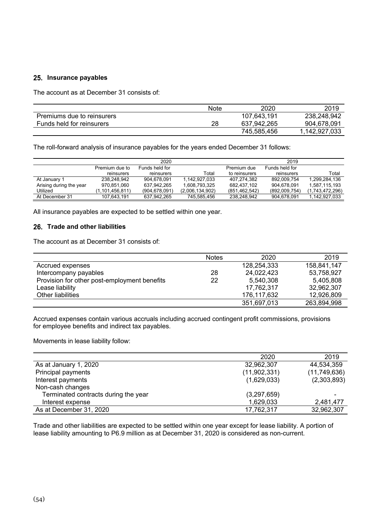### **Insurance payables**

The account as at December 31 consists of:

|                            | Note | 2020        | 2019          |
|----------------------------|------|-------------|---------------|
| Premiums due to reinsurers |      | 107,643,191 | 238,248,942   |
| Funds held for reinsurers  | 28   | 637.942.265 | 904,678,091   |
|                            |      | 745,585,456 | 1,142,927,033 |

The roll-forward analysis of insurance payables for the years ended December 31 follows:

|                         |                 | 2020            |                 |                 | 2019           |                 |
|-------------------------|-----------------|-----------------|-----------------|-----------------|----------------|-----------------|
|                         | Premium due to  | Funds held for  |                 | Premium due     | Funds held for |                 |
|                         | reinsurers      | reinsurers      | Total           | to reinsurers   | reinsurers     | Total           |
| At January 1            | 238.248.942     | 904.678.091     | 1.142.927.033   | 407.274.382     | 892.009.754    | 1.299.284.136   |
| Arising during the year | 970.851.060     | 637,942,265     | 1,608,793,325   | 682,437,102     | 904.678.091    | 1,587,115,193   |
| Utilized                | (1.101.456.811) | (904, 678, 091) | (2,006,134,902) | (851, 462, 542) | (892,009,754)  | (1,743,472,296) |
| At December 31          | 107.643.191     | 637.942.265     | 745,585,456     | 238.248.942     | 904.678.091    | 1.142.927.033   |

All insurance payables are expected to be settled within one year.

#### **Trade and other liabilities**

The account as at December 31 consists of:

|                                              | <b>Notes</b> | 2020        | 2019        |
|----------------------------------------------|--------------|-------------|-------------|
| Accrued expenses                             |              | 128,254,333 | 158,841,147 |
| Intercompany payables                        | 28           | 24,022,423  | 53,758,927  |
| Provision for other post-employment benefits | 22           | 5,540,308   | 5,405,808   |
| Lease liability                              |              | 17,762,317  | 32,962,307  |
| Other liabilities                            |              | 176,117,632 | 12,926,809  |
|                                              |              | 351,697,013 | 263,894,998 |

Accrued expenses contain various accruals including accrued contingent profit commissions, provisions for employee benefits and indirect tax payables.

Movements in lease liability follow:

|                                      | 2020         | 2019         |
|--------------------------------------|--------------|--------------|
| As at January 1, 2020                | 32,962,307   | 44,534,359   |
| Principal payments                   | (11,902,331) | (11,749,636) |
| Interest payments                    | (1,629,033)  | (2,303,893)  |
| Non-cash changes                     |              |              |
| Terminated contracts during the year | (3,297,659)  |              |
| Interest expense                     | 1,629,033    | 2,481,477    |
| As at December 31, 2020              | 17,762,317   | 32,962,307   |

Trade and other liabilities are expected to be settled within one year except for lease liability. A portion of lease liability amounting to P6.9 million as at December 31, 2020 is considered as non-current.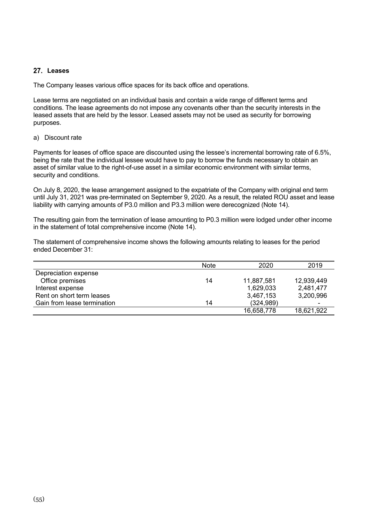#### **Leases**

The Company leases various office spaces for its back office and operations.

Lease terms are negotiated on an individual basis and contain a wide range of different terms and conditions. The lease agreements do not impose any covenants other than the security interests in the leased assets that are held by the lessor. Leased assets may not be used as security for borrowing purposes.

a) Discount rate

Payments for leases of office space are discounted using the lessee's incremental borrowing rate of 6.5%, being the rate that the individual lessee would have to pay to borrow the funds necessary to obtain an asset of similar value to the right-of-use asset in a similar economic environment with similar terms, security and conditions.

On July 8, 2020, the lease arrangement assigned to the expatriate of the Company with original end term until July 31, 2021 was pre-terminated on September 9, 2020. As a result, the related ROU asset and lease liability with carrying amounts of P3.0 million and P3.3 million were derecognized (Note 14).

The resulting gain from the termination of lease amounting to P0.3 million were lodged under other income in the statement of total comprehensive income (Note 14).

The statement of comprehensive income shows the following amounts relating to leases for the period ended December 31:

|                             | <b>Note</b> | 2020       | 2019       |
|-----------------------------|-------------|------------|------------|
|                             |             |            |            |
| Depreciation expense        |             |            |            |
| Office premises             | 14          | 11,887,581 | 12,939,449 |
| Interest expense            |             | 1,629,033  | 2,481,477  |
| Rent on short term leases   |             | 3,467,153  | 3,200,996  |
| Gain from lease termination | 14          | (324, 989) |            |
|                             |             | 16,658,778 | 18,621,922 |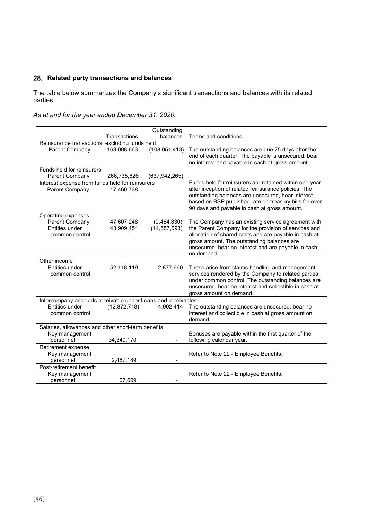### **Related party transactions and balances**

The table below summarizes the Company's significant transactions and balances with its related parties.

*As at and for the year ended December 31, 2020:*

|                                                              |                | Outstanding     |                                                                                                         |
|--------------------------------------------------------------|----------------|-----------------|---------------------------------------------------------------------------------------------------------|
|                                                              | Transactions   | balances        | Terms and conditions                                                                                    |
| Reinsurance transactions, excluding funds held               |                |                 |                                                                                                         |
| Parent Company                                               | 163,098,663    | (108, 051, 413) | The outstanding balances are due 75 days after the                                                      |
|                                                              |                |                 | end of each quarter. The payable is unsecured, bear<br>no interest and payable in cash at gross amount. |
|                                                              |                |                 |                                                                                                         |
| Funds held for reinsurers<br>Parent Company                  | 266,735,826    | (637, 942, 265) |                                                                                                         |
| Interest expense from funds held for reinsurers              |                |                 | Funds held for reinsurers are retained within one year                                                  |
| Parent Company                                               | 17,460,738     |                 | after inception of related reinsurance policies. The                                                    |
|                                                              |                |                 | outstanding balances are unsecured, bear interest                                                       |
|                                                              |                |                 | based on BSP published rate on treasury bills for over                                                  |
|                                                              |                |                 | 90 days and payable in cash at gross amount.                                                            |
| Operating expenses                                           |                |                 |                                                                                                         |
| Parent Company                                               | 47,607,248     | (9,464,830)     | The Company has an existing service agreement with                                                      |
| Entities under                                               | 43,909,454     | (14, 557, 593)  | the Parent Company for the provision of services and                                                    |
| common control                                               |                |                 | allocation of shared costs and are payable in cash at                                                   |
|                                                              |                |                 | gross amount. The outstanding balances are                                                              |
|                                                              |                |                 | unsecured, bear no interest and are payable in cash                                                     |
|                                                              |                |                 | on demand.                                                                                              |
| Other income<br>Entities under                               | 52,118,119     | 2,877,660       | These arise from claims handling and management                                                         |
| common control                                               |                |                 | services rendered by the Company to related parties                                                     |
|                                                              |                |                 | under common control. The outstanding balances are                                                      |
|                                                              |                |                 | unsecured, bear no interest and collectible in cash at                                                  |
|                                                              |                |                 | gross amount on demand.                                                                                 |
| Intercompany accounts receivable under Loans and receivables |                |                 |                                                                                                         |
| Entities under                                               | (12, 872, 718) | 4,902,414       | The outstanding balances are unsecured, bear no                                                         |
| common control                                               |                |                 | interest and collectible in cash at gross amount on                                                     |
|                                                              |                |                 | demand.                                                                                                 |
| Salaries, allowances and other short-term benefits           |                |                 |                                                                                                         |
| Key management                                               |                |                 | Bonuses are payable within the first quarter of the                                                     |
| personnel                                                    | 34,340,170     |                 | following calendar year.                                                                                |
| Retirement expense                                           |                |                 |                                                                                                         |
| Key management                                               |                |                 | Refer to Note 22 - Employee Benefits.                                                                   |
| personnel                                                    | 2,487,189      |                 |                                                                                                         |
| Post-retirement benefit                                      |                |                 |                                                                                                         |
| Key management                                               |                |                 | Refer to Note 22 - Employee Benefits.                                                                   |
| personnel                                                    | 67,609         |                 |                                                                                                         |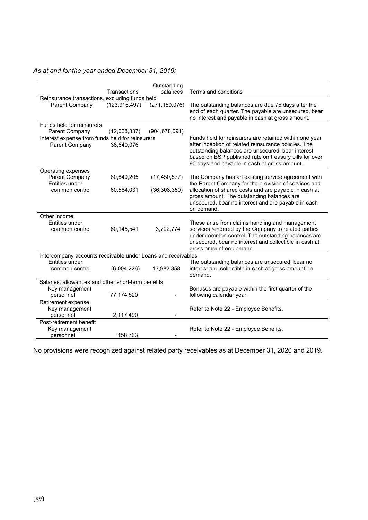### *As at and for the year ended December 31, 2019:*

|                                                                   |                 | Outstanding     |                                                                                                                                                                                                                                                                               |
|-------------------------------------------------------------------|-----------------|-----------------|-------------------------------------------------------------------------------------------------------------------------------------------------------------------------------------------------------------------------------------------------------------------------------|
|                                                                   | Transactions    | balances        | Terms and conditions                                                                                                                                                                                                                                                          |
| Reinsurance transactions, excluding funds held                    |                 |                 |                                                                                                                                                                                                                                                                               |
| Parent Company                                                    | (123, 916, 497) | (271, 150, 076) | The outstanding balances are due 75 days after the<br>end of each quarter. The payable are unsecured, bear<br>no interest and payable in cash at gross amount.                                                                                                                |
| Funds held for reinsurers                                         |                 |                 |                                                                                                                                                                                                                                                                               |
| Parent Company                                                    | (12,668,337)    | (904, 678, 091) |                                                                                                                                                                                                                                                                               |
| Interest expense from funds held for reinsurers<br>Parent Company | 38,640,076      |                 | Funds held for reinsurers are retained within one year<br>after inception of related reinsurance policies. The<br>outstanding balances are unsecured, bear interest<br>based on BSP published rate on treasury bills for over<br>90 days and payable in cash at gross amount. |
| Operating expenses                                                |                 |                 |                                                                                                                                                                                                                                                                               |
| Parent Company                                                    | 60,840,205      | (17, 450, 577)  | The Company has an existing service agreement with                                                                                                                                                                                                                            |
| Entities under<br>common control                                  | 60,564,031      | (36, 308, 350)  | the Parent Company for the provision of services and<br>allocation of shared costs and are payable in cash at<br>gross amount. The outstanding balances are<br>unsecured, bear no interest and are payable in cash                                                            |
|                                                                   |                 |                 | on demand.                                                                                                                                                                                                                                                                    |
| Other income<br>Entities under<br>common control                  | 60,145,541      | 3,792,774       | These arise from claims handling and management<br>services rendered by the Company to related parties<br>under common control. The outstanding balances are<br>unsecured, bear no interest and collectible in cash at<br>gross amount on demand.                             |
| Intercompany accounts receivable under Loans and receivables      |                 |                 |                                                                                                                                                                                                                                                                               |
| Entities under<br>common control                                  | (6,004,226)     | 13,982,358      | The outstanding balances are unsecured, bear no<br>interest and collectible in cash at gross amount on<br>demand.                                                                                                                                                             |
| Salaries, allowances and other short-term benefits                |                 |                 |                                                                                                                                                                                                                                                                               |
| Key management<br>personnel                                       | 77,174,520      |                 | Bonuses are payable within the first quarter of the<br>following calendar year.                                                                                                                                                                                               |
| Retirement expense<br>Key management                              |                 |                 | Refer to Note 22 - Employee Benefits.                                                                                                                                                                                                                                         |
| personnel                                                         | 2,117,490       |                 |                                                                                                                                                                                                                                                                               |
| Post-retirement benefit                                           |                 |                 |                                                                                                                                                                                                                                                                               |
| Key management                                                    |                 |                 | Refer to Note 22 - Employee Benefits.                                                                                                                                                                                                                                         |
| personnel                                                         | 158,763         |                 |                                                                                                                                                                                                                                                                               |

No provisions were recognized against related party receivables as at December 31, 2020 and 2019.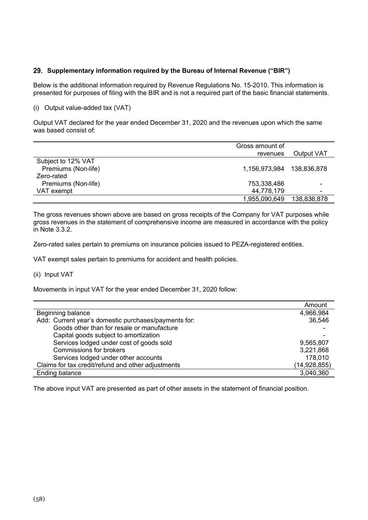#### **Supplementary information required by the Bureau of Internal Revenue ("BIR")**

Below is the additional information required by Revenue Regulations No. 15-2010. This information is presented for purposes of filing with the BIR and is not a required part of the basic financial statements.

#### (i) Output value-added tax (VAT)

Output VAT declared for the year ended December 31, 2020 and the revenues upon which the same was based consist of:

|                     | Gross amount of |                   |
|---------------------|-----------------|-------------------|
|                     | revenues        | <b>Output VAT</b> |
| Subject to 12% VAT  |                 |                   |
| Premiums (Non-life) | 1,156,973,984   | 138,836,878       |
| Zero-rated          |                 |                   |
| Premiums (Non-life) | 753,338,486     |                   |
| VAT exempt          | 44,778,179      | $\,$              |
|                     | 1,955,090,649   | 138,836,878       |

The gross revenues shown above are based on gross receipts of the Company for VAT purposes while gross revenues in the statement of comprehensive income are measured in accordance with the policy in Note 3.3.2.

Zero-rated sales pertain to premiums on insurance policies issued to PEZA-registered entities.

VAT exempt sales pertain to premiums for accident and health policies.

(ii) Input VAT

Movements in input VAT for the year ended December 31, 2020 follow:

|                                                      | Amount         |
|------------------------------------------------------|----------------|
| Beginning balance                                    | 4,966,984      |
| Add: Current year's domestic purchases/payments for: | 36,546         |
| Goods other than for resale or manufacture           |                |
| Capital goods subject to amortization                |                |
| Services lodged under cost of goods sold             | 9,565,807      |
| <b>Commissions for brokers</b>                       | 3,221,868      |
| Services lodged under other accounts                 | 178,010        |
| Claims for tax credit/refund and other adjustments   | (14, 928, 855) |
| Ending balance                                       | 3,040,360      |

The above input VAT are presented as part of other assets in the statement of financial position.